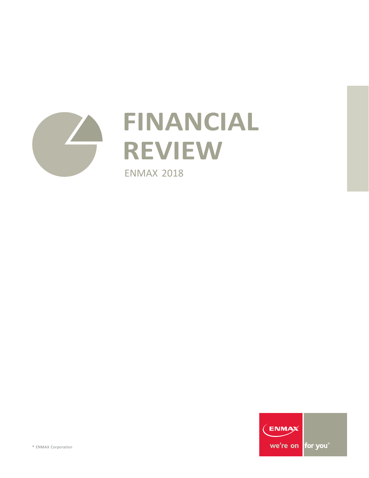

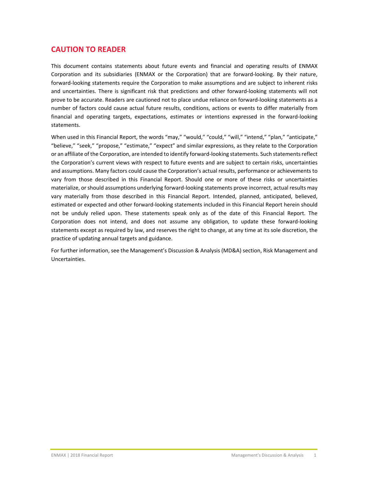# **CAUTION TO READER**

This document contains statements about future events and financial and operating results of ENMAX Corporation and its subsidiaries (ENMAX or the Corporation) that are forward‐looking. By their nature, forward‐looking statements require the Corporation to make assumptions and are subject to inherent risks and uncertainties. There is significant risk that predictions and other forward‐looking statements will not prove to be accurate. Readers are cautioned not to place undue reliance on forward-looking statements as a number of factors could cause actual future results, conditions, actions or events to differ materially from financial and operating targets, expectations, estimates or intentions expressed in the forward‐looking statements.

When used in this Financial Report, the words "may," "would," "could," "will," "intend," "plan," "anticipate," "believe," "seek," "propose," "estimate," "expect" and similar expressions, as they relate to the Corporation or an affiliate of the Corporation, are intended to identify forward‐looking statements. Such statementsreflect the Corporation's current views with respect to future events and are subject to certain risks, uncertainties and assumptions. Many factors could cause the Corporation's actual results, performance or achievements to vary from those described in this Financial Report. Should one or more of these risks or uncertainties materialize, orshould assumptions underlying forward‐looking statements prove incorrect, actual results may vary materially from those described in this Financial Report. Intended, planned, anticipated, believed, estimated or expected and other forward‐looking statements included in this Financial Report herein should not be unduly relied upon. These statements speak only as of the date of this Financial Report. The Corporation does not intend, and does not assume any obligation, to update these forward‐looking statements except as required by law, and reserves the right to change, at any time at its sole discretion, the practice of updating annual targets and guidance.

For further information, see the Management's Discussion & Analysis (MD&A) section, Risk Management and Uncertainties.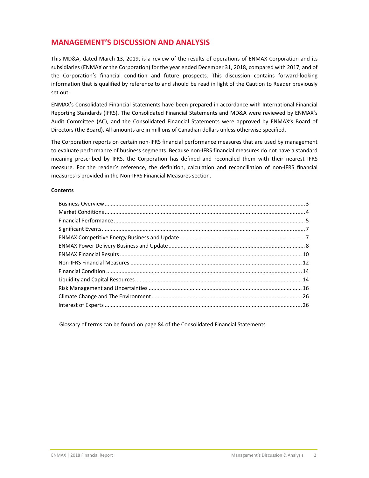# **MANAGEMENT'S DISCUSSION AND ANALYSIS**

This MD&A, dated March 13, 2019, is a review of the results of operations of ENMAX Corporation and its subsidiaries (ENMAX or the Corporation) for the year ended December 31, 2018, compared with 2017, and of the Corporation's financial condition and future prospects. This discussion contains forward‐looking information that is qualified by reference to and should be read in light of the Caution to Reader previously set out.

ENMAX's Consolidated Financial Statements have been prepared in accordance with International Financial Reporting Standards (IFRS). The Consolidated Financial Statements and MD&A were reviewed by ENMAX's Audit Committee (AC), and the Consolidated Financial Statements were approved by ENMAX's Board of Directors (the Board). All amounts are in millions of Canadian dollars unless otherwise specified.

The Corporation reports on certain non‐IFRS financial performance measures that are used by management to evaluate performance of business segments. Because non-IFRS financial measures do not have a standard meaning prescribed by IFRS, the Corporation has defined and reconciled them with their nearest IFRS measure. For the reader's reference, the definition, calculation and reconciliation of non‐IFRS financial measures is provided in the Non‐IFRS Financial Measures section.

#### **Contents**

Glossary of terms can be found on page 84 of the Consolidated Financial Statements.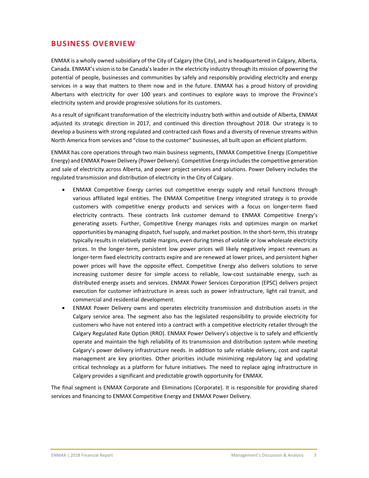# **BUSINESS OVERVIEW**

ENMAX is a wholly owned subsidiary of the City of Calgary (the City), and is headquartered in Calgary, Alberta, Canada. ENMAX's vision is to be Canada's leader in the electricity industry through its mission of powering the potential of people, businesses and communities by safely and responsibly providing electricity and energy services in a way that matters to them now and in the future. ENMAX has a proud history of providing Albertans with electricity for over 100 years and continues to explore ways to improve the Province's electricity system and provide progressive solutions for its customers.

As a result of significant transformation of the electricity industry both within and outside of Alberta, ENMAX adjusted its strategic direction in 2017, and continued this direction throughout 2018. Our strategy is to develop a business with strong regulated and contracted cash flows and a diversity of revenue streams within North America from services and "close to the customer" businesses, all built upon an efficient platform.

ENMAX has core operations through two main business segments, ENMAX Competitive Energy (Competitive Energy) and ENMAX Power Delivery (Power Delivery). Competitive Energy includesthe competitive generation and sale of electricity across Alberta, and power project services and solutions. Power Delivery includes the regulated transmission and distribution of electricity in the City of Calgary.

- ENMAX Competitive Energy carries out competitive energy supply and retail functions through various affiliated legal entities. The ENMAX Competitive Energy integrated strategy is to provide customers with competitive energy products and services with a focus on longer-term fixed electricity contracts. These contracts link customer demand to ENMAX Competitive Energy's generating assets. Further, Competitive Energy manages risks and optimizes margin on market opportunities by managing dispatch, fuel supply, and market position. In the short-term, this strategy typically results in relatively stable margins, even during times of volatile or low wholesale electricity prices. In the longer‐term, persistent low power prices will likely negatively impact revenues as longer-term fixed electricity contracts expire and are renewed at lower prices, and persistent higher power prices will have the opposite effect. Competitive Energy also delivers solutions to serve increasing customer desire for simple access to reliable, low‐cost sustainable energy, such as distributed energy assets and services. ENMAX Power Services Corporation (EPSC) delivers project execution for customer infrastructure in areas such as power infrastructure, light rail transit, and commercial and residential development.
- ENMAX Power Delivery owns and operates electricity transmission and distribution assets in the Calgary service area. The segment also has the legislated responsibility to provide electricity for customers who have not entered into a contract with a competitive electricity retailer through the Calgary Regulated Rate Option (RRO). ENMAX Power Delivery's objective is to safely and efficiently operate and maintain the high reliability of its transmission and distribution system while meeting Calgary's power delivery infrastructure needs. In addition to safe reliable delivery, cost and capital management are key priorities. Other priorities include minimizing regulatory lag and updating critical technology as a platform for future initiatives. The need to replace aging infrastructure in Calgary provides a significant and predictable growth opportunity for ENMAX.

The final segment is ENMAX Corporate and Eliminations (Corporate). It is responsible for providing shared services and financing to ENMAX Competitive Energy and ENMAX Power Delivery.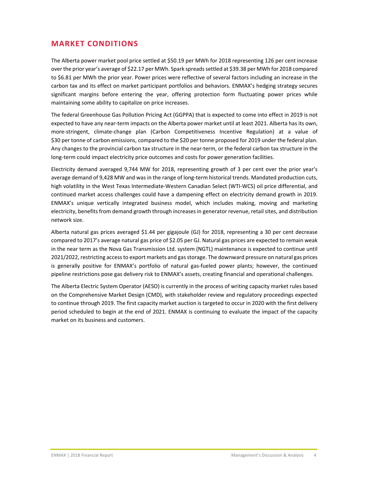# **MARKET CONDITIONS**

The Alberta power market pool price settled at \$50.19 per MWh for 2018 representing 126 per cent increase overthe prior year's average of \$22.17 per MWh. Spark spreadssettled at \$39.38 per MWh for 2018 compared to \$6.81 per MWh the prior year. Power prices were reflective of several factors including an increase in the carbon tax and its effect on market participant portfolios and behaviors. ENMAX's hedging strategy secures significant margins before entering the year, offering protection form fluctuating power prices while maintaining some ability to capitalize on price increases.

The federal Greenhouse Gas Pollution Pricing Act (GGPPA) that is expected to come into effect in 2019 is not expected to have any near‐term impacts on the Alberta power market until at least 2021. Alberta has its own, more-stringent, climate-change plan (Carbon Competitiveness Incentive Regulation) at a value of \$30 per tonne of carbon emissions, compared to the \$20 per tonne proposed for 2019 under the federal plan. Any changes to the provincial carbon tax structure in the near-term, or the federal carbon tax structure in the long-term could impact electricity price outcomes and costs for power generation facilities.

Electricity demand averaged 9,744 MW for 2018, representing growth of 3 per cent over the prior year's average demand of 9,428 MW and was in the range of long-term historical trends. Mandated production cuts, high volatility in the West Texas Intermediate-Western Canadian Select (WTI-WCS) oil price differential, and continued market access challenges could have a dampening effect on electricity demand growth in 2019. ENMAX's unique vertically integrated business model, which includes making, moving and marketing electricity, benefits from demand growth through increases in generator revenue, retail sites, and distribution network size.

Alberta natural gas prices averaged \$1.44 per gigajoule (GJ) for 2018, representing a 30 per cent decrease compared to 2017's average natural gas price of \$2.05 per GJ. Natural gas prices are expected to remain weak in the near term as the Nova Gas Transmission Ltd. system (NGTL) maintenance is expected to continue until 2021/2022,restricting accessto export markets and gasstorage. The downward pressure on natural gas prices is generally positive for ENMAX's portfolio of natural gas-fueled power plants; however, the continued pipeline restrictions pose gas delivery risk to ENMAX's assets, creating financial and operational challenges.

The Alberta Electric System Operator (AESO) is currently in the process of writing capacity market rules based on the Comprehensive Market Design (CMD), with stakeholder review and regulatory proceedings expected to continue through 2019. The first capacity market auction is targeted to occur in 2020 with the first delivery period scheduled to begin at the end of 2021. ENMAX is continuing to evaluate the impact of the capacity market on its business and customers.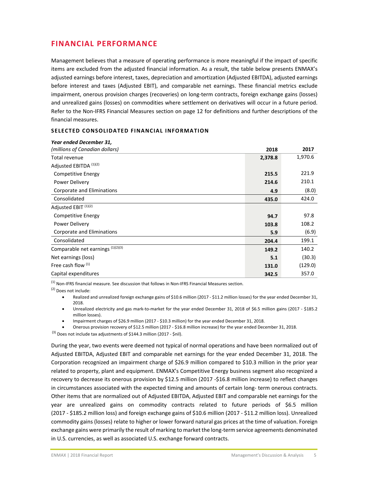# **FINANCIAL PERFORMANCE**

Management believes that a measure of operating performance is more meaningful if the impact of specific items are excluded from the adjusted financial information. As a result, the table below presents ENMAX's adjusted earnings before interest, taxes, depreciation and amortization (Adjusted EBITDA), adjusted earnings before interest and taxes (Adjusted EBIT), and comparable net earnings. These financial metrics exclude impairment, onerous provision charges (recoveries) on long-term contracts, foreign exchange gains (losses) and unrealized gains (losses) on commodities where settlement on derivatives will occur in a future period. Refer to the Non‐IFRS Financial Measures section on page 12 for definitions and further descriptions of the financial measures.

#### **SELECTED CONSOLIDATED FINANCIAL INFORMATION**

| Year ended December 31,           |         |         |
|-----------------------------------|---------|---------|
| (millions of Canadian dollars)    | 2018    | 2017    |
| Total revenue                     | 2,378.8 | 1,970.6 |
| Adjusted EBITDA <sup>(1)(2)</sup> |         |         |
| <b>Competitive Energy</b>         | 215.5   | 221.9   |
| Power Delivery                    | 214.6   | 210.1   |
| Corporate and Eliminations        | 4.9     | (8.0)   |
| Consolidated                      | 435.0   | 424.0   |
| Adjusted EBIT <sup>(1)(2)</sup>   |         |         |
| Competitive Energy                | 94.7    | 97.8    |
| Power Delivery                    | 103.8   | 108.2   |
| Corporate and Eliminations        | 5.9     | (6.9)   |
| Consolidated                      | 204.4   | 199.1   |
| Comparable net earnings (1)(2)(3) | 149.2   | 140.2   |
| Net earnings (loss)               | 5.1     | (30.3)  |
| Free cash flow (1)                | 131.0   | (129.0) |
| Capital expenditures              | 342.5   | 357.0   |

 $<sup>(1)</sup>$  Non-IFRS financial measure. See discussion that follows in Non-IFRS Financial Measures section.</sup>

(2) Does not include:

- Realized and unrealized foreign exchange gains of \$10.6 million (2017 \$11.2 million losses) for the year ended December 31, 2018.
- Unrealized electricity and gas mark-to-market for the year ended December 31, 2018 of \$6.5 million gains (2017 \$185.2 million losses).
- Impairment charges of \$26.9 million (2017 ‐ \$10.3 million) for the year ended December 31, 2018.
- Onerous provision recovery of \$12.5 million (2017 ‐ \$16.8 million increase) for the year ended December 31, 2018.

 $(3)$  Does not include tax adjustments of \$144.3 million (2017 - \$nil).

During the year, two events were deemed not typical of normal operations and have been normalized out of Adjusted EBITDA, Adjusted EBIT and comparable net earnings for the year ended December 31, 2018. The Corporation recognized an impairment charge of \$26.9 million compared to \$10.3 million in the prior year related to property, plant and equipment. ENMAX's Competitive Energy business segment also recognized a recovery to decrease its onerous provision by \$12.5 million (2017 ‐\$16.8 million increase) to reflect changes in circumstances associated with the expected timing and amounts of certain long- term onerous contracts. Other items that are normalized out of Adjusted EBITDA, Adjusted EBIT and comparable net earnings for the year are unrealized gains on commodity contracts related to future periods of \$6.5 million (2017 ‐ \$185.2 million loss) and foreign exchange gains of \$10.6 million (2017 ‐ \$11.2 million loss). Unrealized commodity gains (losses) relate to higher or lower forward natural gas prices at the time of valuation. Foreign exchange gains were primarily the result of marking to market the long‐term service agreements denominated in U.S. currencies, as well as associated U.S. exchange forward contracts.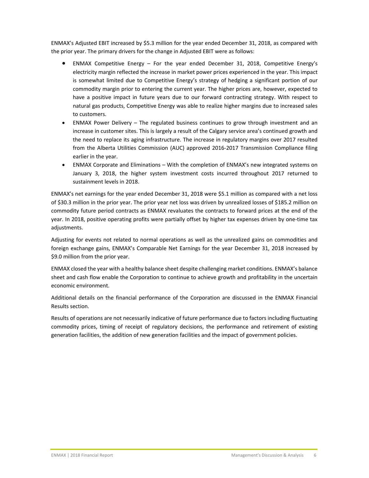ENMAX's Adjusted EBIT increased by \$5.3 million for the year ended December 31, 2018, as compared with the prior year. The primary drivers for the change in Adjusted EBIT were as follows:

- ENMAX Competitive Energy For the year ended December 31, 2018, Competitive Energy's electricity margin reflected the increase in market power prices experienced in the year. This impact is somewhat limited due to Competitive Energy's strategy of hedging a significant portion of our commodity margin prior to entering the current year. The higher prices are, however, expected to have a positive impact in future years due to our forward contracting strategy. With respect to natural gas products, Competitive Energy was able to realize higher margins due to increased sales to customers.
- ENMAX Power Delivery The regulated business continues to grow through investment and an increase in customer sites. This is largely a result of the Calgary service area's continued growth and the need to replace its aging infrastructure. The increase in regulatory margins over 2017 resulted from the Alberta Utilities Commission (AUC) approved 2016‐2017 Transmission Compliance filing earlier in the year.
- ENMAX Corporate and Eliminations With the completion of ENMAX's new integrated systems on January 3, 2018, the higher system investment costs incurred throughout 2017 returned to sustainment levels in 2018.

ENMAX's net earnings for the year ended December 31, 2018 were \$5.1 million as compared with a net loss of \$30.3 million in the prior year. The prior year net loss was driven by unrealized losses of \$185.2 million on commodity future period contracts as ENMAX revaluates the contracts to forward prices at the end of the year. In 2018, positive operating profits were partially offset by higher tax expenses driven by one-time tax adjustments.

Adjusting for events not related to normal operations as well as the unrealized gains on commodities and foreign exchange gains, ENMAX's Comparable Net Earnings for the year December 31, 2018 increased by \$9.0 million from the prior year.

ENMAX closed the year with a healthy balance sheet despite challenging market conditions. ENMAX's balance sheet and cash flow enable the Corporation to continue to achieve growth and profitability in the uncertain economic environment.

Additional details on the financial performance of the Corporation are discussed in the ENMAX Financial Results section.

Results of operations are not necessarily indicative of future performance due to factors including fluctuating commodity prices, timing of receipt of regulatory decisions, the performance and retirement of existing generation facilities, the addition of new generation facilities and the impact of government policies.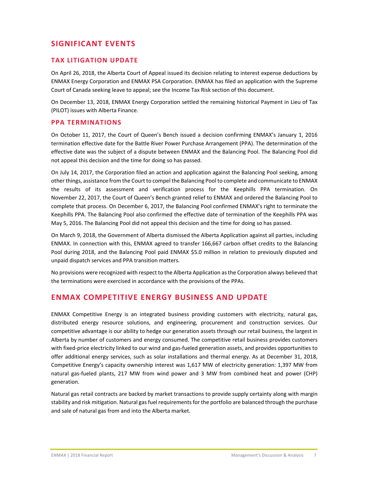# **SIGNIFICANT EVENTS**

#### **TAX LITIGATION UPDATE**

On April 26, 2018, the Alberta Court of Appeal issued its decision relating to interest expense deductions by ENMAX Energy Corporation and ENMAX PSA Corporation. ENMAX has filed an application with the Supreme Court of Canada seeking leave to appeal; see the Income Tax Risk section of this document.

On December 13, 2018, ENMAX Energy Corporation settled the remaining historical Payment in Lieu of Tax (PILOT) issues with Alberta Finance.

#### **PPA TERMINATIONS**

On October 11, 2017, the Court of Queen's Bench issued a decision confirming ENMAX's January 1, 2016 termination effective date for the Battle River Power Purchase Arrangement (PPA). The determination of the effective date was the subject of a dispute between ENMAX and the Balancing Pool. The Balancing Pool did not appeal this decision and the time for doing so has passed.

On July 14, 2017, the Corporation filed an action and application against the Balancing Pool seeking, among other things, assistance from the Court to compel the Balancing Pool to complete and communicate to ENMAX the results of its assessment and verification process for the Keephills PPA termination. On November 22, 2017, the Court of Queen's Bench granted relief to ENMAX and ordered the Balancing Pool to complete that process. On December 6, 2017, the Balancing Pool confirmed ENMAX's right to terminate the Keephills PPA. The Balancing Pool also confirmed the effective date of termination of the Keephills PPA was May 5, 2016. The Balancing Pool did not appeal this decision and the time for doing so has passed.

On March 9, 2018, the Government of Alberta dismissed the Alberta Application against all parties, including ENMAX. In connection with this, ENMAX agreed to transfer 166,667 carbon offset credits to the Balancing Pool during 2018, and the Balancing Pool paid ENMAX \$5.0 million in relation to previously disputed and unpaid dispatch services and PPA transition matters.

No provisions were recognized with respect to the Alberta Application asthe Corporation always believed that the terminations were exercised in accordance with the provisions of the PPAs.

# **ENMAX COMPETITIVE ENERGY BUSINESS AND UPDATE**

ENMAX Competitive Energy is an integrated business providing customers with electricity, natural gas, distributed energy resource solutions, and engineering, procurement and construction services. Our competitive advantage is our ability to hedge our generation assets through our retail business, the largest in Alberta by number of customers and energy consumed. The competitive retail business provides customers with fixed-price electricity linked to our wind and gas-fueled generation assets, and provides opportunities to offer additional energy services, such as solar installations and thermal energy. As at December 31, 2018, Competitive Energy's capacity ownership interest was 1,617 MW of electricity generation: 1,397 MW from natural gas‐fueled plants, 217 MW from wind power and 3 MW from combined heat and power (CHP) generation.

Natural gas retail contracts are backed by market transactions to provide supply certainty along with margin stability and risk mitigation. Natural gasfuel requirementsfor the portfolio are balanced through the purchase and sale of natural gas from and into the Alberta market.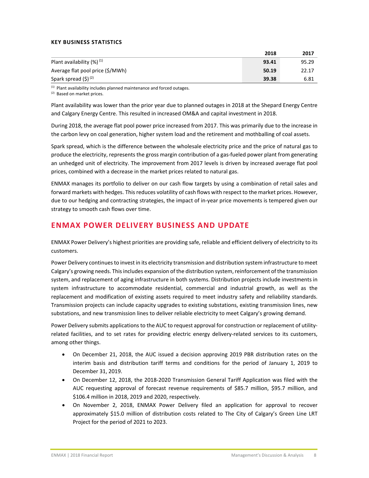#### **KEY BUSINESS STATISTICS**

|                                  | 2018  | 2017  |
|----------------------------------|-------|-------|
| Plant availability $(\%)^{(1)}$  | 93.41 | 95.29 |
| Average flat pool price (\$/MWh) | 50.19 | 22.17 |
| Spark spread $(\xi)^{(2)}$       | 39.38 | 6.81  |

 $(1)$  Plant availability includes planned maintenance and forced outages.

(2) Based on market prices.

Plant availability was lower than the prior year due to planned outages in 2018 at the Shepard Energy Centre and Calgary Energy Centre. This resulted in increased OM&A and capital investment in 2018.

During 2018, the average flat pool power price increased from 2017. This was primarily due to the increase in the carbon levy on coal generation, higher system load and the retirement and mothballing of coal assets.

Spark spread, which is the difference between the wholesale electricity price and the price of natural gas to produce the electricity, represents the gross margin contribution of a gas-fueled power plant from generating an unhedged unit of electricity. The improvement from 2017 levels is driven by increased average flat pool prices, combined with a decrease in the market prices related to natural gas.

ENMAX manages its portfolio to deliver on our cash flow targets by using a combination of retail sales and forward markets with hedges. This reduces volatility of cash flows with respect to the market prices. However, due to our hedging and contracting strategies, the impact of in‐year price movements is tempered given our strategy to smooth cash flows over time.

# **ENMAX POWER DELIVERY BUSINESS AND UPDATE**

ENMAX Power Delivery's highest priorities are providing safe, reliable and efficient delivery of electricity to its customers.

Power Delivery continues to invest in its electricity transmission and distribution system infrastructure to meet Calgary's growing needs. Thisincludes expansion of the distribution system,reinforcement of the transmission system, and replacement of aging infrastructure in both systems. Distribution projects include investments in system infrastructure to accommodate residential, commercial and industrial growth, as well as the replacement and modification of existing assets required to meet industry safety and reliability standards. Transmission projects can include capacity upgrades to existing substations, existing transmission lines, new substations, and new transmission lines to deliver reliable electricity to meet Calgary's growing demand.

Power Delivery submits applications to the AUC to request approval for construction or replacement of utilityrelated facilities, and to set rates for providing electric energy delivery‐related services to its customers, among other things.

- On December 21, 2018, the AUC issued a decision approving 2019 PBR distribution rates on the interim basis and distribution tariff terms and conditions for the period of January 1, 2019 to December 31, 2019.
- On December 12, 2018, the 2018‐2020 Transmission General Tariff Application was filed with the AUC requesting approval of forecast revenue requirements of \$85.7 million, \$95.7 million, and \$106.4 million in 2018, 2019 and 2020, respectively.
- On November 2, 2018, ENMAX Power Delivery filed an application for approval to recover approximately \$15.0 million of distribution costs related to The City of Calgary's Green Line LRT Project for the period of 2021 to 2023.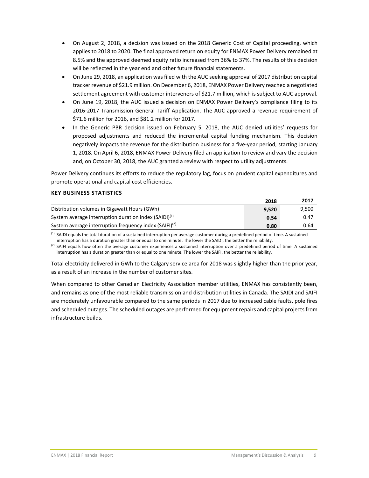- On August 2, 2018, a decision was issued on the 2018 Generic Cost of Capital proceeding, which applies to 2018 to 2020. The final approved return on equity for ENMAX Power Delivery remained at 8.5% and the approved deemed equity ratio increased from 36% to 37%. The results of this decision will be reflected in the year end and other future financial statements.
- On June 29, 2018, an application was filed with the AUC seeking approval of 2017 distribution capital tracker revenue of \$21.9 million. On December 6, 2018, ENMAX Power Delivery reached a negotiated settlement agreement with customer interveners of \$21.7 million, which is subject to AUC approval.
- On June 19, 2018, the AUC issued a decision on ENMAX Power Delivery's compliance filing to its 2016‐2017 Transmission General Tariff Application. The AUC approved a revenue requirement of \$71.6 million for 2016, and \$81.2 million for 2017.
- In the Generic PBR decision issued on February 5, 2018, the AUC denied utilities' requests for proposed adjustments and reduced the incremental capital funding mechanism. This decision negatively impacts the revenue for the distribution business for a five‐year period, starting January 1, 2018. On April 6, 2018, ENMAX Power Delivery filed an application to review and vary the decision and, on October 30, 2018, the AUC granted a review with respect to utility adjustments.

Power Delivery continues its efforts to reduce the regulatory lag, focus on prudent capital expenditures and promote operational and capital cost efficiencies.

#### **KEY BUSINESS STATISTICS**

|                                                                    | 2018  | 2017  |
|--------------------------------------------------------------------|-------|-------|
| Distribution volumes in Gigawatt Hours (GWh)                       | 9.520 | 9,500 |
| System average interruption duration index $(SAIDI)^{(1)}$         | 0.54  | 0.47  |
| System average interruption frequency index (SAIFI) <sup>(2)</sup> | 0.80  | 0.64  |

 $<sup>(1)</sup>$  SAIDI equals the total duration of a sustained interruption per average customer during a predefined period of time. A sustained</sup> interruption has a duration greater than or equal to one minute. The lower the SAIDI, the better the reliability.

<sup>(2)</sup> SAIFI equals how often the average customer experiences a sustained interruption over a predefined period of time. A sustained interruption has a duration greater than or equal to one minute. The lower the SAIFI, the better the reliability.

Total electricity delivered in GWh to the Calgary service area for 2018 was slightly higher than the prior year, as a result of an increase in the number of customer sites.

When compared to other Canadian Electricity Association member utilities, ENMAX has consistently been, and remains as one of the most reliable transmission and distribution utilities in Canada. The SAIDI and SAIFI are moderately unfavourable compared to the same periods in 2017 due to increased cable faults, pole fires and scheduled outages. The scheduled outages are performed for equipment repairs and capital projects from infrastructure builds.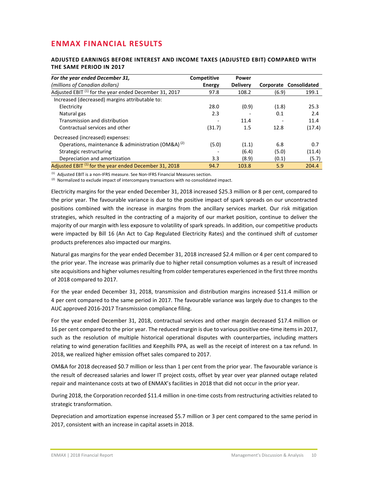# **ENMAX FINANCIAL RESULTS**

#### **ADJUSTED EARNINGS BEFORE INTEREST AND INCOME TAXES (ADJUSTED EBIT) COMPARED WITH THE SAME PERIOD IN 2017**

| For the year ended December 31,                                   | Competitive   | <b>Power</b>    |       |                        |
|-------------------------------------------------------------------|---------------|-----------------|-------|------------------------|
| (millions of Canadian dollars)                                    | <b>Energy</b> | <b>Delivery</b> |       | Corporate Consolidated |
| Adjusted EBIT <sup>(1)</sup> for the year ended December 31, 2017 | 97.8          | 108.2           | (6.9) | 199.1                  |
| Increased (decreased) margins attributable to:                    |               |                 |       |                        |
| Electricity                                                       | 28.0          | (0.9)           | (1.8) | 25.3                   |
| Natural gas                                                       | 2.3           |                 | 0.1   | 2.4                    |
| Transmission and distribution                                     |               | 11.4            |       | 11.4                   |
| Contractual services and other                                    | (31.7)        | 1.5             | 12.8  | (17.4)                 |
| Decreased (increased) expenses:                                   |               |                 |       |                        |
| Operations, maintenance & administration (OM&A) <sup>(2)</sup>    | (5.0)         | (1.1)           | 6.8   | 0.7                    |
| Strategic restructuring                                           |               | (6.4)           | (5.0) | (11.4)                 |
| Depreciation and amortization                                     | 3.3           | (8.9)           | (0.1) | (5.7)                  |
| Adjusted EBIT <sup>(1)</sup> for the year ended December 31, 2018 | 94.7          | 103.8           | 5.9   | 204.4                  |

(1) Adjusted EBIT is a non-IFRS measure. See Non-IFRS Financial Measures section.

 $(2)$  Normalized to exclude impact of intercompany transactions with no consolidated impact.

Electricity margins for the year ended December 31, 2018 increased \$25.3 million or 8 per cent, compared to the prior year. The favourable variance is due to the positive impact of spark spreads on our uncontracted positions combined with the increase in margins from the ancillary services market. Our risk mitigation strategies, which resulted in the contracting of a majority of our market position, continue to deliver the majority of our margin with less exposure to volatility of spark spreads. In addition, our competitive products were impacted by Bill 16 (An Act to Cap Regulated Electricity Rates) and the continued shift of customer products preferences also impacted our margins.

Natural gas margins for the year ended December 31, 2018 increased \$2.4 million or 4 per cent compared to the prior year. The increase was primarily due to higher retail consumption volumes as a result of increased site acquisitions and higher volumes resulting from colder temperatures experienced in the first three months of 2018 compared to 2017.

For the year ended December 31, 2018, transmission and distribution margins increased \$11.4 million or 4 per cent compared to the same period in 2017. The favourable variance was largely due to changes to the AUC approved 2016‐2017 Transmission compliance filing.

For the year ended December 31, 2018, contractual services and other margin decreased \$17.4 million or 16 per cent compared to the prior year. The reduced margin is due to various positive one‐time itemsin 2017, such as the resolution of multiple historical operational disputes with counterparties, including matters relating to wind generation facilities and Keephills PPA, as well as the receipt of interest on a tax refund. In 2018, we realized higher emission offset sales compared to 2017.

OM&A for 2018 decreased \$0.7 million or less than 1 per cent from the prior year. The favourable variance is the result of decreased salaries and lower IT project costs, offset by year over year planned outage related repair and maintenance costs at two of ENMAX's facilities in 2018 that did not occur in the prior year.

During 2018, the Corporation recorded \$11.4 million in one-time costs from restructuring activities related to strategic transformation.

Depreciation and amortization expense increased \$5.7 million or 3 per cent compared to the same period in 2017, consistent with an increase in capital assets in 2018.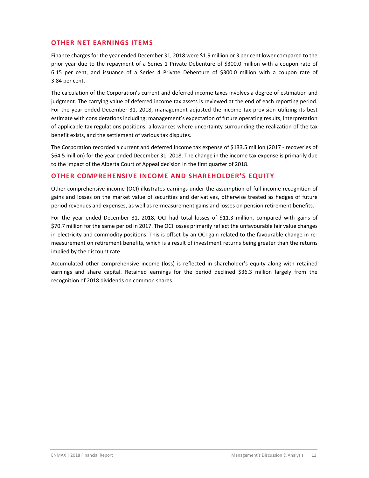#### **OTHER NET EARNINGS ITEMS**

Finance charges for the year ended December 31, 2018 were \$1.9 million or 3 per cent lower compared to the prior year due to the repayment of a Series 1 Private Debenture of \$300.0 million with a coupon rate of 6.15 per cent, and issuance of a Series 4 Private Debenture of \$300.0 million with a coupon rate of 3.84 per cent.

The calculation of the Corporation's current and deferred income taxes involves a degree of estimation and judgment. The carrying value of deferred income tax assets is reviewed at the end of each reporting period. For the year ended December 31, 2018, management adjusted the income tax provision utilizing its best estimate with considerations including: management's expectation of future operating results, interpretation of applicable tax regulations positions, allowances where uncertainty surrounding the realization of the tax benefit exists, and the settlement of various tax disputes.

The Corporation recorded a current and deferred income tax expense of \$133.5 million (2017 ‐ recoveries of \$64.5 million) for the year ended December 31, 2018. The change in the income tax expense is primarily due to the impact of the Alberta Court of Appeal decision in the first quarter of 2018.

#### **OTHER COMPREHENSIVE INCOME AND SHAREHOLDER'S EQUITY**

Other comprehensive income (OCI) illustrates earnings under the assumption of full income recognition of gains and losses on the market value of securities and derivatives, otherwise treated as hedges of future period revenues and expenses, as well as re-measurement gains and losses on pension retirement benefits.

For the year ended December 31, 2018, OCI had total losses of \$11.3 million, compared with gains of \$70.7 million for the same period in 2017. The OCI losses primarily reflect the unfavourable fair value changes in electricity and commodity positions. This is offset by an OCI gain related to the favourable change in remeasurement on retirement benefits, which is a result of investment returns being greater than the returns implied by the discount rate.

Accumulated other comprehensive income (loss) is reflected in shareholder's equity along with retained earnings and share capital. Retained earnings for the period declined \$36.3 million largely from the recognition of 2018 dividends on common shares.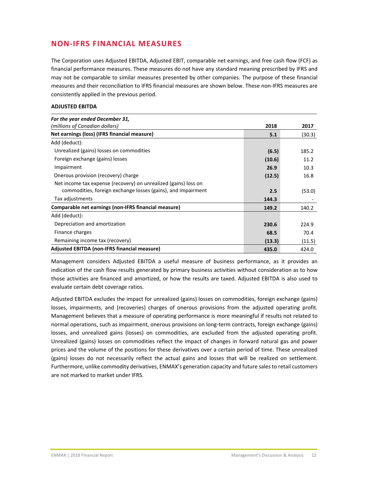# **NON‐IFRS FINANCIAL MEASURES**

The Corporation uses Adjusted EBITDA, Adjusted EBIT, comparable net earnings, and free cash flow (FCF) as financial performance measures. These measures do not have any standard meaning prescribed by IFRS and may not be comparable to similar measures presented by other companies. The purpose of these financial measures and their reconciliation to IFRS financial measures are shown below. These non‐IFRS measures are consistently applied in the previous period.

#### **ADJUSTED EBITDA**

| For the year ended December 31,                                 |        |        |
|-----------------------------------------------------------------|--------|--------|
| (millions of Canadian dollars)                                  | 2018   | 2017   |
| Net earnings (loss) (IFRS financial measure)                    | 5.1    | (30.3) |
| Add (deduct):                                                   |        |        |
| Unrealized (gains) losses on commodities                        | (6.5)  | 185.2  |
| Foreign exchange (gains) losses                                 | (10.6) | 11.2   |
| Impairment                                                      | 26.9   | 10.3   |
| Onerous provision (recovery) charge                             | (12.5) | 16.8   |
| Net income tax expense (recovery) on unrealized (gains) loss on |        |        |
| commodities, foreign exchange losses (gains), and impairment    | 2.5    | (53.0) |
| Tax adjustments                                                 | 144.3  |        |
| Comparable net earnings (non-IFRS financial measure)            | 149.2  | 140.2  |
| Add (deduct):                                                   |        |        |
| Depreciation and amortization                                   | 230.6  | 224.9  |
| Finance charges                                                 | 68.5   | 70.4   |
| Remaining income tax (recovery)                                 | (13.3) | (11.5) |
| <b>Adjusted EBITDA (non-IFRS financial measure)</b>             | 435.0  | 424.0  |

Management considers Adjusted EBITDA a useful measure of business performance, as it provides an indication of the cash flow results generated by primary business activities without consideration as to how those activities are financed and amortized, or how the results are taxed. Adjusted EBITDA is also used to evaluate certain debt coverage ratios.

Adjusted EBITDA excludes the impact for unrealized (gains) losses on commodities, foreign exchange (gains) losses, impairments, and (recoveries) charges of onerous provisions from the adjusted operating profit. Management believes that a measure of operating performance is more meaningful if results not related to normal operations, such as impairment, onerous provisions on long‐term contracts, foreign exchange (gains) losses, and unrealized gains (losses) on commodities, are excluded from the adjusted operating profit. Unrealized (gains) losses on commodities reflect the impact of changes in forward natural gas and power prices and the volume of the positions for these derivatives over a certain period of time. These unrealized (gains) losses do not necessarily reflect the actual gains and losses that will be realized on settlement. Furthermore, unlike commodity derivatives, ENMAX's generation capacity and future salesto retail customers are not marked to market under IFRS.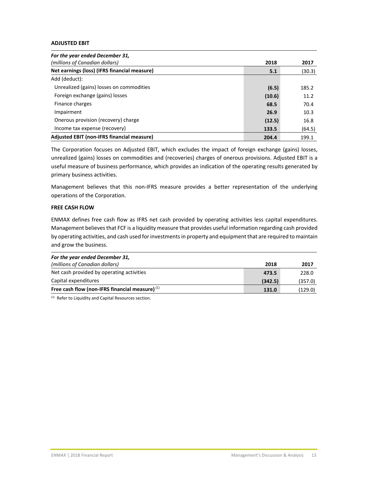#### **ADJUSTED EBIT**

| For the year ended December 31,              |        |        |
|----------------------------------------------|--------|--------|
| (millions of Canadian dollars)               | 2018   | 2017   |
| Net earnings (loss) (IFRS financial measure) | 5.1    | (30.3) |
| Add (deduct):                                |        |        |
| Unrealized (gains) losses on commodities     | (6.5)  | 185.2  |
| Foreign exchange (gains) losses              | (10.6) | 11.2   |
| Finance charges                              | 68.5   | 70.4   |
| Impairment                                   | 26.9   | 10.3   |
| Onerous provision (recovery) charge          | (12.5) | 16.8   |
| Income tax expense (recovery)                | 133.5  | (64.5) |
| Adjusted EBIT (non-IFRS financial measure)   | 204.4  | 199.1  |

The Corporation focuses on Adjusted EBIT, which excludes the impact of foreign exchange (gains) losses, unrealized (gains) losses on commodities and (recoveries) charges of onerous provisions. Adjusted EBIT is a useful measure of business performance, which provides an indication of the operating results generated by primary business activities.

Management believes that this non-IFRS measure provides a better representation of the underlying operations of the Corporation.

#### **FREE CASH FLOW**

ENMAX defines free cash flow as IFRS net cash provided by operating activities less capital expenditures. Management believesthat FCF is a liquidity measure that provides useful information regarding cash provided by operating activities, and cash used forinvestmentsin property and equipment that are required to maintain and grow the business.

| For the year ended December 31,                   |         |         |
|---------------------------------------------------|---------|---------|
| (millions of Canadian dollars)                    | 2018    | 2017    |
| Net cash provided by operating activities         | 473.5   | 228.0   |
| Capital expenditures                              | (342.5) | (357.0) |
| Free cash flow (non-IFRS financial measure) $(1)$ | 131.0   | (129.0) |

<sup>(1)</sup> Refer to Liquidity and Capital Resources section.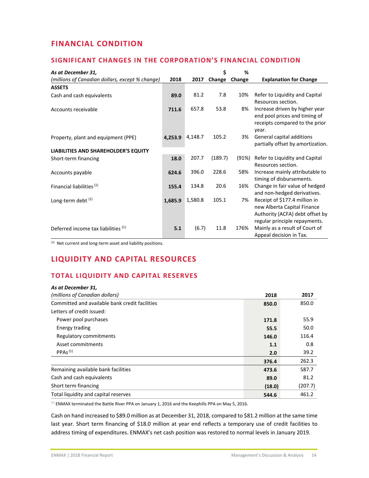# **FINANCIAL CONDITION**

#### **SIGNIFICANT CHANGES IN THE CORPORATION'S FINANCIAL CONDITION**

| As at December 31,                              |         |         | Ś       | %      |                                                                                                                                  |
|-------------------------------------------------|---------|---------|---------|--------|----------------------------------------------------------------------------------------------------------------------------------|
| (millions of Canadian dollars, except % change) | 2018    | 2017    | Change  | Change | <b>Explanation for Change</b>                                                                                                    |
| <b>ASSETS</b>                                   |         |         |         |        |                                                                                                                                  |
| Cash and cash equivalents                       | 89.0    | 81.2    | 7.8     | 10%    | Refer to Liquidity and Capital<br>Resources section.                                                                             |
| Accounts receivable                             | 711.6   | 657.8   | 53.8    | 8%     | Increase driven by higher year<br>end pool prices and timing of<br>receipts compared to the prior<br>year.                       |
| Property, plant and equipment (PPE)             | 4,253.9 | 4,148.7 | 105.2   | 3%     | General capital additions<br>partially offset by amortization.                                                                   |
| LIABILITIES AND SHAREHOLDER'S EQUITY            |         |         |         |        |                                                                                                                                  |
| Short-term financing                            | 18.0    | 207.7   | (189.7) | (91%)  | Refer to Liquidity and Capital<br>Resources section.                                                                             |
| Accounts payable                                | 624.6   | 396.0   | 228.6   | 58%    | Increase mainly attributable to<br>timing of disbursements.                                                                      |
| Financial liabilities <sup>(1)</sup>            | 155.4   | 134.8   | 20.6    | 16%    | Change in fair value of hedged<br>and non-hedged derivatives.                                                                    |
| Long-term debt <sup>(1)</sup>                   | 1,685.9 | 1,580.8 | 105.1   | 7%     | Receipt of \$177.4 million in<br>new Alberta Capital Finance<br>Authority (ACFA) debt offset by<br>regular principle repayments. |
| Deferred income tax liabilities (1)             | 5.1     | (6.7)   | 11.8    | 176%   | Mainly as a result of Court of<br>Appeal decision in Tax.                                                                        |

 $(1)$  Net current and long-term asset and liability positions.

# **LIQUIDITY AND CAPITAL RESOURCES**

# **TOTAL LIQUIDITY AND CAPITAL RESERVES**

| As at December 31,                             |        |         |
|------------------------------------------------|--------|---------|
| (millions of Canadian dollars)                 | 2018   | 2017    |
| Committed and available bank credit facilities | 850.0  | 850.0   |
| Letters of credit issued:                      |        |         |
| Power pool purchases                           | 171.8  | 55.9    |
| Energy trading                                 | 55.5   | 50.0    |
| Regulatory commitments                         | 146.0  | 116.4   |
| Asset commitments                              | 1.1    | 0.8     |
| PPAs <sup>(1)</sup>                            | 2.0    | 39.2    |
|                                                | 376.4  | 262.3   |
| Remaining available bank facilities            | 473.6  | 587.7   |
| Cash and cash equivalents                      | 89.0   | 81.2    |
| Short term financing                           | (18.0) | (207.7) |
| Total liquidity and capital reserves           | 544.6  | 461.2   |

 $^{(1)}$  ENMAX terminated the Battle River PPA on January 1, 2016 and the Keephills PPA on May 5, 2016.

Cash on hand increased to \$89.0 million as at December 31, 2018, compared to \$81.2 million at the same time last year. Short term financing of \$18.0 million at year end reflects a temporary use of credit facilities to address timing of expenditures. ENMAX's net cash position was restored to normal levels in January 2019.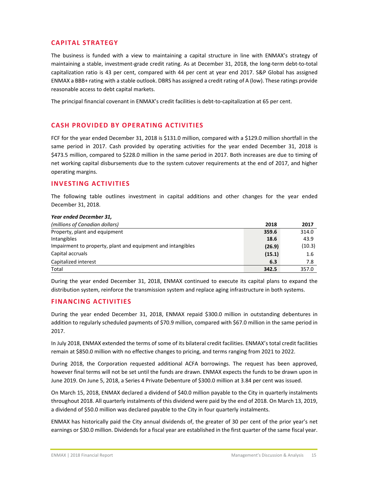#### **CAPITAL STRATEGY**

The business is funded with a view to maintaining a capital structure in line with ENMAX's strategy of maintaining a stable, investment-grade credit rating. As at December 31, 2018, the long-term debt-to-total capitalization ratio is 43 per cent, compared with 44 per cent at year end 2017. S&P Global has assigned ENMAX a BBB+ rating with a stable outlook. DBRS has assigned a credit rating of A (low). These ratings provide reasonable access to debt capital markets.

The principal financial covenant in ENMAX's credit facilities is debt-to-capitalization at 65 per cent.

#### **CASH PROVIDED BY OPERATING ACTIVITIES**

FCF for the year ended December 31, 2018 is \$131.0 million, compared with a \$129.0 million shortfall in the same period in 2017. Cash provided by operating activities for the year ended December 31, 2018 is \$473.5 million, compared to \$228.0 million in the same period in 2017. Both increases are due to timing of net working capital disbursements due to the system cutover requirements at the end of 2017, and higher operating margins.

#### **INVESTING ACTIVITIES**

The following table outlines investment in capital additions and other changes for the year ended December 31, 2018.

| Year ended December 31,                                     |        |        |
|-------------------------------------------------------------|--------|--------|
| (millions of Canadian dollars)                              | 2018   | 2017   |
| Property, plant and equipment                               | 359.6  | 314.0  |
| Intangibles                                                 | 18.6   | 43.9   |
| Impairment to property, plant and equipment and intangibles | (26.9) | (10.3) |
| Capital accruals                                            | (15.1) | 1.6    |
| Capitalized interest                                        | 6.3    | 7.8    |
| Total                                                       | 342.5  | 357.0  |

During the year ended December 31, 2018, ENMAX continued to execute its capital plans to expand the distribution system, reinforce the transmission system and replace aging infrastructure in both systems.

#### **FINANCING ACTIVITIES**

During the year ended December 31, 2018, ENMAX repaid \$300.0 million in outstanding debentures in addition to regularly scheduled payments of \$70.9 million, compared with \$67.0 million in the same period in 2017.

In July 2018, ENMAX extended the terms of some of its bilateral credit facilities. ENMAX's total credit facilities remain at \$850.0 million with no effective changes to pricing, and terms ranging from 2021 to 2022.

During 2018, the Corporation requested additional ACFA borrowings. The request has been approved, however final terms will not be set until the funds are drawn. ENMAX expects the funds to be drawn upon in June 2019. On June 5, 2018, a Series 4 Private Debenture of \$300.0 million at 3.84 per cent was issued.

On March 15, 2018, ENMAX declared a dividend of \$40.0 million payable to the City in quarterly instalments throughout 2018. All quarterly instalments of this dividend were paid by the end of 2018. On March 13, 2019, a dividend of \$50.0 million was declared payable to the City in four quarterly instalments.

ENMAX has historically paid the City annual dividends of, the greater of 30 per cent of the prior year's net earnings or \$30.0 million. Dividends for a fiscal year are established in the first quarter of the same fiscal year.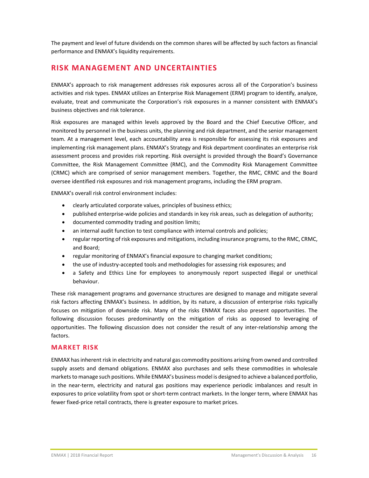The payment and level of future dividends on the common shares will be affected by such factors as financial performance and ENMAX's liquidity requirements.

# **RISK MANAGEMENT AND UNCERTAINTIES**

ENMAX's approach to risk management addresses risk exposures across all of the Corporation's business activities and risk types. ENMAX utilizes an Enterprise Risk Management (ERM) program to identify, analyze, evaluate, treat and communicate the Corporation's risk exposures in a manner consistent with ENMAX's business objectives and risk tolerance.

Risk exposures are managed within levels approved by the Board and the Chief Executive Officer, and monitored by personnel in the business units, the planning and risk department, and the senior management team. At a management level, each accountability area is responsible for assessing its risk exposures and implementing risk management plans. ENMAX's Strategy and Risk department coordinates an enterprise risk assessment process and provides risk reporting. Risk oversight is provided through the Board's Governance Committee, the Risk Management Committee (RMC), and the Commodity Risk Management Committee (CRMC) which are comprised of senior management members. Together, the RMC, CRMC and the Board oversee identified risk exposures and risk management programs, including the ERM program.

ENMAX's overall risk control environment includes:

- clearly articulated corporate values, principles of business ethics;
- published enterprise‐wide policies and standards in key risk areas, such as delegation of authority;
- documented commodity trading and position limits;
- an internal audit function to test compliance with internal controls and policies;
- regular reporting of risk exposures and mitigations, including insurance programs, to the RMC, CRMC, and Board;
- regular monitoring of ENMAX's financial exposure to changing market conditions;
- the use of industry‐accepted tools and methodologies for assessing risk exposures; and
- a Safety and Ethics Line for employees to anonymously report suspected illegal or unethical behaviour.

These risk management programs and governance structures are designed to manage and mitigate several risk factors affecting ENMAX's business. In addition, by its nature, a discussion of enterprise risks typically focuses on mitigation of downside risk. Many of the risks ENMAX faces also present opportunities. The following discussion focuses predominantly on the mitigation of risks as opposed to leveraging of opportunities. The following discussion does not consider the result of any inter‐relationship among the factors.

#### **MARKET RISK**

ENMAX hasinherent risk in electricity and natural gas commodity positions arising from owned and controlled supply assets and demand obligations. ENMAX also purchases and sells these commodities in wholesale marketsto manage such positions. While ENMAX's business model is designed to achieve a balanced portfolio, in the near-term, electricity and natural gas positions may experience periodic imbalances and result in exposures to price volatility from spot or short-term contract markets. In the longer term, where ENMAX has fewer fixed-price retail contracts, there is greater exposure to market prices.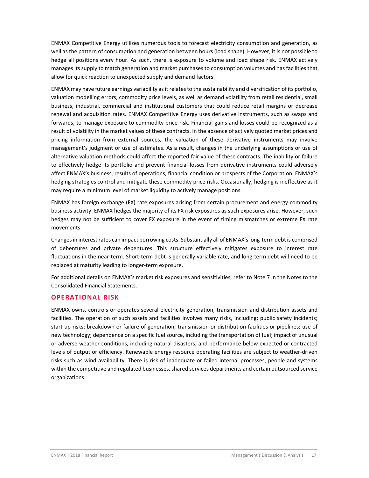ENMAX Competitive Energy utilizes numerous tools to forecast electricity consumption and generation, as well as the pattern of consumption and generation between hours (load shape). However, it is not possible to hedge all positions every hour. As such, there is exposure to volume and load shape risk. ENMAX actively managesits supply to match generation and market purchases to consumption volumes and has facilities that allow for quick reaction to unexpected supply and demand factors.

ENMAX may have future earnings variability as it relates to the sustainability and diversification of its portfolio, valuation modelling errors, commodity price levels, as well as demand volatility from retail residential, small business, industrial, commercial and institutional customers that could reduce retail margins or decrease renewal and acquisition rates. ENMAX Competitive Energy uses derivative instruments, such as swaps and forwards, to manage exposure to commodity price risk. Financial gains and losses could be recognized as a result of volatility in the market values of these contracts. In the absence of actively quoted market prices and pricing information from external sources, the valuation of these derivative instruments may involve management's judgment or use of estimates. As a result, changes in the underlying assumptions or use of alternative valuation methods could affect the reported fair value of these contracts. The inability or failure to effectively hedge its portfolio and prevent financial losses from derivative instruments could adversely affect ENMAX's business, results of operations, financial condition or prospects of the Corporation. ENMAX's hedging strategies control and mitigate these commodity price risks. Occasionally, hedging is ineffective as it may require a minimum level of market liquidity to actively manage positions.

ENMAX has foreign exchange (FX) rate exposures arising from certain procurement and energy commodity business activity. ENMAX hedges the majority of its FX risk exposures as such exposures arise. However, such hedges may not be sufficient to cover FX exposure in the event of timing mismatches or extreme FX rate movements.

Changesin interestrates can impact borrowing costs. Substantially all of ENMAX'slong‐term debt is comprised of debentures and private debentures. This structure effectively mitigates exposure to interest rate fluctuations in the near-term. Short-term debt is generally variable rate, and long-term debt will need to be replaced at maturity leading to longer‐term exposure.

For additional details on ENMAX's market risk exposures and sensitivities, refer to Note 7 in the Notes to the Consolidated Financial Statements.

#### **OPERATIONAL RISK**

ENMAX owns, controls or operates several electricity generation, transmission and distribution assets and facilities. The operation of such assets and facilities involves many risks, including: public safety incidents; start-up risks; breakdown or failure of generation, transmission or distribution facilities or pipelines; use of new technology; dependence on a specific fuel source, including the transportation of fuel; impact of unusual or adverse weather conditions, including natural disasters; and performance below expected or contracted levels of output or efficiency. Renewable energy resource operating facilities are subject to weather‐driven risks such as wind availability. There is risk of inadequate or failed internal processes, people and systems within the competitive and regulated businesses, shared services departments and certain outsourced service organizations.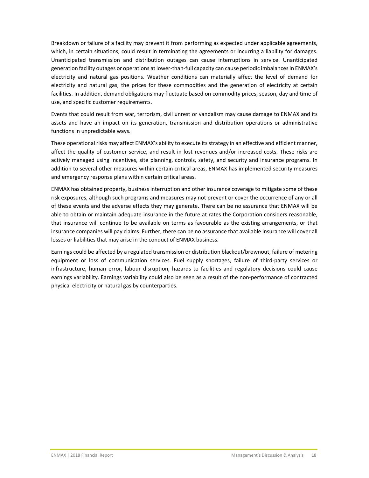Breakdown or failure of a facility may prevent it from performing as expected under applicable agreements, which, in certain situations, could result in terminating the agreements or incurring a liability for damages. Unanticipated transmission and distribution outages can cause interruptions in service. Unanticipated generation facility outages or operations at lower-than-full capacity can cause periodic imbalances in ENMAX's electricity and natural gas positions. Weather conditions can materially affect the level of demand for electricity and natural gas, the prices for these commodities and the generation of electricity at certain facilities. In addition, demand obligations may fluctuate based on commodity prices, season, day and time of use, and specific customer requirements.

Events that could result from war, terrorism, civil unrest or vandalism may cause damage to ENMAX and its assets and have an impact on its generation, transmission and distribution operations or administrative functions in unpredictable ways.

These operational risks may affect ENMAX's ability to execute its strategy in an effective and efficient manner, affect the quality of customer service, and result in lost revenues and/or increased costs. These risks are actively managed using incentives, site planning, controls, safety, and security and insurance programs. In addition to several other measures within certain critical areas, ENMAX has implemented security measures and emergency response plans within certain critical areas.

ENMAX has obtained property, business interruption and other insurance coverage to mitigate some of these risk exposures, although such programs and measures may not prevent or cover the occurrence of any or all of these events and the adverse effects they may generate. There can be no assurance that ENMAX will be able to obtain or maintain adequate insurance in the future at rates the Corporation considers reasonable, that insurance will continue to be available on terms as favourable as the existing arrangements, or that insurance companies will pay claims. Further, there can be no assurance that available insurance will cover all losses or liabilities that may arise in the conduct of ENMAX business.

Earnings could be affected by a regulated transmission or distribution blackout/brownout, failure of metering equipment or loss of communication services. Fuel supply shortages, failure of third‐party services or infrastructure, human error, labour disruption, hazards to facilities and regulatory decisions could cause earnings variability. Earnings variability could also be seen as a result of the non-performance of contracted physical electricity or natural gas by counterparties.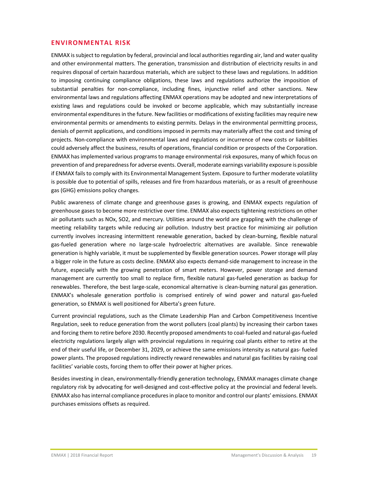#### **ENVIRONMENTAL RISK**

ENMAX issubject to regulation by federal, provincial and local authoritiesregarding air, land and water quality and other environmental matters. The generation, transmission and distribution of electricity results in and requires disposal of certain hazardous materials, which are subject to these laws and regulations. In addition to imposing continuing compliance obligations, these laws and regulations authorize the imposition of substantial penalties for non-compliance, including fines, injunctive relief and other sanctions. New environmental laws and regulations affecting ENMAX operations may be adopted and new interpretations of existing laws and regulations could be invoked or become applicable, which may substantially increase environmental expenditures in the future. New facilities or modifications of existing facilities may require new environmental permits or amendments to existing permits. Delays in the environmental permitting process, denials of permit applications, and conditions imposed in permits may materially affect the cost and timing of projects. Non‐compliance with environmental laws and regulations or incurrence of new costs or liabilities could adversely affect the business, results of operations, financial condition or prospects of the Corporation. ENMAX has implemented various programs to manage environmental risk exposures, many of which focus on prevention of and preparednessfor adverse events. Overall, moderate earnings variability exposure is possible if ENMAX fails to comply with its Environmental Management System. Exposure to further moderate volatility is possible due to potential of spills, releases and fire from hazardous materials, or as a result of greenhouse gas (GHG) emissions policy changes.

Public awareness of climate change and greenhouse gases is growing, and ENMAX expects regulation of greenhouse gases to become more restrictive over time. ENMAX also expects tightening restrictions on other air pollutants such as NOx, SO2, and mercury. Utilities around the world are grappling with the challenge of meeting reliability targets while reducing air pollution. Industry best practice for minimizing air pollution currently involves increasing intermittent renewable generation, backed by clean-burning, flexible natural gas‐fueled generation where no large‐scale hydroelectric alternatives are available. Since renewable generation is highly variable, it must be supplemented by flexible generation sources. Power storage will play a bigger role in the future as costs decline. ENMAX also expects demand‐side management to increase in the future, especially with the growing penetration of smart meters. However, power storage and demand management are currently too small to replace firm, flexible natural gas-fueled generation as backup for renewables. Therefore, the best large-scale, economical alternative is clean-burning natural gas generation. ENMAX's wholesale generation portfolio is comprised entirely of wind power and natural gas‐fueled generation, so ENMAX is well positioned for Alberta's green future.

Current provincial regulations, such as the Climate Leadership Plan and Carbon Competitiveness Incentive Regulation, seek to reduce generation from the worst polluters (coal plants) by increasing their carbon taxes and forcing them to retire before 2030. Recently proposed amendments to coal-fueled and natural-gas-fueled electricity regulations largely align with provincial regulations in requiring coal plants either to retire at the end of their useful life, or December 31, 2029, or achieve the same emissions intensity as natural gas-fueled power plants. The proposed regulations indirectly reward renewables and natural gas facilities by raising coal facilities' variable costs, forcing them to offer their power at higher prices.

Besides investing in clean, environmentally-friendly generation technology, ENMAX manages climate change regulatory risk by advocating for well‐designed and cost‐effective policy at the provincial and federal levels. ENMAX also has internal compliance procedures in place to monitor and control our plants' emissions. ENMAX purchases emissions offsets as required.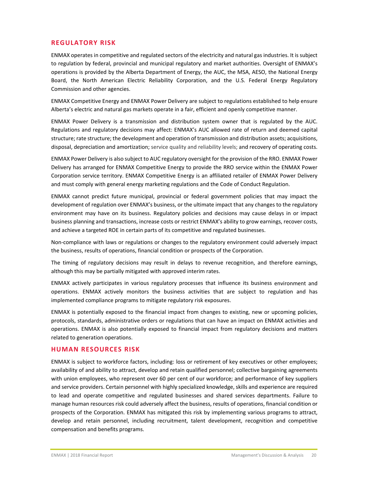#### **REGULATORY RISK**

ENMAX operates in competitive and regulated sectors of the electricity and natural gas industries. It is subject to regulation by federal, provincial and municipal regulatory and market authorities. Oversight of ENMAX's operations is provided by the Alberta Department of Energy, the AUC, the MSA, AESO, the National Energy Board, the North American Electric Reliability Corporation, and the U.S. Federal Energy Regulatory Commission and other agencies.

ENMAX Competitive Energy and ENMAX Power Delivery are subject to regulations established to help ensure Alberta's electric and natural gas markets operate in a fair, efficient and openly competitive manner.

ENMAX Power Delivery is a transmission and distribution system owner that is regulated by the AUC. Regulations and regulatory decisions may affect: ENMAX's AUC allowed rate of return and deemed capital structure; rate structure; the development and operation of transmission and distribution assets; acquisitions, disposal, depreciation and amortization; service quality and reliability levels; and recovery of operating costs.

ENMAX Power Delivery is also subject to AUC regulatory oversight for the provision of the RRO. ENMAX Power Delivery has arranged for ENMAX Competitive Energy to provide the RRO service within the ENMAX Power Corporation service territory. ENMAX Competitive Energy is an affiliated retailer of ENMAX Power Delivery and must comply with general energy marketing regulations and the Code of Conduct Regulation.

ENMAX cannot predict future municipal, provincial or federal government policies that may impact the development of regulation over ENMAX's business, or the ultimate impact that any changes to the regulatory environment may have on its business. Regulatory policies and decisions may cause delays in or impact business planning and transactions, increase costs or restrict ENMAX's ability to grow earnings, recover costs, and achieve a targeted ROE in certain parts of its competitive and regulated businesses.

Non‐compliance with laws or regulations or changes to the regulatory environment could adversely impact the business, results of operations, financial condition or prospects of the Corporation.

The timing of regulatory decisions may result in delays to revenue recognition, and therefore earnings, although this may be partially mitigated with approved interim rates.

ENMAX actively participates in various regulatory processes that influence its business environment and operations. ENMAX actively monitors the business activities that are subject to regulation and has implemented compliance programs to mitigate regulatory risk exposures.

ENMAX is potentially exposed to the financial impact from changes to existing, new or upcoming policies, protocols, standards, administrative orders or regulations that can have an impact on ENMAX activities and operations. ENMAX is also potentially exposed to financial impact from regulatory decisions and matters related to generation operations.

#### **HUMAN RESOURCES RISK**

ENMAX is subject to workforce factors, including: loss or retirement of key executives or other employees; availability of and ability to attract, develop and retain qualified personnel; collective bargaining agreements with union employees, who represent over 60 per cent of our workforce; and performance of key suppliers and service providers. Certain personnel with highly specialized knowledge, skills and experience are required to lead and operate competitive and regulated businesses and shared services departments. Failure to manage human resources risk could adversely affect the business, results of operations, financial condition or prospects of the Corporation. ENMAX has mitigated this risk by implementing various programs to attract, develop and retain personnel, including recruitment, talent development, recognition and competitive compensation and benefits programs.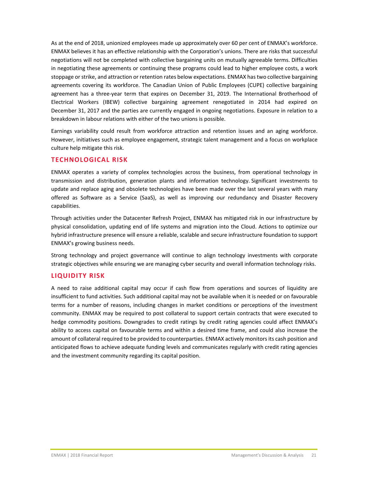As at the end of 2018, unionized employees made up approximately over 60 per cent of ENMAX's workforce. ENMAX believes it has an effective relationship with the Corporation's unions. There are risks that successful negotiations will not be completed with collective bargaining units on mutually agreeable terms. Difficulties in negotiating these agreements or continuing these programs could lead to higher employee costs, a work stoppage or strike, and attraction or retention rates below expectations. ENMAX has two collective bargaining agreements covering its workforce. The Canadian Union of Public Employees (CUPE) collective bargaining agreement has a three‐year term that expires on December 31, 2019. The International Brotherhood of Electrical Workers (IBEW) collective bargaining agreement renegotiated in 2014 had expired on December 31, 2017 and the parties are currently engaged in ongoing negotiations. Exposure in relation to a breakdown in labour relations with either of the two unions is possible.

Earnings variability could result from workforce attraction and retention issues and an aging workforce. However, initiatives such as employee engagement, strategic talent management and a focus on workplace culture help mitigate this risk.

#### **TECHNOLOGICAL RISK**

ENMAX operates a variety of complex technologies across the business, from operational technology in transmission and distribution, generation plants and information technology. Significant investments to update and replace aging and obsolete technologies have been made over the last several years with many offered as Software as a Service (SaaS), as well as improving our redundancy and Disaster Recovery capabilities.

Through activities under the Datacenter Refresh Project, ENMAX has mitigated risk in our infrastructure by physical consolidation, updating end of life systems and migration into the Cloud. Actions to optimize our hybrid infrastructure presence will ensure a reliable, scalable and secure infrastructure foundation to support ENMAX's growing business needs.

Strong technology and project governance will continue to align technology investments with corporate strategic objectives while ensuring we are managing cyber security and overall information technology risks.

#### **LIQUIDITY RISK**

A need to raise additional capital may occur if cash flow from operations and sources of liquidity are insufficient to fund activities. Such additional capital may not be available when it is needed or on favourable terms for a number of reasons, including changes in market conditions or perceptions of the investment community. ENMAX may be required to post collateral to support certain contracts that were executed to hedge commodity positions. Downgrades to credit ratings by credit rating agencies could affect ENMAX's ability to access capital on favourable terms and within a desired time frame, and could also increase the amount of collateral required to be provided to counterparties. ENMAX actively monitorsits cash position and anticipated flows to achieve adequate funding levels and communicates regularly with credit rating agencies and the investment community regarding its capital position.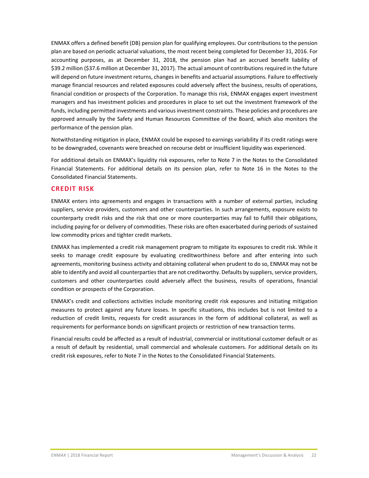ENMAX offers a defined benefit (DB) pension plan for qualifying employees. Our contributions to the pension plan are based on periodic actuarial valuations, the most recent being completed for December 31, 2016. For accounting purposes, as at December 31, 2018, the pension plan had an accrued benefit liability of \$39.2 million (\$37.6 million at December 31, 2017). The actual amount of contributions required in the future will depend on future investment returns, changes in benefits and actuarial assumptions. Failure to effectively manage financial resources and related exposures could adversely affect the business, results of operations, financial condition or prospects of the Corporation. To manage this risk, ENMAX engages expert investment managers and has investment policies and procedures in place to set out the investment framework of the funds, including permitted investments and various investment constraints. These policies and procedures are approved annually by the Safety and Human Resources Committee of the Board, which also monitors the performance of the pension plan.

Notwithstanding mitigation in place, ENMAX could be exposed to earnings variability if its credit ratings were to be downgraded, covenants were breached on recourse debt or insufficient liquidity was experienced.

For additional details on ENMAX's liquidity risk exposures, refer to Note 7 in the Notes to the Consolidated Financial Statements. For additional details on its pension plan, refer to Note 16 in the Notes to the Consolidated Financial Statements.

#### **CREDIT RISK**

ENMAX enters into agreements and engages in transactions with a number of external parties, including suppliers, service providers, customers and other counterparties. In such arrangements, exposure exists to counterparty credit risks and the risk that one or more counterparties may fail to fulfill their obligations, including paying for or delivery of commodities. These risks are often exacerbated during periods of sustained low commodity prices and tighter credit markets.

ENMAX has implemented a credit risk management program to mitigate its exposures to credit risk. While it seeks to manage credit exposure by evaluating creditworthiness before and after entering into such agreements, monitoring business activity and obtaining collateral when prudent to do so, ENMAX may not be able to identify and avoid all counterparties that are not creditworthy. Defaults by suppliers, service providers, customers and other counterparties could adversely affect the business, results of operations, financial condition or prospects of the Corporation.

ENMAX's credit and collections activities include monitoring credit risk exposures and initiating mitigation measures to protect against any future losses. In specific situations, this includes but is not limited to a reduction of credit limits, requests for credit assurances in the form of additional collateral, as well as requirements for performance bonds on significant projects or restriction of new transaction terms.

Financial results could be affected as a result of industrial, commercial or institutional customer default or as a result of default by residential, small commercial and wholesale customers. For additional details on its credit risk exposures, refer to Note 7 in the Notes to the Consolidated Financial Statements.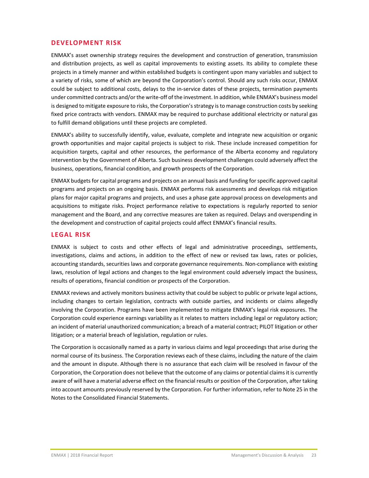#### **DEVELOPMENT RISK**

ENMAX's asset ownership strategy requires the development and construction of generation, transmission and distribution projects, as well as capital improvements to existing assets. Its ability to complete these projects in a timely manner and within established budgets is contingent upon many variables and subject to a variety of risks, some of which are beyond the Corporation's control. Should any such risks occur, ENMAX could be subject to additional costs, delays to the in-service dates of these projects, termination payments under committed contracts and/or the write-off of the investment. In addition, while ENMAX's business model is designed to mitigate exposure to risks, the Corporation's strategy is to manage construction costs by seeking fixed price contracts with vendors. ENMAX may be required to purchase additional electricity or natural gas to fulfill demand obligations until these projects are completed.

ENMAX's ability to successfully identify, value, evaluate, complete and integrate new acquisition or organic growth opportunities and major capital projects is subject to risk. These include increased competition for acquisition targets, capital and other resources, the performance of the Alberta economy and regulatory intervention by the Government of Alberta. Such business development challenges could adversely affect the business, operations, financial condition, and growth prospects of the Corporation.

ENMAX budgetsfor capital programs and projects on an annual basis and funding forspecific approved capital programs and projects on an ongoing basis. ENMAX performs risk assessments and develops risk mitigation plans for major capital programs and projects, and uses a phase gate approval process on developments and acquisitions to mitigate risks. Project performance relative to expectations is regularly reported to senior management and the Board, and any corrective measures are taken as required. Delays and overspending in the development and construction of capital projects could affect ENMAX's financial results.

#### **LEGAL RISK**

ENMAX is subject to costs and other effects of legal and administrative proceedings, settlements, investigations, claims and actions, in addition to the effect of new or revised tax laws, rates or policies, accounting standards, securities laws and corporate governance requirements. Non-compliance with existing laws, resolution of legal actions and changes to the legal environment could adversely impact the business, results of operations, financial condition or prospects of the Corporation.

ENMAX reviews and actively monitors business activity that could be subject to public or private legal actions, including changes to certain legislation, contracts with outside parties, and incidents or claims allegedly involving the Corporation. Programs have been implemented to mitigate ENMAX's legal risk exposures. The Corporation could experience earnings variability as it relates to matters including legal or regulatory action; an incident of material unauthorized communication; a breach of a material contract; PILOT litigation or other litigation; or a material breach of legislation, regulation or rules.

The Corporation is occasionally named as a party in various claims and legal proceedings that arise during the normal course of its business. The Corporation reviews each of these claims, including the nature of the claim and the amount in dispute. Although there is no assurance that each claim will be resolved in favour of the Corporation, the Corporation does not believe that the outcome of any claims or potential claimsit is currently aware of will have a material adverse effect on the financial results or position of the Corporation, after taking into account amounts previously reserved by the Corporation. For further information, refer to Note 25 in the Notes to the Consolidated Financial Statements.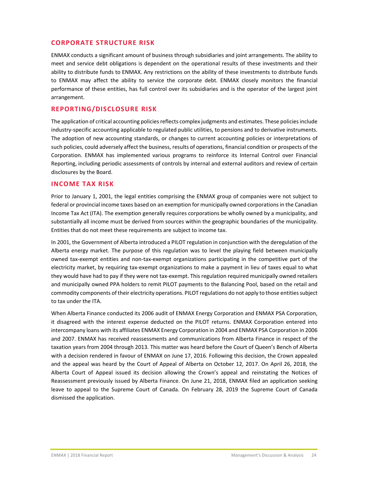#### **CORPORATE STRUCTURE RISK**

ENMAX conducts a significant amount of business through subsidiaries and joint arrangements. The ability to meet and service debt obligations is dependent on the operational results of these investments and their ability to distribute funds to ENMAX. Any restrictions on the ability of these investments to distribute funds to ENMAX may affect the ability to service the corporate debt. ENMAX closely monitors the financial performance of these entities, has full control over its subsidiaries and is the operator of the largest joint arrangement.

#### **REPORTING/DISCLOSURE RISK**

The application of critical accounting policies reflects complex judgments and estimates. These policies include industry‐specific accounting applicable to regulated public utilities, to pensions and to derivative instruments. The adoption of new accounting standards, or changes to current accounting policies or interpretations of such policies, could adversely affect the business, results of operations, financial condition or prospects of the Corporation. ENMAX has implemented various programs to reinforce its Internal Control over Financial Reporting, including periodic assessments of controls by internal and external auditors and review of certain disclosures by the Board.

#### **INCOME TAX RISK**

Prior to January 1, 2001, the legal entities comprising the ENMAX group of companies were not subject to federal or provincial income taxes based on an exemption for municipally owned corporations in the Canadian Income Tax Act (ITA). The exemption generally requires corporations be wholly owned by a municipality, and substantially all income must be derived from sources within the geographic boundaries of the municipality. Entities that do not meet these requirements are subject to income tax.

In 2001, the Government of Alberta introduced a PILOT regulation in conjunction with the deregulation of the Alberta energy market. The purpose of this regulation was to level the playing field between municipally owned tax‐exempt entities and non‐tax‐exempt organizations participating in the competitive part of the electricity market, by requiring tax‐exempt organizations to make a payment in lieu of taxes equal to what they would have had to pay if they were not tax‐exempt. This regulation required municipally owned retailers and municipally owned PPA holders to remit PILOT payments to the Balancing Pool, based on the retail and commodity components of their electricity operations. PILOT regulations do not apply to those entitiessubject to tax under the ITA.

When Alberta Finance conducted its 2006 audit of ENMAX Energy Corporation and ENMAX PSA Corporation, it disagreed with the interest expense deducted on the PILOT returns. ENMAX Corporation entered into intercompany loans with its affiliates ENMAX Energy Corporation in 2004 and ENMAX PSA Corporation in 2006 and 2007. ENMAX has received reassessments and communications from Alberta Finance in respect of the taxation years from 2004 through 2013. This matter was heard before the Court of Queen's Bench of Alberta with a decision rendered in favour of ENMAX on June 17, 2016. Following this decision, the Crown appealed and the appeal was heard by the Court of Appeal of Alberta on October 12, 2017. On April 26, 2018, the Alberta Court of Appeal issued its decision allowing the Crown's appeal and reinstating the Notices of Reassessment previously issued by Alberta Finance. On June 21, 2018, ENMAX filed an application seeking leave to appeal to the Supreme Court of Canada. On February 28, 2019 the Supreme Court of Canada dismissed the application.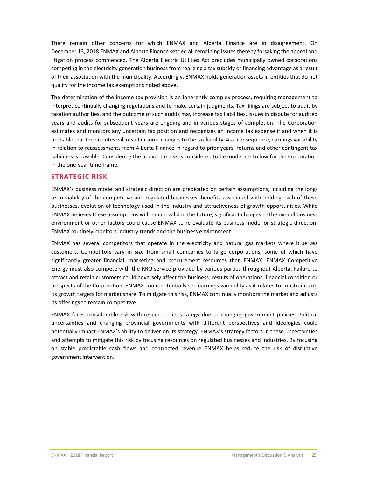There remain other concerns for which ENMAX and Alberta Finance are in disagreement. On December 13, 2018 ENMAX and Alberta Finance settled all remaining issues thereby forsaking the appeal and litigation process commenced. The Alberta Electric Utilities Act precludes municipally owned corporations competing in the electricity generation business from realizing a tax subsidy or financing advantage as a result of their association with the municipality. Accordingly, ENMAX holds generation assets in entities that do not qualify for the income tax exemptions noted above.

The determination of the income tax provision is an inherently complex process, requiring management to interpret continually changing regulations and to make certain judgments. Tax filings are subject to audit by taxation authorities, and the outcome of such audits may increase tax liabilities. Issues in dispute for audited years and audits for subsequent years are ongoing and in various stages of completion. The Corporation estimates and monitors any uncertain tax position and recognizes an income tax expense if and when it is probable that the disputes willresult in some changesto the tax liability. As a consequence, earnings variability in relation to reassessments from Alberta Finance in regard to prior years' returns and other contingent tax liabilities is possible. Considering the above, tax risk is considered to be moderate to low for the Corporation in the one‐year time frame.

#### **STRATEGIC RISK**

ENMAX's business model and strategic direction are predicated on certain assumptions, including the long‐ term viability of the competitive and regulated businesses, benefits associated with holding each of these businesses, evolution of technology used in the industry and attractiveness of growth opportunities. While ENMAX believes these assumptions will remain valid in the future, significant changes to the overall business environment or other factors could cause ENMAX to re-evaluate its business model or strategic direction. ENMAX routinely monitors industry trends and the business environment.

ENMAX has several competitors that operate in the electricity and natural gas markets where it serves customers. Competitors vary in size from small companies to large corporations, some of which have significantly greater financial, marketing and procurement resources than ENMAX. ENMAX Competitive Energy must also compete with the RRO service provided by various parties throughout Alberta. Failure to attract and retain customers could adversely affect the business, results of operations, financial condition or prospects of the Corporation. ENMAX could potentially see earnings variability as it relates to constraints on its growth targets for market share. To mitigate this risk, ENMAX continually monitors the market and adjusts its offerings to remain competitive.

ENMAX faces considerable risk with respect to its strategy due to changing government policies. Political uncertainties and changing provincial governments with different perspectives and ideologies could potentially impact ENMAX's ability to deliver on its strategy. ENMAX's strategy factors in these uncertainties and attempts to mitigate this risk by focusing resources on regulated businesses and industries. By focusing on stable predictable cash flows and contracted revenue ENMAX helps reduce the risk of disruptive government intervention.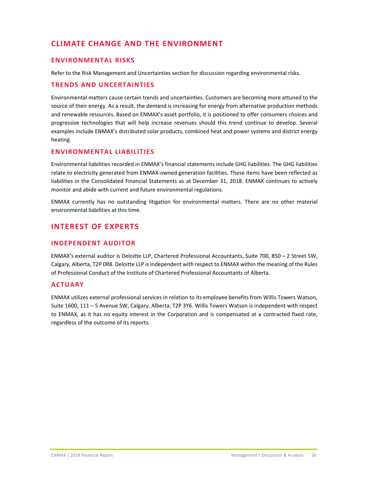# **CLIMATE CHANGE AND THE ENVIRONMENT**

#### **ENVIRONMENTAL RISKS**

Refer to the Risk Management and Uncertainties section for discussion regarding environmental risks.

#### **TRENDS AND UNCERTAINTIES**

Environmental matters cause certain trends and uncertainties. Customers are becoming more attuned to the source of their energy. As a result, the demand is increasing for energy from alternative production methods and renewable resources. Based on ENMAX's asset portfolio, it is positioned to offer consumers choices and progressive technologies that will help increase revenues should this trend continue to develop. Several examples include ENMAX's distributed solar products, combined heat and power systems and district energy heating.

#### **ENVIRONMENTAL LIABILITIES**

Environmental liabilities recorded in ENMAX's financial statements include GHG liabilities. The GHG liabilities relate to electricity generated from ENMAX‐owned generation facilities. These items have been reflected as liabilities in the Consolidated Financial Statements as at December 31, 2018. ENMAX continues to actively monitor and abide with current and future environmental regulations.

ENMAX currently has no outstanding litigation for environmental matters. There are no other material environmental liabilities at this time.

# **INTEREST OF EXPERTS**

#### **INDEPENDENT AUDITOR**

ENMAX's external auditor is Deloitte LLP, Chartered Professional Accountants, Suite 700, 850 – 2 Street SW, Calgary, Alberta, T2P 0R8. Deloitte LLP is independent with respect to ENMAX within the meaning of the Rules of Professional Conduct of the Institute of Chartered Professional Accountants of Alberta.

#### **ACTUARY**

ENMAX utilizes external professional services in relation to its employee benefits from Willis Towers Watson, Suite 1600, 111 – 5 Avenue SW, Calgary, Alberta, T2P 3Y6. Willis Towers Watson is independent with respect to ENMAX, as it has no equity interest in the Corporation and is compensated at a contracted fixed rate, regardless of the outcome of its reports.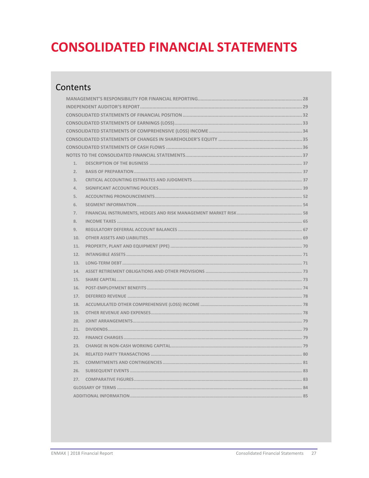# **CONSOLIDATED FINANCIAL STATEMENTS**

# Contents

| 1.  |  |
|-----|--|
| 2.  |  |
| 3.  |  |
| 4.  |  |
| 5.  |  |
| 6.  |  |
| 7.  |  |
| 8.  |  |
| 9.  |  |
| 10. |  |
| 11. |  |
| 12. |  |
| 13. |  |
| 14. |  |
| 15. |  |
| 16. |  |
| 17. |  |
| 18. |  |
| 19. |  |
| 20. |  |
| 21. |  |
| 22. |  |
| 23. |  |
| 24. |  |
| 25. |  |
| 26. |  |
| 27. |  |
|     |  |
|     |  |
|     |  |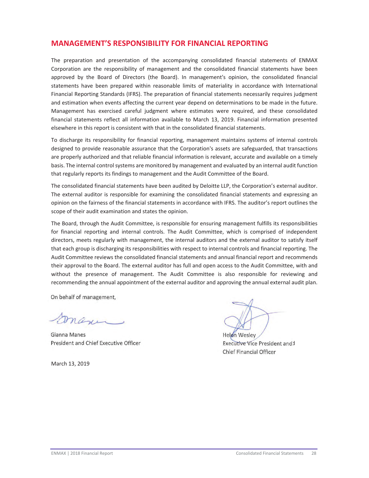# **MANAGEMENT'S RESPONSIBILITY FOR FINANCIAL REPORTING**

The preparation and presentation of the accompanying consolidated financial statements of ENMAX Corporation are the responsibility of management and the consolidated financial statements have been approved by the Board of Directors (the Board). In management's opinion, the consolidated financial statements have been prepared within reasonable limits of materiality in accordance with International Financial Reporting Standards (IFRS). The preparation of financial statements necessarily requires judgment and estimation when events affecting the current year depend on determinations to be made in the future. Management has exercised careful judgment where estimates were required, and these consolidated financial statements reflect all information available to March 13, 2019. Financial information presented elsewhere in this report is consistent with that in the consolidated financial statements.

To discharge its responsibility for financial reporting, management maintains systems of internal controls designed to provide reasonable assurance that the Corporation's assets are safeguarded, that transactions are properly authorized and that reliable financial information is relevant, accurate and available on a timely basis. The internal control systems are monitored by management and evaluated by an internal audit function that regularly reports its findings to management and the Audit Committee of the Board.

The consolidated financial statements have been audited by Deloitte LLP, the Corporation's external auditor. The external auditor is responsible for examining the consolidated financial statements and expressing an opinion on the fairness of the financial statements in accordance with IFRS. The auditor's report outlines the scope of their audit examination and states the opinion.

The Board, through the Audit Committee, is responsible for ensuring management fulfills its responsibilities for financial reporting and internal controls. The Audit Committee, which is comprised of independent directors, meets regularly with management, the internal auditors and the external auditor to satisfy itself that each group is discharging its responsibilities with respect to internal controls and financial reporting. The Audit Committee reviews the consolidated financial statements and annual financial report and recommends their approval to the Board. The external auditor has full and open access to the Audit Committee, with and without the presence of management. The Audit Committee is also responsible for reviewing and recommending the annual appointment of the external auditor and approving the annual external audit plan.

On behalf of management,

 $\mathcal{A}$ 

Gianna Manes **Manes Helen Wesley Helen Wesley** President and Chief Executive Officer **Executive Chief Executive Vice President and 1** 

March 13, 2019

Chief Financial Officer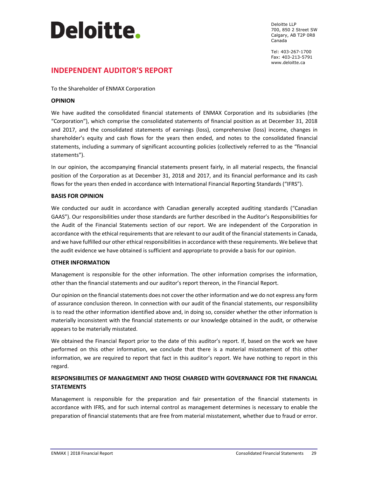# **Deloitte**.

Deloitte LLP 700, 850 2 Street SW Calgary, AB T2P 0R8 Canada

Tel: 403-267-1700 Fax: 403-213-5791 www.deloitte.ca

# **INDEPENDENT AUDITOR'S REPORT**

To the Shareholder of ENMAX Corporation

#### **OPINION**

We have audited the consolidated financial statements of ENMAX Corporation and its subsidiaries (the "Corporation"), which comprise the consolidated statements of financial position as at December 31, 2018 and 2017, and the consolidated statements of earnings (loss), comprehensive (loss) income, changes in shareholder's equity and cash flows for the years then ended, and notes to the consolidated financial statements, including a summary of significant accounting policies (collectively referred to as the "financial statements").

In our opinion, the accompanying financial statements present fairly, in all material respects, the financial position of the Corporation as at December 31, 2018 and 2017, and its financial performance and its cash flows for the years then ended in accordance with International Financial Reporting Standards ("IFRS").

#### **BASIS FOR OPINION**

We conducted our audit in accordance with Canadian generally accepted auditing standards ("Canadian GAAS"). Our responsibilities under those standards are further described in the Auditor's Responsibilities for the Audit of the Financial Statements section of our report. We are independent of the Corporation in accordance with the ethical requirements that are relevant to our audit of the financial statements in Canada, and we have fulfilled our other ethical responsibilities in accordance with these requirements. We believe that the audit evidence we have obtained is sufficient and appropriate to provide a basis for our opinion.

#### **OTHER INFORMATION**

Management is responsible for the other information. The other information comprises the information, other than the financial statements and our auditor's report thereon, in the Financial Report.

Our opinion on the financial statements does not cover the other information and we do not express any form of assurance conclusion thereon. In connection with our audit of the financial statements, our responsibility is to read the other information identified above and, in doing so, consider whether the other information is materially inconsistent with the financial statements or our knowledge obtained in the audit, or otherwise appears to be materially misstated.

We obtained the Financial Report prior to the date of this auditor's report. If, based on the work we have performed on this other information, we conclude that there is a material misstatement of this other information, we are required to report that fact in this auditor's report. We have nothing to report in this regard.

#### **RESPONSIBILITIES OF MANAGEMENT AND THOSE CHARGED WITH GOVERNANCE FOR THE FINANCIAL STATEMENTS**

Management is responsible for the preparation and fair presentation of the financial statements in accordance with IFRS, and for such internal control as management determines is necessary to enable the preparation of financial statements that are free from material misstatement, whether due to fraud or error.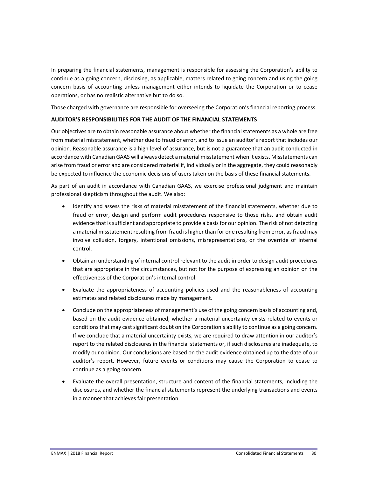In preparing the financial statements, management is responsible for assessing the Corporation's ability to continue as a going concern, disclosing, as applicable, matters related to going concern and using the going concern basis of accounting unless management either intends to liquidate the Corporation or to cease operations, or has no realistic alternative but to do so.

Those charged with governance are responsible for overseeing the Corporation's financial reporting process.

#### **AUDITOR'S RESPONSIBILITIES FOR THE AUDIT OF THE FINANCIAL STATEMENTS**

Our objectives are to obtain reasonable assurance about whether the financial statements as a whole are free from material misstatement, whether due to fraud or error, and to issue an auditor's report that includes our opinion. Reasonable assurance is a high level of assurance, but is not a guarantee that an audit conducted in accordance with Canadian GAAS will always detect a material misstatement when it exists. Misstatements can arise from fraud or error and are considered material if, individually or in the aggregate, they could reasonably be expected to influence the economic decisions of users taken on the basis of these financial statements.

As part of an audit in accordance with Canadian GAAS, we exercise professional judgment and maintain professional skepticism throughout the audit. We also:

- Identify and assess the risks of material misstatement of the financial statements, whether due to fraud or error, design and perform audit procedures responsive to those risks, and obtain audit evidence that is sufficient and appropriate to provide a basis for our opinion. The risk of not detecting a material misstatement resulting from fraud is higher than for one resulting from error, as fraud may involve collusion, forgery, intentional omissions, misrepresentations, or the override of internal control.
- Obtain an understanding of internal control relevant to the audit in order to design audit procedures that are appropriate in the circumstances, but not for the purpose of expressing an opinion on the effectiveness of the Corporation's internal control.
- Evaluate the appropriateness of accounting policies used and the reasonableness of accounting estimates and related disclosures made by management.
- Conclude on the appropriateness of management's use of the going concern basis of accounting and, based on the audit evidence obtained, whether a material uncertainty exists related to events or conditions that may cast significant doubt on the Corporation's ability to continue as a going concern. If we conclude that a material uncertainty exists, we are required to draw attention in our auditor's report to the related disclosures in the financial statements or, if such disclosures are inadequate, to modify our opinion. Our conclusions are based on the audit evidence obtained up to the date of our auditor's report. However, future events or conditions may cause the Corporation to cease to continue as a going concern.
- Evaluate the overall presentation, structure and content of the financial statements, including the disclosures, and whether the financial statements represent the underlying transactions and events in a manner that achieves fair presentation.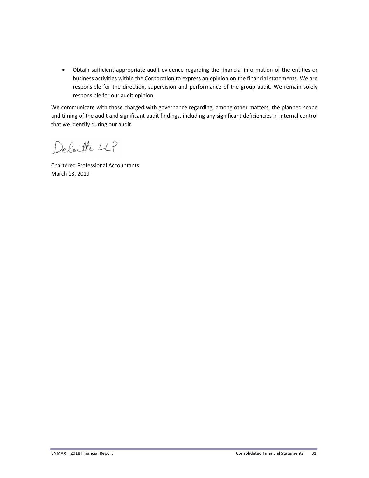Obtain sufficient appropriate audit evidence regarding the financial information of the entities or business activities within the Corporation to express an opinion on the financial statements. We are responsible for the direction, supervision and performance of the group audit. We remain solely responsible for our audit opinion.

We communicate with those charged with governance regarding, among other matters, the planned scope and timing of the audit and significant audit findings, including any significant deficiencies in internal control that we identify during our audit.

Deloitte LLP

Chartered Professional Accountants March 13, 2019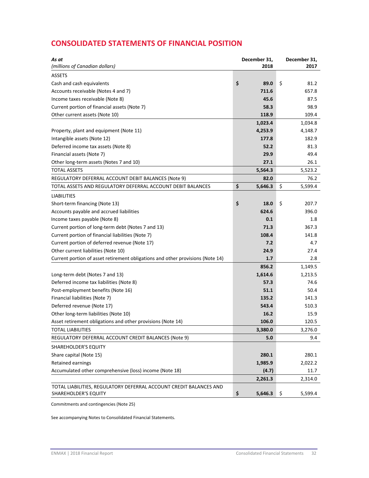# **CONSOLIDATED STATEMENTS OF FINANCIAL POSITION**

| As at<br>(millions of Canadian dollars)                                        | December 31,<br>2018 | December 31,<br>2017 |
|--------------------------------------------------------------------------------|----------------------|----------------------|
| <b>ASSETS</b>                                                                  |                      |                      |
| Cash and cash equivalents                                                      | \$<br>89.0           | \$<br>81.2           |
| Accounts receivable (Notes 4 and 7)                                            | 711.6                | 657.8                |
| Income taxes receivable (Note 8)                                               | 45.6                 | 87.5                 |
| Current portion of financial assets (Note 7)                                   | 58.3                 | 98.9                 |
| Other current assets (Note 10)                                                 | 118.9                | 109.4                |
|                                                                                | 1,023.4              | 1,034.8              |
| Property, plant and equipment (Note 11)                                        | 4,253.9              | 4,148.7              |
| Intangible assets (Note 12)                                                    | 177.8                | 182.9                |
| Deferred income tax assets (Note 8)                                            | 52.2                 | 81.3                 |
| Financial assets (Note 7)                                                      | 29.9                 | 49.4                 |
| Other long-term assets (Notes 7 and 10)                                        | 27.1                 | 26.1                 |
| <b>TOTAL ASSETS</b>                                                            | 5,564.3              | 5,523.2              |
| REGULATORY DEFERRAL ACCOUNT DEBIT BALANCES (Note 9)                            | 82.0                 | 76.2                 |
| TOTAL ASSETS AND REGULATORY DEFERRAL ACCOUNT DEBIT BALANCES                    | \$<br>5,646.3        | \$<br>5,599.4        |
| <b>LIABILITIES</b>                                                             |                      |                      |
| Short-term financing (Note 13)                                                 | \$<br>18.0           | \$<br>207.7          |
| Accounts payable and accrued liabilities                                       | 624.6                | 396.0                |
| Income taxes payable (Note 8)                                                  | 0.1                  | 1.8                  |
| Current portion of long-term debt (Notes 7 and 13)                             | 71.3                 | 367.3                |
| Current portion of financial liabilities (Note 7)                              | 108.4                | 141.8                |
| Current portion of deferred revenue (Note 17)                                  | 7.2                  | 4.7                  |
| Other current liabilities (Note 10)                                            | 24.9                 | 27.4                 |
| Current portion of asset retirement obligations and other provisions (Note 14) | 1.7                  | 2.8                  |
|                                                                                | 856.2                | 1,149.5              |
| Long-term debt (Notes 7 and 13)                                                | 1,614.6              | 1,213.5              |
| Deferred income tax liabilities (Note 8)                                       | 57.3                 | 74.6                 |
| Post-employment benefits (Note 16)                                             | 51.1                 | 50.4                 |
| Financial liabilities (Note 7)                                                 | 135.2                | 141.3                |
| Deferred revenue (Note 17)                                                     | 543.4                | 510.3                |
| Other long-term liabilities (Note 10)                                          | 16.2                 | 15.9                 |
| Asset retirement obligations and other provisions (Note 14)                    | 106.0                | 120.5                |
| <b>TOTAL LIABILITIES</b>                                                       | 3,380.0              | 3,276.0              |
| REGULATORY DEFERRAL ACCOUNT CREDIT BALANCES (Note 9)                           | 5.0                  | 9.4                  |
| SHAREHOLDER'S EQUITY                                                           |                      |                      |
| Share capital (Note 15)                                                        | 280.1                | 280.1                |
| <b>Retained earnings</b>                                                       | 1,985.9              | 2,022.2              |
| Accumulated other comprehensive (loss) income (Note 18)                        | (4.7)                | 11.7                 |
|                                                                                | 2,261.3              | 2,314.0              |
| TOTAL LIABILITIES, REGULATORY DEFERRAL ACCOUNT CREDIT BALANCES AND             |                      |                      |
| SHAREHOLDER'S EQUITY                                                           | \$<br>5,646.3        | \$<br>5,599.4        |

Commitments and contingencies (Note 25)

See accompanying Notes to Consolidated Financial Statements.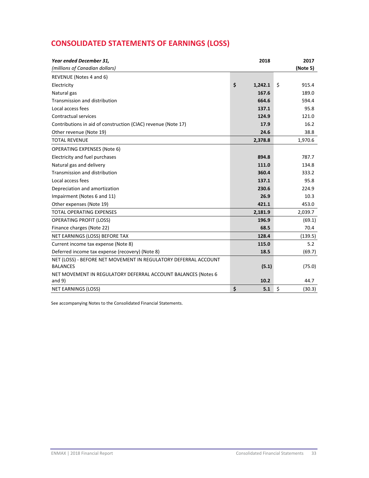# **CONSOLIDATED STATEMENTS OF EARNINGS (LOSS)**

| Year ended December 31,                                                            | 2018          | 2017         |
|------------------------------------------------------------------------------------|---------------|--------------|
| (millions of Canadian dollars)                                                     |               | (Note 5)     |
| REVENUE (Notes 4 and 6)                                                            |               |              |
| Electricity                                                                        | \$<br>1,242.1 | \$<br>915.4  |
| Natural gas                                                                        | 167.6         | 189.0        |
| Transmission and distribution                                                      | 664.6         | 594.4        |
| Local access fees                                                                  | 137.1         | 95.8         |
| Contractual services                                                               | 124.9         | 121.0        |
| Contributions in aid of construction (CIAC) revenue (Note 17)                      | 17.9          | 16.2         |
| Other revenue (Note 19)                                                            | 24.6          | 38.8         |
| <b>TOTAL REVENUE</b>                                                               | 2,378.8       | 1,970.6      |
| <b>OPERATING EXPENSES (Note 6)</b>                                                 |               |              |
| Electricity and fuel purchases                                                     | 894.8         | 787.7        |
| Natural gas and delivery                                                           | 111.0         | 134.8        |
| Transmission and distribution                                                      | 360.4         | 333.2        |
| Local access fees                                                                  | 137.1         | 95.8         |
| Depreciation and amortization                                                      | 230.6         | 224.9        |
| Impairment (Notes 6 and 11)                                                        | 26.9          | 10.3         |
| Other expenses (Note 19)                                                           | 421.1         | 453.0        |
| TOTAL OPERATING EXPENSES                                                           | 2,181.9       | 2,039.7      |
| <b>OPERATING PROFIT (LOSS)</b>                                                     | 196.9         | (69.1)       |
| Finance charges (Note 22)                                                          | 68.5          | 70.4         |
| NET EARNINGS (LOSS) BEFORE TAX                                                     | 128.4         | (139.5)      |
| Current income tax expense (Note 8)                                                | 115.0         | 5.2          |
| Deferred income tax expense (recovery) (Note 8)                                    | 18.5          | (69.7)       |
| NET (LOSS) - BEFORE NET MOVEMENT IN REGULATORY DEFERRAL ACCOUNT<br><b>BALANCES</b> | (5.1)         | (75.0)       |
| NET MOVEMENT IN REGULATORY DEFERRAL ACCOUNT BALANCES (Notes 6<br>and $9$ )         | 10.2          | 44.7         |
| NET EARNINGS (LOSS)                                                                | \$<br>5.1     | \$<br>(30.3) |

See accompanying Notes to the Consolidated Financial Statements.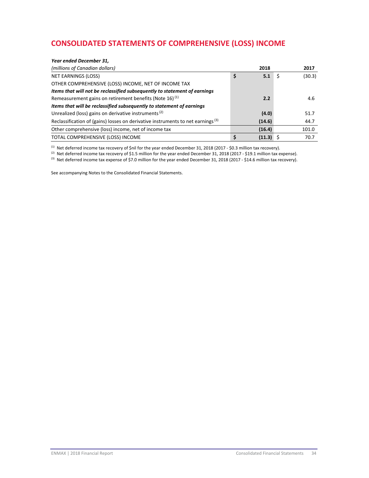# **CONSOLIDATED STATEMENTS OF COMPREHENSIVE (LOSS) INCOME**

| Year ended December 31,                                                                     |              |        |
|---------------------------------------------------------------------------------------------|--------------|--------|
| (millions of Canadian dollars)                                                              | 2018         | 2017   |
| <b>NET EARNINGS (LOSS)</b>                                                                  | \$<br>5.1    | (30.3) |
| OTHER COMPREHENSIVE (LOSS) INCOME, NET OF INCOME TAX                                        |              |        |
| Items that will not be reclassified subsequently to statement of earnings                   |              |        |
| Remeasurement gains on retirement benefits (Note 16) <sup>(1)</sup>                         | 2.2          | 4.6    |
| Items that will be reclassified subsequently to statement of earnings                       |              |        |
| Unrealized (loss) gains on derivative instruments <sup>(2)</sup>                            | (4.0)        | 51.7   |
| Reclassification of (gains) losses on derivative instruments to net earnings <sup>(3)</sup> | (14.6)       | 44.7   |
| Other comprehensive (loss) income, net of income tax                                        | (16.4)       | 101.0  |
| TOTAL COMPREHENSIVE (LOSS) INCOME                                                           | \$<br>(11.3) | 70.7   |

 $(1)$  Net deferred income tax recovery of \$nil for the year ended December 31, 2018 (2017 - \$0.3 million tax recovery).

(2) Net deferred income tax recovery of \$1.5 million for the year ended December 31, 2018 (2017 - \$19.1 million tax expense).

<sup>(3)</sup> Net deferred income tax expense of \$7.0 million for the year ended December 31, 2018 (2017 - \$14.6 million tax recovery).

See accompanying Notes to the Consolidated Financial Statements.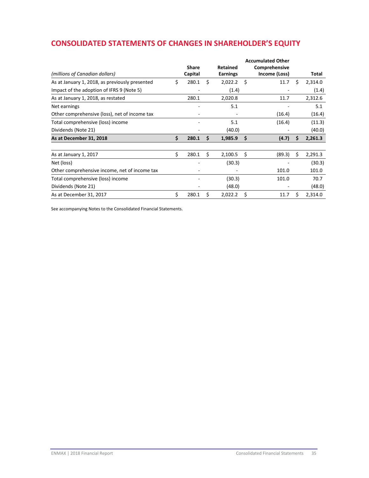# **CONSOLIDATED STATEMENTS OF CHANGES IN SHAREHOLDER'S EQUITY**

|                                                | <b>Accumulated Other</b> |              |    |                 |    |               |    |         |
|------------------------------------------------|--------------------------|--------------|----|-----------------|----|---------------|----|---------|
|                                                |                          | <b>Share</b> |    | <b>Retained</b> |    | Comprehensive |    |         |
| (millions of Canadian dollars)                 |                          | Capital      |    | <b>Earnings</b> |    | Income (Loss) |    | Total   |
| As at January 1, 2018, as previously presented | \$                       | 280.1        | Ś  | 2,022.2         | Ś. | 11.7          | Ŝ. | 2,314.0 |
| Impact of the adoption of IFRS 9 (Note 5)      |                          |              |    | (1.4)           |    |               |    | (1.4)   |
| As at January 1, 2018, as restated             |                          | 280.1        |    | 2,020.8         |    | 11.7          |    | 2,312.6 |
| Net earnings                                   |                          |              |    | 5.1             |    |               |    | 5.1     |
| Other comprehensive (loss), net of income tax  |                          |              |    |                 |    | (16.4)        |    | (16.4)  |
| Total comprehensive (loss) income              |                          |              |    | 5.1             |    | (16.4)        |    | (11.3)  |
| Dividends (Note 21)                            |                          |              |    | (40.0)          |    |               |    | (40.0)  |
| As at December 31, 2018                        | \$                       | 280.1        | Ś  | 1,985.9         | Ŝ. | (4.7)         | Ŝ. | 2,261.3 |
| As at January 1, 2017                          | \$                       | 280.1        | Š. | 2,100.5         | \$ | (89.3)        |    | 2,291.3 |
| Net (loss)                                     |                          |              |    | (30.3)          |    |               |    | (30.3)  |
| Other comprehensive income, net of income tax  |                          |              |    |                 |    | 101.0         |    | 101.0   |
| Total comprehensive (loss) income              |                          |              |    | (30.3)          |    | 101.0         |    | 70.7    |
| Dividends (Note 21)                            |                          |              |    | (48.0)          |    |               |    | (48.0)  |
| As at December 31, 2017                        | \$                       | 280.1        | \$ | 2,022.2         | Ś  | 11.7          | Ś. | 2,314.0 |

See accompanying Notes to the Consolidated Financial Statements.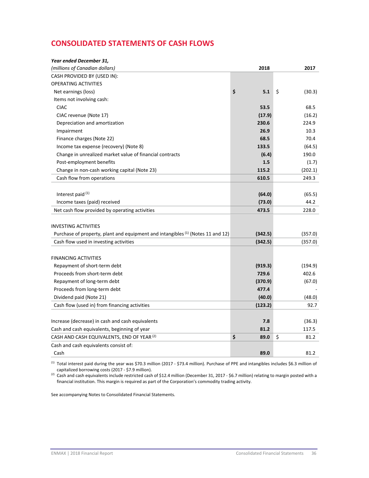# **CONSOLIDATED STATEMENTS OF CASH FLOWS**

| Year ended December 31,                                                                    |            |              |
|--------------------------------------------------------------------------------------------|------------|--------------|
| (millions of Canadian dollars)                                                             | 2018       | 2017         |
| CASH PROVIDED BY (USED IN):                                                                |            |              |
| <b>OPERATING ACTIVITIES</b>                                                                |            |              |
| Net earnings (loss)                                                                        | \$<br>5.1  | \$<br>(30.3) |
| Items not involving cash:                                                                  |            |              |
| <b>CIAC</b>                                                                                | 53.5       | 68.5         |
| CIAC revenue (Note 17)                                                                     | (17.9)     | (16.2)       |
| Depreciation and amortization                                                              | 230.6      | 224.9        |
| Impairment                                                                                 | 26.9       | 10.3         |
| Finance charges (Note 22)                                                                  | 68.5       | 70.4         |
| Income tax expense (recovery) (Note 8)                                                     | 133.5      | (64.5)       |
| Change in unrealized market value of financial contracts                                   | (6.4)      | 190.0        |
| Post-employment benefits                                                                   | 1.5        | (1.7)        |
| Change in non-cash working capital (Note 23)                                               | 115.2      | (202.1)      |
| Cash flow from operations                                                                  | 610.5      | 249.3        |
|                                                                                            |            |              |
| Interest paid (1)                                                                          | (64.0)     | (65.5)       |
| Income taxes (paid) received                                                               | (73.0)     | 44.2         |
| Net cash flow provided by operating activities                                             | 473.5      | 228.0        |
| <b>INVESTING ACTIVITIES</b>                                                                |            |              |
| Purchase of property, plant and equipment and intangibles <sup>(1)</sup> (Notes 11 and 12) | (342.5)    | (357.0)      |
| Cash flow used in investing activities                                                     | (342.5)    | (357.0)      |
| <b>FINANCING ACTIVITIES</b>                                                                |            |              |
| Repayment of short-term debt                                                               | (919.3)    | (194.9)      |
| Proceeds from short-term debt                                                              | 729.6      | 402.6        |
| Repayment of long-term debt                                                                | (370.9)    | (67.0)       |
| Proceeds from long-term debt                                                               | 477.4      |              |
| Dividend paid (Note 21)                                                                    | (40.0)     | (48.0)       |
| Cash flow (used in) from financing activities                                              | (123.2)    | 92.7         |
|                                                                                            |            |              |
| Increase (decrease) in cash and cash equivalents                                           | 7.8        | (36.3)       |
| Cash and cash equivalents, beginning of year                                               | 81.2       | 117.5        |
| CASH AND CASH EQUIVALENTS, END OF YEAR (2)                                                 | \$<br>89.0 | \$<br>81.2   |
| Cash and cash equivalents consist of:                                                      |            |              |
| Cash                                                                                       | 89.0       | 81.2         |

(1) Total interest paid during the year was \$70.3 million (2017 ‐ \$73.4 million). Purchase of PPE and intangibles includes \$6.3 million of capitalized borrowing costs (2017 ‐ \$7.9 million).

(2) Cash and cash equivalents include restricted cash of \$12.4 million (December 31, 2017 ‐ \$6.7 million) relating to margin posted with a financial institution. This margin is required as part of the Corporation's commodity trading activity.

See accompanying Notes to Consolidated Financial Statements.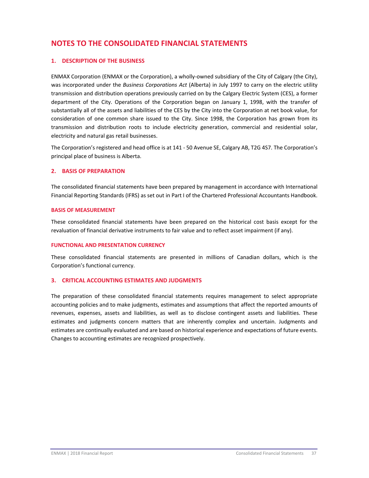## **NOTES TO THE CONSOLIDATED FINANCIAL STATEMENTS**

## **1. DESCRIPTION OF THE BUSINESS**

ENMAX Corporation (ENMAX or the Corporation), a wholly-owned subsidiary of the City of Calgary (the City), was incorporated under the *Business Corporations Act* (Alberta) in July 1997 to carry on the electric utility transmission and distribution operations previously carried on by the Calgary Electric System (CES), a former department of the City. Operations of the Corporation began on January 1, 1998, with the transfer of substantially all of the assets and liabilities of the CES by the City into the Corporation at net book value, for consideration of one common share issued to the City. Since 1998, the Corporation has grown from its transmission and distribution roots to include electricity generation, commercial and residential solar, electricity and natural gas retail businesses.

The Corporation's registered and head office is at 141 ‐ 50 Avenue SE, Calgary AB, T2G 4S7. The Corporation's principal place of business is Alberta.

## **2. BASIS OF PREPARATION**

The consolidated financial statements have been prepared by management in accordance with International Financial Reporting Standards (IFRS) as set out in Part I of the Chartered Professional Accountants Handbook.

## **BASIS OF MEASUREMENT**

These consolidated financial statements have been prepared on the historical cost basis except for the revaluation of financial derivative instruments to fair value and to reflect asset impairment (if any).

## **FUNCTIONAL AND PRESENTATION CURRENCY**

These consolidated financial statements are presented in millions of Canadian dollars, which is the Corporation's functional currency.

## **3. CRITICAL ACCOUNTING ESTIMATES AND JUDGMENTS**

The preparation of these consolidated financial statements requires management to select appropriate accounting policies and to make judgments, estimates and assumptions that affect the reported amounts of revenues, expenses, assets and liabilities, as well as to disclose contingent assets and liabilities. These estimates and judgments concern matters that are inherently complex and uncertain. Judgments and estimates are continually evaluated and are based on historical experience and expectations of future events. Changes to accounting estimates are recognized prospectively.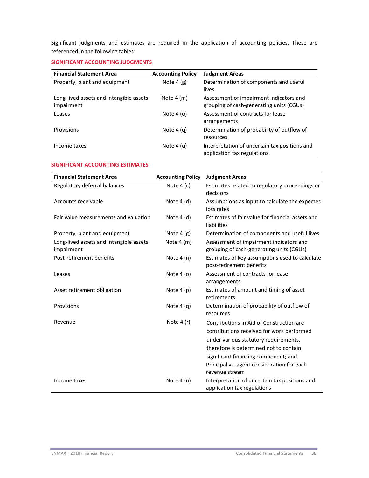Significant judgments and estimates are required in the application of accounting policies. These are referenced in the following tables:

## **SIGNIFICANT ACCOUNTING JUDGMENTS**

| <b>Financial Statement Area</b>                       | <b>Accounting Policy</b> | <b>Judgment Areas</b>                                                               |
|-------------------------------------------------------|--------------------------|-------------------------------------------------------------------------------------|
| Property, plant and equipment                         | Note $4(g)$              | Determination of components and useful<br>lives                                     |
| Long-lived assets and intangible assets<br>impairment | Note $4(m)$              | Assessment of impairment indicators and<br>grouping of cash-generating units (CGUs) |
| Leases                                                | Note $4(0)$              | Assessment of contracts for lease<br>arrangements                                   |
| Provisions                                            | Note $4(a)$              | Determination of probability of outflow of<br>resources                             |
| Income taxes                                          | Note $4(u)$              | Interpretation of uncertain tax positions and<br>application tax regulations        |

## **SIGNIFICANT ACCOUNTING ESTIMATES**

| <b>Financial Statement Area</b>                       | <b>Accounting Policy</b> | <b>Judgment Areas</b>                                                                                                                                                                                                                                                            |
|-------------------------------------------------------|--------------------------|----------------------------------------------------------------------------------------------------------------------------------------------------------------------------------------------------------------------------------------------------------------------------------|
| Regulatory deferral balances                          | Note $4(c)$              | Estimates related to regulatory proceedings or<br>decisions                                                                                                                                                                                                                      |
| Accounts receivable                                   | Note $4(d)$              | Assumptions as input to calculate the expected<br>loss rates                                                                                                                                                                                                                     |
| Fair value measurements and valuation                 | Note $4(d)$              | Estimates of fair value for financial assets and<br>liabilities                                                                                                                                                                                                                  |
| Property, plant and equipment                         | Note $4(g)$              | Determination of components and useful lives                                                                                                                                                                                                                                     |
| Long-lived assets and intangible assets<br>impairment | Note $4(m)$              | Assessment of impairment indicators and<br>grouping of cash-generating units (CGUs)                                                                                                                                                                                              |
| Post-retirement benefits                              | Note $4(n)$              | Estimates of key assumptions used to calculate<br>post-retirement benefits                                                                                                                                                                                                       |
| Leases                                                | Note $4$ (o)             | Assessment of contracts for lease<br>arrangements                                                                                                                                                                                                                                |
| Asset retirement obligation                           | Note $4(p)$              | Estimates of amount and timing of asset<br>retirements                                                                                                                                                                                                                           |
| Provisions                                            | Note $4(q)$              | Determination of probability of outflow of<br>resources                                                                                                                                                                                                                          |
| Revenue                                               | Note $4(r)$              | Contributions In Aid of Construction are<br>contributions received for work performed<br>under various statutory requirements,<br>therefore is determined not to contain<br>significant financing component; and<br>Principal vs. agent consideration for each<br>revenue stream |
| Income taxes                                          | Note $4(u)$              | Interpretation of uncertain tax positions and<br>application tax regulations                                                                                                                                                                                                     |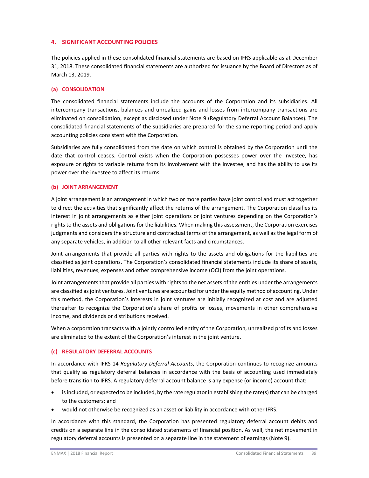## **4. SIGNIFICANT ACCOUNTING POLICIES**

The policies applied in these consolidated financial statements are based on IFRS applicable as at December 31, 2018. These consolidated financial statements are authorized for issuance by the Board of Directors as of March 13, 2019.

#### **(a) CONSOLIDATION**

The consolidated financial statements include the accounts of the Corporation and its subsidiaries. All intercompany transactions, balances and unrealized gains and losses from intercompany transactions are eliminated on consolidation, except as disclosed under Note 9 (Regulatory Deferral Account Balances). The consolidated financial statements of the subsidiaries are prepared for the same reporting period and apply accounting policies consistent with the Corporation.

Subsidiaries are fully consolidated from the date on which control is obtained by the Corporation until the date that control ceases. Control exists when the Corporation possesses power over the investee, has exposure or rights to variable returns from its involvement with the investee, and has the ability to use its power over the investee to affect its returns.

## **(b) JOINT ARRANGEMENT**

A joint arrangement is an arrangement in which two or more parties have joint control and must act together to direct the activities that significantly affect the returns of the arrangement. The Corporation classifies its interest in joint arrangements as either joint operations or joint ventures depending on the Corporation's rights to the assets and obligations for the liabilities. When making this assessment, the Corporation exercises judgments and considers the structure and contractual terms of the arrangement, as well as the legal form of any separate vehicles, in addition to all other relevant facts and circumstances.

Joint arrangements that provide all parties with rights to the assets and obligations for the liabilities are classified as joint operations. The Corporation's consolidated financial statements include its share of assets, liabilities, revenues, expenses and other comprehensive income (OCI) from the joint operations.

Joint arrangements that provide all parties with rights to the net assets of the entities under the arrangements are classified as joint ventures. Joint ventures are accounted for under the equity method of accounting. Under this method, the Corporation's interests in joint ventures are initially recognized at cost and are adjusted thereafter to recognize the Corporation's share of profits or losses, movements in other comprehensive income, and dividends or distributions received.

When a corporation transacts with a jointly controlled entity of the Corporation, unrealized profits and losses are eliminated to the extent of the Corporation's interest in the joint venture.

#### **(c) REGULATORY DEFERRAL ACCOUNTS**

In accordance with IFRS 14 *Regulatory Deferral Accounts*, the Corporation continues to recognize amounts that qualify as regulatory deferral balances in accordance with the basis of accounting used immediately before transition to IFRS. A regulatory deferral account balance is any expense (or income) account that:

- isincluded, or expected to be included, by the rate regulator in establishing the rate(s) that can be charged to the customers; and
- would not otherwise be recognized as an asset or liability in accordance with other IFRS.

In accordance with this standard, the Corporation has presented regulatory deferral account debits and credits on a separate line in the consolidated statements of financial position. As well, the net movement in regulatory deferral accounts is presented on a separate line in the statement of earnings (Note 9).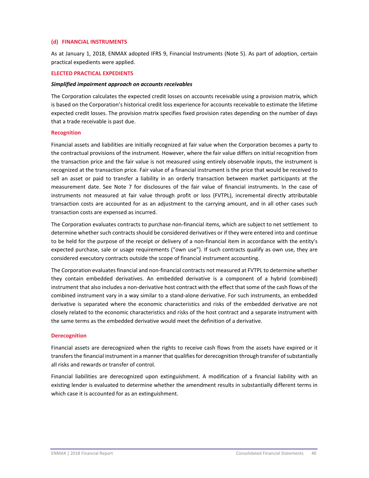## **(d) FINANCIAL INSTRUMENTS**

As at January 1, 2018, ENMAX adopted IFRS 9, Financial Instruments (Note 5). As part of adoption, certain practical expedients were applied.

#### **ELECTED PRACTICAL EXPEDIENTS**

#### *Simplified impairment approach on accounts receivables*

The Corporation calculates the expected credit losses on accounts receivable using a provision matrix, which is based on the Corporation's historical credit loss experience for accounts receivable to estimate the lifetime expected credit losses. The provision matrix specifies fixed provision rates depending on the number of days that a trade receivable is past due.

#### **Recognition**

Financial assets and liabilities are initially recognized at fair value when the Corporation becomes a party to the contractual provisions of the instrument. However, where the fair value differs on initial recognition from the transaction price and the fair value is not measured using entirely observable inputs, the instrument is recognized at the transaction price. Fair value of a financial instrument is the price that would be received to sell an asset or paid to transfer a liability in an orderly transaction between market participants at the measurement date. See Note 7 for disclosures of the fair value of financial instruments. In the case of instruments not measured at fair value through profit or loss (FVTPL), incremental directly attributable transaction costs are accounted for as an adjustment to the carrying amount, and in all other cases such transaction costs are expensed as incurred.

The Corporation evaluates contracts to purchase non‐financial items, which are subject to net settlement to determine whether such contractsshould be considered derivatives or if they were entered into and continue to be held for the purpose of the receipt or delivery of a non-financial item in accordance with the entity's expected purchase, sale or usage requirements ("own use"). If such contracts qualify as own use, they are considered executory contracts outside the scope of financial instrument accounting.

The Corporation evaluates financial and non‐financial contracts not measured at FVTPL to determine whether they contain embedded derivatives. An embedded derivative is a component of a hybrid (combined) instrument that also includes a non‐derivative host contract with the effect that some of the cash flows of the combined instrument vary in a way similar to a stand‐alone derivative. For such instruments, an embedded derivative is separated where the economic characteristics and risks of the embedded derivative are not closely related to the economic characteristics and risks of the host contract and a separate instrument with the same terms as the embedded derivative would meet the definition of a derivative.

#### **Derecognition**

Financial assets are derecognized when the rights to receive cash flows from the assets have expired or it transfersthe financial instrument in a manner that qualifiesfor derecognition through transfer ofsubstantially all risks and rewards or transfer of control.

Financial liabilities are derecognized upon extinguishment. A modification of a financial liability with an existing lender is evaluated to determine whether the amendment results in substantially different terms in which case it is accounted for as an extinguishment.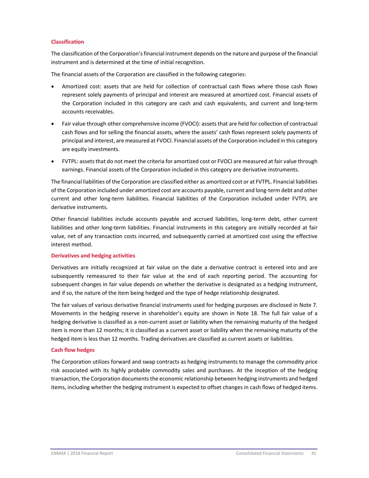## **Classification**

The classification of the Corporation'sfinancial instrument depends on the nature and purpose of the financial instrument and is determined at the time of initial recognition.

The financial assets of the Corporation are classified in the following categories:

- Amortized cost: assets that are held for collection of contractual cash flows where those cash flows represent solely payments of principal and interest are measured at amortized cost. Financial assets of the Corporation included in this category are cash and cash equivalents, and current and long‐term accounts receivables.
- Fair value through other comprehensive income (FVOCI): assetsthat are held for collection of contractual cash flows and for selling the financial assets, where the assets' cash flows represent solely payments of principal and interest, are measured at FVOCI. Financial assets of the Corporation included in this category are equity investments.
- FVTPL: assets that do not meet the criteria for amortized cost or FVOCI are measured at fair value through earnings. Financial assets of the Corporation included in this category are derivative instruments.

The financial liabilities of the Corporation are classified either as amortized cost or at FVTPL. Financial liabilities of the Corporation included under amortized cost are accounts payable, current and long‐term debt and other current and other long‐term liabilities. Financial liabilities of the Corporation included under FVTPL are derivative instruments.

Other financial liabilities include accounts payable and accrued liabilities, long-term debt, other current liabilities and other long‐term liabilities. Financial instruments in this category are initially recorded at fair value, net of any transaction costs incurred, and subsequently carried at amortized cost using the effective interest method.

#### **Derivatives and hedging activities**

Derivatives are initially recognized at fair value on the date a derivative contract is entered into and are subsequently remeasured to their fair value at the end of each reporting period. The accounting for subsequent changes in fair value depends on whether the derivative is designated as a hedging instrument, and if so, the nature of the item being hedged and the type of hedge relationship designated.

The fair values of various derivative financial instruments used for hedging purposes are disclosed in Note 7. Movements in the hedging reserve in shareholder's equity are shown in Note 18. The full fair value of a hedging derivative is classified as a non‐current asset or liability when the remaining maturity of the hedged item is more than 12 months; it is classified as a current asset or liability when the remaining maturity of the hedged item is less than 12 months. Trading derivatives are classified as current assets or liabilities.

#### **Cash flow hedges**

The Corporation utilizes forward and swap contracts as hedging instruments to manage the commodity price risk associated with its highly probable commodity sales and purchases. At the inception of the hedging transaction, the Corporation documents the economic relationship between hedging instruments and hedged items, including whether the hedging instrument is expected to offset changes in cash flows of hedged items.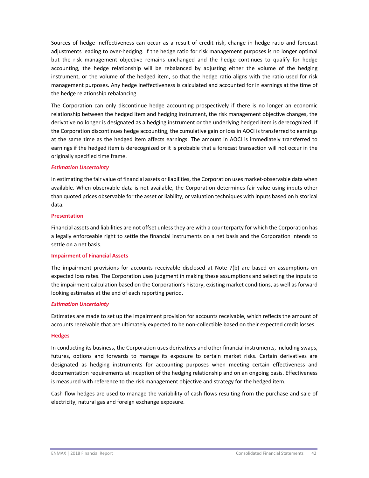Sources of hedge ineffectiveness can occur as a result of credit risk, change in hedge ratio and forecast adjustments leading to over‐hedging. If the hedge ratio for risk management purposes is no longer optimal but the risk management objective remains unchanged and the hedge continues to qualify for hedge accounting, the hedge relationship will be rebalanced by adjusting either the volume of the hedging instrument, or the volume of the hedged item, so that the hedge ratio aligns with the ratio used for risk management purposes. Any hedge ineffectiveness is calculated and accounted for in earnings at the time of the hedge relationship rebalancing.

The Corporation can only discontinue hedge accounting prospectively if there is no longer an economic relationship between the hedged item and hedging instrument, the risk management objective changes, the derivative no longer is designated as a hedging instrument or the underlying hedged item is derecognized. If the Corporation discontinues hedge accounting, the cumulative gain or loss in AOCI is transferred to earnings at the same time as the hedged item affects earnings. The amount in AOCI is immediately transferred to earnings if the hedged item is derecognized or it is probable that a forecast transaction will not occur in the originally specified time frame.

## *Estimation Uncertainty*

In estimating the fair value of financial assets or liabilities, the Corporation uses market‐observable data when available. When observable data is not available, the Corporation determines fair value using inputs other than quoted prices observable for the asset or liability, or valuation techniques with inputs based on historical data.

## **Presentation**

Financial assets and liabilities are not offset unless they are with a counterparty for which the Corporation has a legally enforceable right to settle the financial instruments on a net basis and the Corporation intends to settle on a net basis.

#### **Impairment of Financial Assets**

The impairment provisions for accounts receivable disclosed at Note 7(b) are based on assumptions on expected loss rates. The Corporation uses judgment in making these assumptions and selecting the inputs to the impairment calculation based on the Corporation's history, existing market conditions, as well as forward looking estimates at the end of each reporting period.

## *Estimation Uncertainty*

Estimates are made to set up the impairment provision for accounts receivable, which reflects the amount of accounts receivable that are ultimately expected to be non‐collectible based on their expected credit losses.

#### **Hedges**

In conducting its business, the Corporation uses derivatives and other financial instruments, including swaps, futures, options and forwards to manage its exposure to certain market risks. Certain derivatives are designated as hedging instruments for accounting purposes when meeting certain effectiveness and documentation requirements at inception of the hedging relationship and on an ongoing basis. Effectiveness is measured with reference to the risk management objective and strategy for the hedged item.

Cash flow hedges are used to manage the variability of cash flows resulting from the purchase and sale of electricity, natural gas and foreign exchange exposure.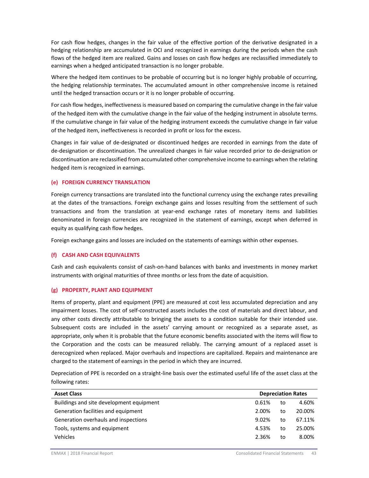For cash flow hedges, changes in the fair value of the effective portion of the derivative designated in a hedging relationship are accumulated in OCI and recognized in earnings during the periods when the cash flows of the hedged item are realized. Gains and losses on cash flow hedges are reclassified immediately to earnings when a hedged anticipated transaction is no longer probable.

Where the hedged item continues to be probable of occurring but is no longer highly probable of occurring, the hedging relationship terminates. The accumulated amount in other comprehensive income is retained until the hedged transaction occurs or it is no longer probable of occurring.

For cash flow hedges, ineffectiveness is measured based on comparing the cumulative change in the fair value of the hedged item with the cumulative change in the fair value of the hedging instrument in absolute terms. If the cumulative change in fair value of the hedging instrument exceeds the cumulative change in fair value of the hedged item, ineffectiveness is recorded in profit or loss for the excess.

Changes in fair value of de‐designated or discontinued hedges are recorded in earnings from the date of de-designation or discontinuation. The unrealized changes in fair value recorded prior to de-designation or discontinuation are reclassified from accumulated other comprehensive income to earnings when the relating hedged item is recognized in earnings.

## **(e) FOREIGN CURRENCY TRANSLATION**

Foreign currency transactions are translated into the functional currency using the exchange rates prevailing at the dates of the transactions. Foreign exchange gains and losses resulting from the settlement of such transactions and from the translation at year‐end exchange rates of monetary items and liabilities denominated in foreign currencies are recognized in the statement of earnings, except when deferred in equity as qualifying cash flow hedges.

Foreign exchange gains and losses are included on the statements of earnings within other expenses.

## **(f) CASH AND CASH EQUIVALENTS**

Cash and cash equivalents consist of cash‐on‐hand balances with banks and investments in money market instruments with original maturities of three months or less from the date of acquisition.

#### **(g) PROPERTY, PLANT AND EQUIPMENT**

Items of property, plant and equipment (PPE) are measured at cost less accumulated depreciation and any impairment losses. The cost of self‐constructed assets includes the cost of materials and direct labour, and any other costs directly attributable to bringing the assets to a condition suitable for their intended use. Subsequent costs are included in the assets' carrying amount or recognized as a separate asset, as appropriate, only when it is probable that the future economic benefits associated with the items will flow to the Corporation and the costs can be measured reliably. The carrying amount of a replaced asset is derecognized when replaced. Major overhauls and inspections are capitalized. Repairs and maintenance are charged to the statement of earnings in the period in which they are incurred.

Depreciation of PPE is recorded on a straight‐line basis over the estimated useful life of the asset class at the following rates:

| <b>Asset Class</b>                       |       |    | <b>Depreciation Rates</b> |
|------------------------------------------|-------|----|---------------------------|
| Buildings and site development equipment | 0.61% | to | 4.60%                     |
| Generation facilities and equipment      | 2.00% | to | 20.00%                    |
| Generation overhauls and inspections     | 9.02% | to | 67.11%                    |
| Tools, systems and equipment             | 4.53% | to | 25.00%                    |
| <b>Vehicles</b>                          | 2.36% | to | 8.00%                     |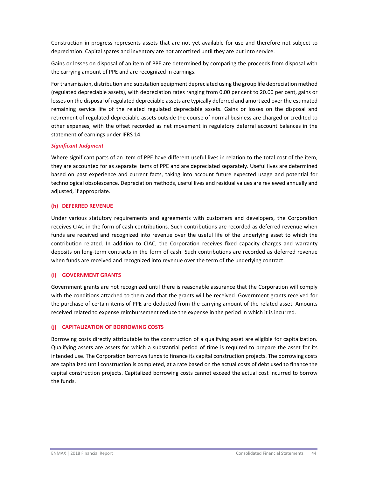Construction in progress represents assets that are not yet available for use and therefore not subject to depreciation. Capital spares and inventory are not amortized until they are put into service.

Gains or losses on disposal of an item of PPE are determined by comparing the proceeds from disposal with the carrying amount of PPE and are recognized in earnings.

Fortransmission, distribution and substation equipment depreciated using the group life depreciation method (regulated depreciable assets), with depreciation rates ranging from 0.00 per cent to 20.00 per cent, gains or losses on the disposal of regulated depreciable assets are typically deferred and amortized over the estimated remaining service life of the related regulated depreciable assets. Gains or losses on the disposal and retirement of regulated depreciable assets outside the course of normal business are charged or credited to other expenses, with the offset recorded as net movement in regulatory deferral account balances in the statement of earnings under IFRS 14.

## *Significant Judgment*

Where significant parts of an item of PPE have different useful lives in relation to the total cost of the item, they are accounted for as separate items of PPE and are depreciated separately. Useful lives are determined based on past experience and current facts, taking into account future expected usage and potential for technological obsolescence. Depreciation methods, useful lives and residual values are reviewed annually and adjusted, if appropriate.

## **(h) DEFERRED REVENUE**

Under various statutory requirements and agreements with customers and developers, the Corporation receives CIAC in the form of cash contributions. Such contributions are recorded as deferred revenue when funds are received and recognized into revenue over the useful life of the underlying asset to which the contribution related. In addition to CIAC, the Corporation receives fixed capacity charges and warranty deposits on long‐term contracts in the form of cash. Such contributions are recorded as deferred revenue when funds are received and recognized into revenue over the term of the underlying contract.

## **(i) GOVERNMENT GRANTS**

Government grants are not recognized until there is reasonable assurance that the Corporation will comply with the conditions attached to them and that the grants will be received. Government grants received for the purchase of certain items of PPE are deducted from the carrying amount of the related asset. Amounts received related to expense reimbursement reduce the expense in the period in which it is incurred.

## **(j) CAPITALIZATION OF BORROWING COSTS**

Borrowing costs directly attributable to the construction of a qualifying asset are eligible for capitalization. Qualifying assets are assets for which a substantial period of time is required to prepare the asset for its intended use. The Corporation borrows funds to finance its capital construction projects. The borrowing costs are capitalized until construction is completed, at a rate based on the actual costs of debt used to finance the capital construction projects. Capitalized borrowing costs cannot exceed the actual cost incurred to borrow the funds.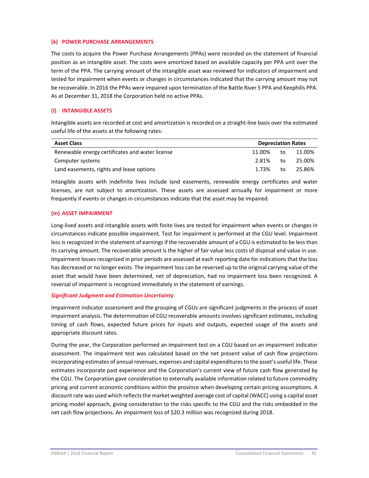## **(k) POWER PURCHASE ARRANGEMENTS**

The costs to acquire the Power Purchase Arrangements (PPAs) were recorded on the statement of financial position as an intangible asset. The costs were amortized based on available capacity per PPA unit over the term of the PPA. The carrying amount of the intangible asset was reviewed for indicators of impairment and tested for impairment when events or changes in circumstances indicated that the carrying amount may not be recoverable. In 2016 the PPAs were impaired upon termination of the Battle River 5 PPA and Keephills PPA. As at December 31, 2018 the Corporation held no active PPAs.

## **(l) INTANGIBLE ASSETS**

Intangible assets are recorded at cost and amortization is recorded on a straight‐line basis over the estimated useful life of the assets at the following rates:

| <b>Asset Class</b>                              | <b>Depreciation Rates</b> |    |        |
|-------------------------------------------------|---------------------------|----|--------|
| Renewable energy certificates and water license | 11.00%                    | to | 11.00% |
| Computer systems                                | 2.81%                     | to | 25.00% |
| Land easements, rights and lease options        | 1.73%                     | to | 25.86% |

Intangible assets with indefinite lives include land easements, renewable energy certificates and water licenses, are not subject to amortization. These assets are assessed annually for impairment or more frequently if events or changes in circumstances indicate that the asset may be impaired.

## **(m) ASSET IMPAIRMENT**

Long-lived assets and intangible assets with finite lives are tested for impairment when events or changes in circumstances indicate possible impairment. Test for impairment is performed at the CGU level. Impairment loss is recognized in the statement of earnings if the recoverable amount of a CGU is estimated to be less than its carrying amount. The recoverable amount is the higher of fair value less costs of disposal and value in use. Impairment losses recognized in prior periods are assessed at each reporting date for indications that the loss has decreased or no longer exists. The impairment loss can be reversed up to the original carrying value of the asset that would have been determined, net of depreciation, had no impairment loss been recognized. A reversal of impairment is recognized immediately in the statement of earnings.

#### *Significant Judgment and Estimation Uncertainty*

Impairment indicator assessment and the grouping of CGUs are significant judgments in the process of asset impairment analysis. The determination of CGU recoverable amounts involves significant estimates, including timing of cash flows, expected future prices for inputs and outputs, expected usage of the assets and appropriate discount rates.

During the year, the Corporation performed an impairment test on a CGU based on an impairment indicator assessment. The impairment test was calculated based on the net present value of cash flow projections incorporating estimates of annual revenues, expenses and capital expenditures to the asset's useful life. These estimates incorporate past experience and the Corporation's current view of future cash flow generated by the CGU. The Corporation gave consideration to externally available information related to future commodity pricing and current economic conditions within the province when developing certain pricing assumptions. A discount rate was used which reflects the market weighted average cost of capital (WACC) using a capital asset pricing model approach, giving consideration to the risks specific to the CGU and the risks embedded in the net cash flow projections. An impairment loss of \$20.3 million was recognized during 2018.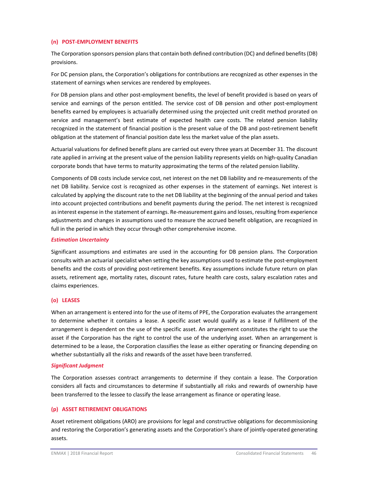## **(n) POST‐EMPLOYMENT BENEFITS**

The Corporation sponsors pension plans that contain both defined contribution (DC) and defined benefits (DB) provisions.

For DC pension plans, the Corporation's obligations for contributions are recognized as other expenses in the statement of earnings when services are rendered by employees.

For DB pension plans and other post-employment benefits, the level of benefit provided is based on years of service and earnings of the person entitled. The service cost of DB pension and other post-employment benefits earned by employees is actuarially determined using the projected unit credit method prorated on service and management's best estimate of expected health care costs. The related pension liability recognized in the statement of financial position is the present value of the DB and post-retirement benefit obligation at the statement of financial position date less the market value of the plan assets.

Actuarial valuations for defined benefit plans are carried out every three years at December 31. The discount rate applied in arriving at the present value of the pension liability represents yields on high-quality Canadian corporate bonds that have terms to maturity approximating the terms of the related pension liability.

Components of DB costs include service cost, net interest on the net DB liability and re‐measurements of the net DB liability. Service cost is recognized as other expenses in the statement of earnings. Net interest is calculated by applying the discount rate to the net DB liability at the beginning of the annual period and takes into account projected contributions and benefit payments during the period. The net interest is recognized as interest expense in the statement of earnings. Re-measurement gains and losses, resulting from experience adjustments and changes in assumptions used to measure the accrued benefit obligation, are recognized in full in the period in which they occur through other comprehensive income.

#### *Estimation Uncertainty*

Significant assumptions and estimates are used in the accounting for DB pension plans. The Corporation consults with an actuarial specialist when setting the key assumptions used to estimate the post-employment benefits and the costs of providing post-retirement benefits. Key assumptions include future return on plan assets, retirement age, mortality rates, discount rates, future health care costs, salary escalation rates and claims experiences.

## **(o) LEASES**

When an arrangement is entered into for the use of items of PPE, the Corporation evaluates the arrangement to determine whether it contains a lease. A specific asset would qualify as a lease if fulfillment of the arrangement is dependent on the use of the specific asset. An arrangement constitutes the right to use the asset if the Corporation has the right to control the use of the underlying asset. When an arrangement is determined to be a lease, the Corporation classifies the lease as either operating or financing depending on whether substantially all the risks and rewards of the asset have been transferred.

## *Significant Judgment*

The Corporation assesses contract arrangements to determine if they contain a lease. The Corporation considers all facts and circumstances to determine if substantially all risks and rewards of ownership have been transferred to the lessee to classify the lease arrangement as finance or operating lease.

## **(p) ASSET RETIREMENT OBLIGATIONS**

Asset retirement obligations (ARO) are provisions for legal and constructive obligations for decommissioning and restoring the Corporation's generating assets and the Corporation's share of jointly‐operated generating assets.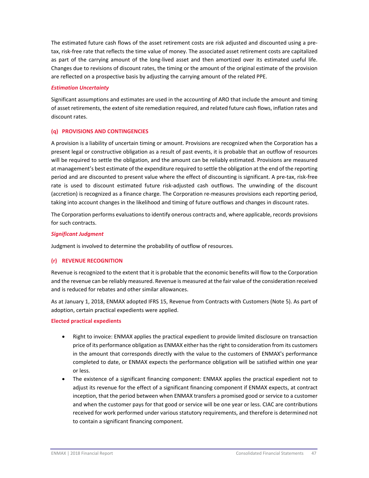The estimated future cash flows of the asset retirement costs are risk adjusted and discounted using a pre‐ tax, risk‐free rate that reflects the time value of money. The associated asset retirement costs are capitalized as part of the carrying amount of the long‐lived asset and then amortized over its estimated useful life. Changes due to revisions of discount rates, the timing or the amount of the original estimate of the provision are reflected on a prospective basis by adjusting the carrying amount of the related PPE.

## *Estimation Uncertainty*

Significant assumptions and estimates are used in the accounting of ARO that include the amount and timing of asset retirements, the extent of site remediation required, and related future cash flows, inflation rates and discount rates.

## **(q) PROVISIONS AND CONTINGENCIES**

A provision is a liability of uncertain timing or amount. Provisions are recognized when the Corporation has a present legal or constructive obligation as a result of past events, it is probable that an outflow of resources will be required to settle the obligation, and the amount can be reliably estimated. Provisions are measured at management's best estimate of the expenditure required to settle the obligation at the end of the reporting period and are discounted to present value where the effect of discounting is significant. A pre‐tax, risk‐free rate is used to discount estimated future risk‐adjusted cash outflows. The unwinding of the discount (accretion) is recognized as a finance charge. The Corporation re‐measures provisions each reporting period, taking into account changes in the likelihood and timing of future outflows and changes in discount rates.

The Corporation performs evaluations to identify onerous contracts and, where applicable, records provisions for such contracts.

## *Significant Judgment*

Judgment is involved to determine the probability of outflow of resources.

## **(r) REVENUE RECOGNITION**

Revenue is recognized to the extent that it is probable that the economic benefits will flow to the Corporation and the revenue can be reliably measured. Revenue is measured at the fair value of the consideration received and is reduced for rebates and other similar allowances.

As at January 1, 2018, ENMAX adopted IFRS 15, Revenue from Contracts with Customers (Note 5). As part of adoption, certain practical expedients were applied.

## **Elected practical expedients**

- Right to invoice: ENMAX applies the practical expedient to provide limited disclosure on transaction price of its performance obligation as ENMAX either hasthe right to consideration from its customers in the amount that corresponds directly with the value to the customers of ENMAX's performance completed to date, or ENMAX expects the performance obligation will be satisfied within one year or less.
- The existence of a significant financing component: ENMAX applies the practical expedient not to adjust its revenue for the effect of a significant financing component if ENMAX expects, at contract inception, that the period between when ENMAX transfers a promised good or service to a customer and when the customer pays for that good or service will be one year or less. CIAC are contributions received for work performed under various statutory requirements, and therefore is determined not to contain a significant financing component.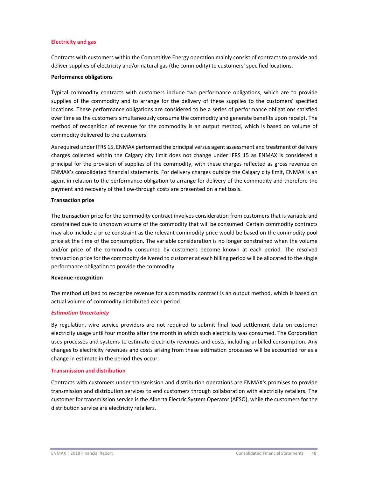## **Electricity and gas**

Contracts with customers within the Competitive Energy operation mainly consist of contracts to provide and deliver supplies of electricity and/or natural gas (the commodity) to customers' specified locations.

## **Performance obligations**

Typical commodity contracts with customers include two performance obligations, which are to provide supplies of the commodity and to arrange for the delivery of these supplies to the customers' specified locations. These performance obligations are considered to be a series of performance obligations satisfied over time as the customers simultaneously consume the commodity and generate benefits upon receipt. The method of recognition of revenue for the commodity is an output method, which is based on volume of commodity delivered to the customers.

Asrequired under IFRS 15, ENMAX performed the principal versus agent assessment and treatment of delivery charges collected within the Calgary city limit does not change under IFRS 15 as ENMAX is considered a principal for the provision of supplies of the commodity, with these charges reflected as gross revenue on ENMAX's consolidated financial statements. For delivery charges outside the Calgary city limit, ENMAX is an agent in relation to the performance obligation to arrange for delivery of the commodity and therefore the payment and recovery of the flow-through costs are presented on a net basis.

## **Transaction price**

The transaction price for the commodity contract involves consideration from customers that is variable and constrained due to unknown volume of the commodity that will be consumed. Certain commodity contracts may also include a price constraint as the relevant commodity price would be based on the commodity pool price at the time of the consumption. The variable consideration is no longer constrained when the volume and/or price of the commodity consumed by customers become known at each period. The resolved transaction price for the commodity delivered to customer at each billing period will be allocated to the single performance obligation to provide the commodity.

#### **Revenue recognition**

The method utilized to recognize revenue for a commodity contract is an output method, which is based on actual volume of commodity distributed each period.

## *Estimation Uncertainty*

By regulation, wire service providers are not required to submit final load settlement data on customer electricity usage until four months after the month in which such electricity was consumed. The Corporation uses processes and systems to estimate electricity revenues and costs, including unbilled consumption. Any changes to electricity revenues and costs arising from these estimation processes will be accounted for as a change in estimate in the period they occur.

#### **Transmission and distribution**

Contracts with customers under transmission and distribution operations are ENMAX's promises to provide transmission and distribution services to end customers through collaboration with electricity retailers. The customer for transmission service is the Alberta Electric System Operator (AESO), while the customers for the distribution service are electricity retailers.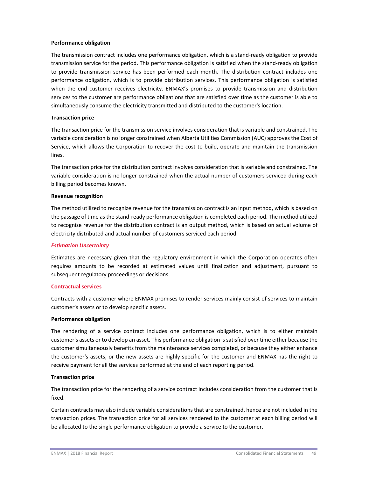#### **Performance obligation**

The transmission contract includes one performance obligation, which is a stand‐ready obligation to provide transmission service for the period. This performance obligation is satisfied when the stand‐ready obligation to provide transmission service has been performed each month. The distribution contract includes one performance obligation, which is to provide distribution services. This performance obligation is satisfied when the end customer receives electricity. ENMAX's promises to provide transmission and distribution services to the customer are performance obligations that are satisfied over time as the customer is able to simultaneously consume the electricity transmitted and distributed to the customer's location.

## **Transaction price**

The transaction price for the transmission service involves consideration that is variable and constrained. The variable consideration is no longer constrained when Alberta Utilities Commission (AUC) approves the Cost of Service, which allows the Corporation to recover the cost to build, operate and maintain the transmission lines.

The transaction price for the distribution contract involves consideration that is variable and constrained. The variable consideration is no longer constrained when the actual number of customers serviced during each billing period becomes known.

#### **Revenue recognition**

The method utilized to recognize revenue for the transmission contract is an input method, which is based on the passage of time as the stand‐ready performance obligation is completed each period. The method utilized to recognize revenue for the distribution contract is an output method, which is based on actual volume of electricity distributed and actual number of customers serviced each period.

## *Estimation Uncertainty*

Estimates are necessary given that the regulatory environment in which the Corporation operates often requires amounts to be recorded at estimated values until finalization and adjustment, pursuant to subsequent regulatory proceedings or decisions.

## **Contractual services**

Contracts with a customer where ENMAX promises to render services mainly consist of services to maintain customer's assets or to develop specific assets.

## **Performance obligation**

The rendering of a service contract includes one performance obligation, which is to either maintain customer's assets or to develop an asset. This performance obligation is satisfied over time either because the customer simultaneously benefits from the maintenance services completed, or because they either enhance the customer's assets, or the new assets are highly specific for the customer and ENMAX has the right to receive payment for all the services performed at the end of each reporting period.

## **Transaction price**

The transaction price for the rendering of a service contract includes consideration from the customer that is fixed.

Certain contracts may also include variable considerations that are constrained, hence are not included in the transaction prices. The transaction price for all services rendered to the customer at each billing period will be allocated to the single performance obligation to provide a service to the customer.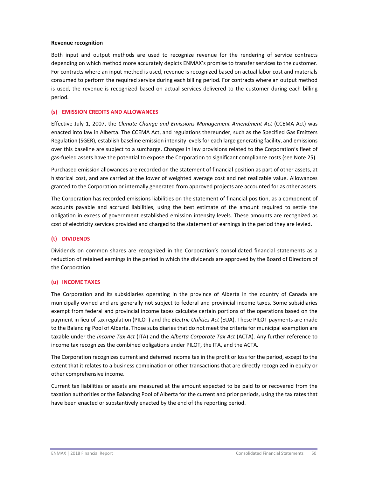#### **Revenue recognition**

Both input and output methods are used to recognize revenue for the rendering of service contracts depending on which method more accurately depicts ENMAX's promise to transfer services to the customer. For contracts where an input method is used, revenue is recognized based on actual labor cost and materials consumed to perform the required service during each billing period. For contracts where an output method is used, the revenue is recognized based on actual services delivered to the customer during each billing period.

#### **(s) EMISSION CREDITS AND ALLOWANCES**

Effective July 1, 2007, the *Climate Change and Emissions Management Amendment Act* (CCEMA Act) was enacted into law in Alberta. The CCEMA Act, and regulations thereunder, such as the Specified Gas Emitters Regulation (SGER), establish baseline emission intensity levels for each large generating facility, and emissions over this baseline are subject to a surcharge. Changes in law provisions related to the Corporation's fleet of gas‐fueled assets have the potential to expose the Corporation to significant compliance costs (see Note 25).

Purchased emission allowances are recorded on the statement of financial position as part of other assets, at historical cost, and are carried at the lower of weighted average cost and net realizable value. Allowances granted to the Corporation or internally generated from approved projects are accounted for as other assets.

The Corporation has recorded emissions liabilities on the statement of financial position, as a component of accounts payable and accrued liabilities, using the best estimate of the amount required to settle the obligation in excess of government established emission intensity levels. These amounts are recognized as cost of electricity services provided and charged to the statement of earnings in the period they are levied.

## **(t) DIVIDENDS**

Dividends on common shares are recognized in the Corporation's consolidated financial statements as a reduction of retained earnings in the period in which the dividends are approved by the Board of Directors of the Corporation.

#### **(u) INCOME TAXES**

The Corporation and its subsidiaries operating in the province of Alberta in the country of Canada are municipally owned and are generally not subject to federal and provincial income taxes. Some subsidiaries exempt from federal and provincial income taxes calculate certain portions of the operations based on the payment in lieu of tax regulation (PILOT) and the *Electric Utilities Act* (EUA). These PILOT payments are made to the Balancing Pool of Alberta. Those subsidiaries that do not meet the criteria for municipal exemption are taxable under the *Income Tax Act* (ITA) and the *Alberta Corporate Tax Act* (ACTA). Any further reference to income tax recognizes the combined obligations under PILOT, the ITA, and the ACTA.

The Corporation recognizes current and deferred income tax in the profit or loss for the period, except to the extent that it relates to a business combination or other transactions that are directly recognized in equity or other comprehensive income.

Current tax liabilities or assets are measured at the amount expected to be paid to or recovered from the taxation authorities or the Balancing Pool of Alberta for the current and prior periods, using the tax rates that have been enacted or substantively enacted by the end of the reporting period.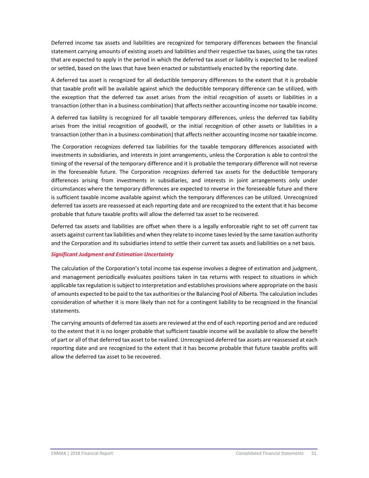Deferred income tax assets and liabilities are recognized for temporary differences between the financial statement carrying amounts of existing assets and liabilities and their respective tax bases, using the tax rates that are expected to apply in the period in which the deferred tax asset or liability is expected to be realized or settled, based on the laws that have been enacted or substantively enacted by the reporting date.

A deferred tax asset is recognized for all deductible temporary differences to the extent that it is probable that taxable profit will be available against which the deductible temporary difference can be utilized, with the exception that the deferred tax asset arises from the initial recognition of assets or liabilities in a transaction (other than in a business combination) that affects neither accounting income nor taxable income.

A deferred tax liability is recognized for all taxable temporary differences, unless the deferred tax liability arises from the initial recognition of goodwill, or the initial recognition of other assets or liabilities in a transaction (other than in a business combination) that affects neither accounting income nor taxable income.

The Corporation recognizes deferred tax liabilities for the taxable temporary differences associated with investments in subsidiaries, and interests in joint arrangements, unless the Corporation is able to control the timing of the reversal of the temporary difference and it is probable the temporary difference will not reverse in the foreseeable future. The Corporation recognizes deferred tax assets for the deductible temporary differences arising from investments in subsidiaries, and interests in joint arrangements only under circumstances where the temporary differences are expected to reverse in the foreseeable future and there is sufficient taxable income available against which the temporary differences can be utilized. Unrecognized deferred tax assets are reassessed at each reporting date and are recognized to the extent that it has become probable that future taxable profits will allow the deferred tax asset to be recovered.

Deferred tax assets and liabilities are offset when there is a legally enforceable right to set off current tax assets against current tax liabilities and when they relate to income taxes levied by the same taxation authority and the Corporation and its subsidiaries intend to settle their current tax assets and liabilities on a net basis.

## *Significant Judgment and Estimation Uncertainty*

The calculation of the Corporation's total income tax expense involves a degree of estimation and judgment, and management periodically evaluates positions taken in tax returns with respect to situations in which applicable tax regulation issubject to interpretation and establishes provisions where appropriate on the basis of amounts expected to be paid to the tax authorities or the Balancing Pool of Alberta. The calculation includes consideration of whether it is more likely than not for a contingent liability to be recognized in the financial statements.

The carrying amounts of deferred tax assets are reviewed at the end of each reporting period and are reduced to the extent that it is no longer probable that sufficient taxable income will be available to allow the benefit of part or all of that deferred tax asset to be realized. Unrecognized deferred tax assets are reassessed at each reporting date and are recognized to the extent that it has become probable that future taxable profits will allow the deferred tax asset to be recovered.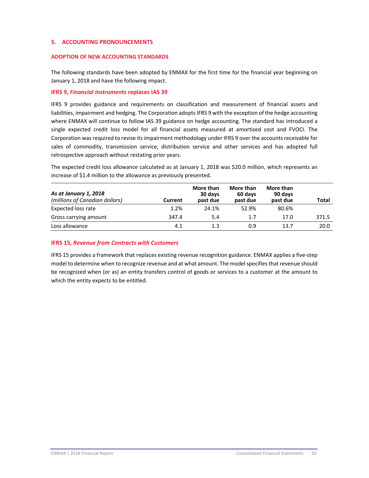## **5. ACCOUNTING PRONOUNCEMENTS**

## **ADOPTION OF NEW ACCOUNTING STANDARDS**

The following standards have been adopted by ENMAX for the first time for the financial year beginning on January 1, 2018 and have the following impact.

## **IFRS 9,** *Financial Instruments* **replaces IAS 39**

IFRS 9 provides guidance and requirements on classification and measurement of financial assets and liabilities, impairment and hedging. The Corporation adopts IFRS 9 with the exception of the hedge accounting where ENMAX will continue to follow IAS 39 guidance on hedge accounting. The standard has introduced a single expected credit loss model for all financial assets measured at amortized cost and FVOCI. The Corporation was required to revise its impairment methodology under IFRS 9 over the accounts receivable for sales of commodity, transmission service, distribution service and other services and has adopted full retrospective approach without restating prior years.

The expected credit loss allowance calculated as at January 1, 2018 was \$20.0 million, which represents an increase of \$1.4 million to the allowance as previously presented.

| As at January 1, 2018<br>(millions of Canadian dollars) | Current | More than<br>30 days<br>past due | More than<br>60 days<br>past due | More than<br>90 days<br>past due | <b>Total</b> |
|---------------------------------------------------------|---------|----------------------------------|----------------------------------|----------------------------------|--------------|
| Expected loss rate                                      | 1.2%    | 24.1%                            | 52.9%                            | 80.6%                            |              |
| Gross carrying amount                                   | 347.4   | 5.4                              | 1.7                              | 17.0                             | 371.5        |
| Loss allowance                                          | 4.1     | 1.3                              | 0.9                              | 13.7                             | 20.0         |

## **IFRS 15,** *Revenue from Contracts with Customers*

IFRS 15 provides a framework that replaces existing revenue recognition guidance. ENMAX applies a five‐step model to determine when to recognize revenue and at what amount. The model specifies that revenue should be recognized when (or as) an entity transfers control of goods or services to a customer at the amount to which the entity expects to be entitled.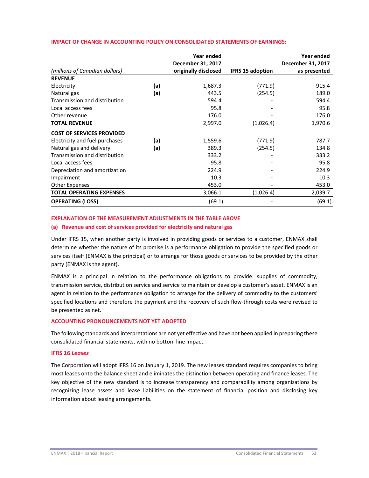|                                  |     | Year ended<br>December 31, 2017 |                         | Year ended<br>December 31, 2017 |
|----------------------------------|-----|---------------------------------|-------------------------|---------------------------------|
| (millions of Canadian dollars)   |     | originally disclosed            | <b>IFRS 15 adoption</b> | as presented                    |
| <b>REVENUE</b>                   |     |                                 |                         |                                 |
| Electricity                      | (a) | 1,687.3                         | (771.9)                 | 915.4                           |
| Natural gas                      | (a) | 443.5                           | (254.5)                 | 189.0                           |
| Transmission and distribution    |     | 594.4                           |                         | 594.4                           |
| Local access fees                |     | 95.8                            |                         | 95.8                            |
| Other revenue                    |     | 176.0                           |                         | 176.0                           |
| <b>TOTAL REVENUE</b>             |     | 2,997.0                         | (1,026.4)               | 1,970.6                         |
| <b>COST OF SERVICES PROVIDED</b> |     |                                 |                         |                                 |
| Electricity and fuel purchases   | (a) | 1,559.6                         | (771.9)                 | 787.7                           |
| Natural gas and delivery         | (a) | 389.3                           | (254.5)                 | 134.8                           |
| Transmission and distribution    |     | 333.2                           |                         | 333.2                           |
| Local access fees                |     | 95.8                            |                         | 95.8                            |
| Depreciation and amortization    |     | 224.9                           |                         | 224.9                           |
| Impairment                       |     | 10.3                            |                         | 10.3                            |
| Other Expenses                   |     | 453.0                           |                         | 453.0                           |
| <b>TOTAL OPERATING EXPENSES</b>  |     | 3,066.1                         | (1,026.4)               | 2,039.7                         |
| <b>OPERATING (LOSS)</b>          |     | (69.1)                          |                         | (69.1)                          |

## **IMPACT OF CHANGE IN ACCOUNTING POLICY ON CONSOLIDATED STATEMENTS OF EARNINGS:**

# **EXPLANATION OF THE MEASUREMENT ADJUSTMENTS IN THE TABLE ABOVE**

## **(a) Revenue and cost of services provided for electricity and natural gas**

Under IFRS 15, when another party is involved in providing goods or services to a customer, ENMAX shall determine whether the nature of its promise is a performance obligation to provide the specified goods or services itself (ENMAX is the principal) or to arrange for those goods or services to be provided by the other party (ENMAX is the agent).

ENMAX is a principal in relation to the performance obligations to provide: supplies of commodity, transmission service, distribution service and service to maintain or develop a customer's asset. ENMAX is an agent in relation to the performance obligation to arrange for the delivery of commodity to the customers' specified locations and therefore the payment and the recovery of such flow-through costs were revised to be presented as net.

## **ACCOUNTING PRONOUNCEMENTS NOT YET ADOPTED**

The following standards and interpretations are not yet effective and have not been applied in preparing these consolidated financial statements, with no bottom line impact.

## **IFRS 16** *Leases*

The Corporation will adopt IFRS 16 on January 1, 2019. The new leases standard requires companies to bring most leases onto the balance sheet and eliminates the distinction between operating and finance leases. The key objective of the new standard is to increase transparency and comparability among organizations by recognizing lease assets and lease liabilities on the statement of financial position and disclosing key information about leasing arrangements.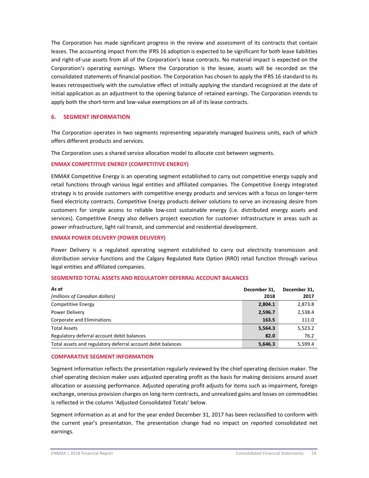The Corporation has made significant progress in the review and assessment of its contracts that contain leases. The accounting impact from the IFRS 16 adoption is expected to be significant for both lease liabilities and right-of-use assets from all of the Corporation's lease contracts. No material impact is expected on the Corporation's operating earnings. Where the Corporation is the lessee, assets will be recorded on the consolidated statements of financial position. The Corporation has chosen to apply the IFRS 16 standard to its leases retrospectively with the cumulative effect of initially applying the standard recognized at the date of initial application as an adjustment to the opening balance of retained earnings. The Corporation intends to apply both the short-term and low-value exemptions on all of its lease contracts.

## **6. SEGMENT INFORMATION**

The Corporation operates in two segments representing separately managed business units, each of which offers different products and services.

The Corporation uses a shared service allocation model to allocate cost between segments.

## **ENMAX COMPETITIVE ENERGY (COMPETITIVE ENERGY)**

ENMAX Competitive Energy is an operating segment established to carry out competitive energy supply and retail functions through various legal entities and affiliated companies. The Competitive Energy integrated strategy is to provide customers with competitive energy products and services with a focus on longer‐term fixed electricity contracts. Competitive Energy products deliver solutions to serve an increasing desire from customers for simple access to reliable low‐cost sustainable energy (i.e. distributed energy assets and services). Competitive Energy also delivers project execution for customer infrastructure in areas such as power infrastructure, light rail transit, and commercial and residential development.

## **ENMAX POWER DELIVERY (POWER DELIVERY)**

Power Delivery is a regulated operating segment established to carry out electricity transmission and distribution service functions and the Calgary Regulated Rate Option (RRO) retail function through various legal entities and affiliated companies.

#### **SEGMENTED TOTAL ASSETS AND REGULATORY DEFERRAL ACCOUNT BALANCES**

| As at                                                       | December 31. | December 31. |
|-------------------------------------------------------------|--------------|--------------|
| (millions of Canadian dollars)                              | 2018         | 2017         |
| Competitive Energy                                          | 2,804.1      | 2,873.8      |
| Power Delivery                                              | 2,596.7      | 2,538.4      |
| Corporate and Eliminations                                  | 163.5        | 111.0        |
| <b>Total Assets</b>                                         | 5,564.3      | 5,523.2      |
| Regulatory deferral account debit balances                  | 82.0         | 76.2         |
| Total assets and regulatory deferral account debit balances | 5,646.3      | 5.599.4      |

#### **COMPARATIVE SEGMENT INFORMATION**

Segment information reflects the presentation regularly reviewed by the chief operating decision maker. The chief operating decision maker uses adjusted operating profit as the basis for making decisions around asset allocation or assessing performance. Adjusted operating profit adjusts for items such as impairment, foreign exchange, onerous provision charges on long‐term contracts, and unrealized gains and losses on commodities is reflected in the column 'Adjusted Consolidated Totals' below.

Segment information as at and for the year ended December 31, 2017 has been reclassified to conform with the current year's presentation. The presentation change had no impact on reported consolidated net earnings.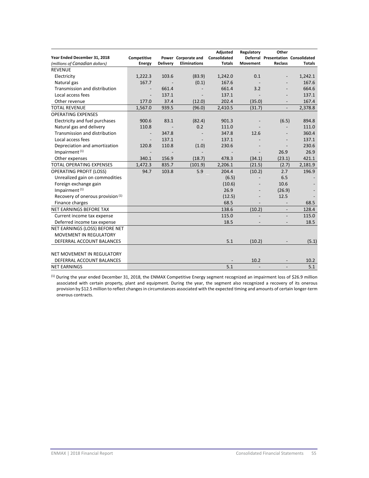| Year Ended December 31, 2018<br>(millions of Canadian dollars) | Competitive<br><b>Energy</b> | <b>Delivery</b> | Power Corporate and<br><b>Eliminations</b> | Adjusted<br>Consolidated<br><b>Totals</b> | Regulatory<br><b>Movement</b> | Other<br><b>Reclass</b>  | Deferral Presentation Consolidated<br><b>Totals</b> |
|----------------------------------------------------------------|------------------------------|-----------------|--------------------------------------------|-------------------------------------------|-------------------------------|--------------------------|-----------------------------------------------------|
| <b>REVENUE</b>                                                 |                              |                 |                                            |                                           |                               |                          |                                                     |
| Electricity                                                    | 1,222.3                      | 103.6           | (83.9)                                     | 1,242.0                                   | 0.1                           | $\overline{\phantom{a}}$ | 1,242.1                                             |
| Natural gas                                                    | 167.7                        |                 | (0.1)                                      | 167.6                                     |                               |                          | 167.6                                               |
| Transmission and distribution                                  |                              | 661.4           |                                            | 661.4                                     | 3.2                           |                          | 664.6                                               |
| Local access fees                                              |                              | 137.1           |                                            | 137.1                                     |                               |                          | 137.1                                               |
| Other revenue                                                  | 177.0                        | 37.4            | (12.0)                                     | 202.4                                     | (35.0)                        |                          | 167.4                                               |
| <b>TOTAL REVENUE</b>                                           | 1,567.0                      | 939.5           | (96.0)                                     | 2,410.5                                   | (31.7)                        | $\overline{\phantom{m}}$ | 2,378.8                                             |
| <b>OPERATING EXPENSES</b>                                      |                              |                 |                                            |                                           |                               |                          |                                                     |
| Electricity and fuel purchases                                 | 900.6                        | 83.1            | (82.4)                                     | 901.3                                     |                               | (6.5)                    | 894.8                                               |
| Natural gas and delivery                                       | 110.8                        |                 | 0.2                                        | 111.0                                     |                               |                          | 111.0                                               |
| Transmission and distribution                                  |                              | 347.8           |                                            | 347.8                                     | 12.6                          |                          | 360.4                                               |
| Local access fees                                              |                              | 137.1           |                                            | 137.1                                     |                               |                          | 137.1                                               |
| Depreciation and amortization                                  | 120.8                        | 110.8           | (1.0)                                      | 230.6                                     |                               |                          | 230.6                                               |
| Impairment <sup>(1)</sup>                                      |                              |                 |                                            |                                           |                               | 26.9                     | 26.9                                                |
| Other expenses                                                 | 340.1                        | 156.9           | (18.7)                                     | 478.3                                     | (34.1)                        | (23.1)                   | 421.1                                               |
| <b>TOTAL OPERATING EXPENSES</b>                                | 1,472.3                      | 835.7           | (101.9)                                    | 2,206.1                                   | (21.5)                        | (2.7)                    | 2,181.9                                             |
| <b>OPERATING PROFIT (LOSS)</b>                                 | 94.7                         | 103.8           | 5.9                                        | 204.4                                     | (10.2)                        | 2.7                      | 196.9                                               |
| Unrealized gain on commodities                                 |                              |                 |                                            | (6.5)                                     |                               | 6.5                      |                                                     |
| Foreign exchange gain                                          |                              |                 |                                            | (10.6)                                    |                               | 10.6                     |                                                     |
| Impairment $(1)$                                               |                              |                 |                                            | 26.9                                      |                               | (26.9)                   |                                                     |
| Recovery of onerous provision (1)                              |                              |                 |                                            | (12.5)                                    |                               | 12.5                     |                                                     |
| Finance charges                                                |                              |                 |                                            | 68.5                                      |                               |                          | 68.5                                                |
| NET EARNINGS BEFORE TAX                                        |                              |                 |                                            | 138.6                                     | (10.2)                        | $\overline{\phantom{a}}$ | 128.4                                               |
| Current income tax expense                                     |                              |                 |                                            | 115.0                                     |                               |                          | 115.0                                               |
| Deferred income tax expense                                    |                              |                 |                                            | 18.5                                      |                               |                          | 18.5                                                |
| NET EARNINGS (LOSS) BEFORE NET                                 |                              |                 |                                            |                                           |                               |                          |                                                     |
| <b>MOVEMENT IN REGULATORY</b>                                  |                              |                 |                                            |                                           |                               |                          |                                                     |
| DEFERRAL ACCOUNT BALANCES                                      |                              |                 |                                            | 5.1                                       | (10.2)                        |                          | (5.1)                                               |
|                                                                |                              |                 |                                            |                                           |                               |                          |                                                     |
| NET MOVEMENT IN REGULATORY                                     |                              |                 |                                            |                                           |                               |                          |                                                     |
| DEFERRAL ACCOUNT BALANCES                                      |                              |                 |                                            |                                           | 10.2                          |                          | 10.2                                                |
| <b>NET EARNINGS</b>                                            |                              |                 |                                            | 5.1                                       |                               |                          | 5.1                                                 |

(1) During the year ended December 31, 2018, the ENMAX Competitive Energy segment recognized an impairment loss of \$26.9 million associated with certain property, plant and equipment. During the year, the segment also recognized a recovery of its onerous provision by \$12.5 million to reflect changes in circumstances associated with the expected timing and amounts of certain longer-term onerous contracts.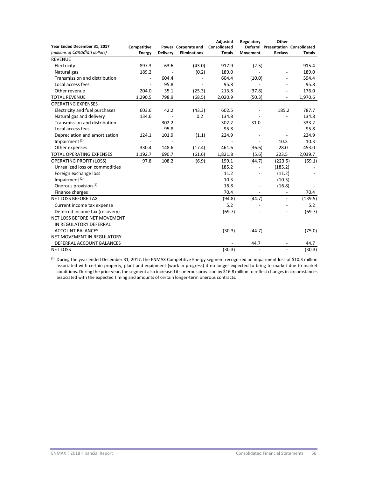| Year Ended December 31, 2017    | Competitive    |                 | Power Corporate and | Adjusted<br>Consolidated | Regulatory               | Other                    | Deferral Presentation Consolidated |
|---------------------------------|----------------|-----------------|---------------------|--------------------------|--------------------------|--------------------------|------------------------------------|
| (millions of Canadian dollars)  | <b>Energy</b>  | <b>Delivery</b> | <b>Eliminations</b> | <b>Totals</b>            | <b>Movement</b>          | <b>Reclass</b>           | <b>Totals</b>                      |
| <b>REVENUE</b>                  |                |                 |                     |                          |                          |                          |                                    |
| Electricity                     | 897.3          | 63.6            | (43.0)              | 917.9                    | (2.5)                    |                          | 915.4                              |
| Natural gas                     | 189.2          |                 | (0.2)               | 189.0                    |                          |                          | 189.0                              |
| Transmission and distribution   | $\overline{a}$ | 604.4           |                     | 604.4                    | (10.0)                   | $\overline{a}$           | 594.4                              |
| Local access fees               | $\overline{a}$ | 95.8            | $\overline{a}$      | 95.8                     |                          |                          | 95.8                               |
| Other revenue                   | 204.0          | 35.1            | (25.3)              | 213.8                    | (37.8)                   | $\overline{a}$           | 176.0                              |
| <b>TOTAL REVENUE</b>            | 1,290.5        | 798.9           | (68.5)              | 2,020.9                  | (50.3)                   | $\overline{a}$           | 1,970.6                            |
| <b>OPERATING EXPENSES</b>       |                |                 |                     |                          |                          |                          |                                    |
| Electricity and fuel purchases  | 603.6          | 42.2            | (43.3)              | 602.5                    |                          | 185.2                    | 787.7                              |
| Natural gas and delivery        | 134.6          |                 | 0.2                 | 134.8                    |                          | $\overline{a}$           | 134.8                              |
| Transmission and distribution   | $\sim$         | 302.2           |                     | 302.2                    | 31.0                     | $\overline{a}$           | 333.2                              |
| Local access fees               | $\blacksquare$ | 95.8            | $\blacksquare$      | 95.8                     |                          |                          | 95.8                               |
| Depreciation and amortization   | 124.1          | 101.9           | (1.1)               | 224.9                    |                          | $\overline{a}$           | 224.9                              |
| Impairment <sup>(2)</sup>       |                |                 | $\overline{a}$      |                          | $\overline{\phantom{a}}$ | 10.3                     | 10.3                               |
| Other expenses                  | 330.4          | 148.6           | (17.4)              | 461.6                    | (36.6)                   | 28.0                     | 453.0                              |
| <b>TOTAL OPERATING EXPENSES</b> | 1,192.7        | 690.7           | (61.6)              | 1,821.8                  | (5.6)                    | 223.5                    | 2,039.7                            |
| <b>OPERATING PROFIT (LOSS)</b>  | 97.8           | 108.2           | (6.9)               | 199.1                    | (44.7)                   | (223.5)                  | (69.1)                             |
| Unrealized loss on commodities  |                |                 |                     | 185.2                    |                          | (185.2)                  |                                    |
| Foreign exchange loss           |                |                 |                     | 11.2                     | $\overline{\phantom{a}}$ | (11.2)                   |                                    |
| Impairment <sup>(2)</sup>       |                |                 |                     | 10.3                     | $\overline{\phantom{a}}$ | (10.3)                   |                                    |
| Onerous provision (2)           |                |                 |                     | 16.8                     | L,                       | (16.8)                   |                                    |
| Finance charges                 |                |                 |                     | 70.4                     |                          |                          | 70.4                               |
| <b>NET LOSS BEFORE TAX</b>      |                |                 |                     | (94.8)                   | (44.7)                   | $\overline{a}$           | (139.5)                            |
| Current income tax expense      |                |                 |                     | 5.2                      |                          | $\overline{\phantom{a}}$ | 5.2                                |
| Deferred income tax (recovery)  |                |                 |                     | (69.7)                   |                          | $\overline{\phantom{a}}$ | (69.7)                             |
| NET LOSS BEFORE NET MOVEMENT    |                |                 |                     |                          |                          |                          |                                    |
| IN REGULATORY DEFERRAL          |                |                 |                     |                          |                          |                          |                                    |
| <b>ACCOUNT BALANCES</b>         |                |                 |                     | (30.3)                   | (44.7)                   |                          | (75.0)                             |
| NET MOVEMENT IN REGULATORY      |                |                 |                     |                          |                          |                          |                                    |
| DEFERRAL ACCOUNT BALANCES       |                |                 |                     |                          | 44.7                     | $\overline{a}$           | 44.7                               |
| <b>NET LOSS</b>                 |                |                 |                     | (30.3)                   | $\overline{a}$           | $\overline{a}$           | (30.3)                             |

<sup>(2)</sup> During the year ended December 31, 2017, the ENMAX Competitive Energy segment recognized an impairment loss of \$10.3 million associated with certain property, plant and equipment (work in progress) it no longer expected to bring to market due to market conditions. During the prior year, the segment also increased its onerous provision by \$16.8 million to reflect changes in circumstances associated with the expected timing and amounts of certain longer‐term onerous contracts.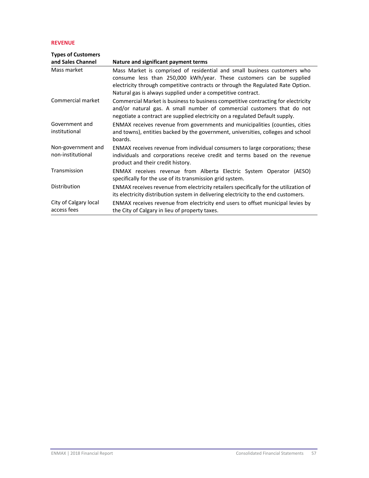## **REVENUE**

| <b>Types of Customers</b>               |                                                                                                                                                                                                                                                                                                    |
|-----------------------------------------|----------------------------------------------------------------------------------------------------------------------------------------------------------------------------------------------------------------------------------------------------------------------------------------------------|
| and Sales Channel                       | Nature and significant payment terms                                                                                                                                                                                                                                                               |
| Mass market                             | Mass Market is comprised of residential and small business customers who<br>consume less than 250,000 kWh/year. These customers can be supplied<br>electricity through competitive contracts or through the Regulated Rate Option.<br>Natural gas is always supplied under a competitive contract. |
| Commercial market                       | Commercial Market is business to business competitive contracting for electricity<br>and/or natural gas. A small number of commercial customers that do not<br>negotiate a contract are supplied electricity on a regulated Default supply.                                                        |
| Government and<br>institutional         | ENMAX receives revenue from governments and municipalities (counties, cities<br>and towns), entities backed by the government, universities, colleges and school<br>boards.                                                                                                                        |
| Non-government and<br>non-institutional | ENMAX receives revenue from individual consumers to large corporations; these<br>individuals and corporations receive credit and terms based on the revenue<br>product and their credit history.                                                                                                   |
| Transmission                            | ENMAX receives revenue from Alberta Electric System Operator (AESO)<br>specifically for the use of its transmission grid system.                                                                                                                                                                   |
| Distribution                            | ENMAX receives revenue from electricity retailers specifically for the utilization of<br>its electricity distribution system in delivering electricity to the end customers.                                                                                                                       |
| City of Calgary local<br>access fees    | ENMAX receives revenue from electricity end users to offset municipal levies by<br>the City of Calgary in lieu of property taxes.                                                                                                                                                                  |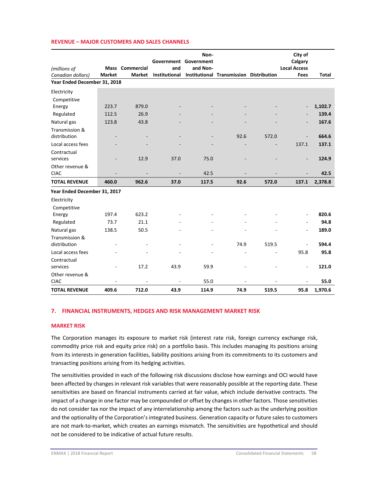|  |  | REVENUE – MAJOR CUSTOMERS AND SALES CHANNELS |
|--|--|----------------------------------------------|
|--|--|----------------------------------------------|

|                              |               |                 |               | Non-<br>Government Government |                                         |       | City of<br>Calgary       |         |
|------------------------------|---------------|-----------------|---------------|-------------------------------|-----------------------------------------|-------|--------------------------|---------|
| (millions of                 |               | Mass Commercial | and           | and Non-                      |                                         |       | <b>Local Access</b>      |         |
| Canadian dollars)            | <b>Market</b> | <b>Market</b>   | Institutional |                               | Institutional Transmission Distribution |       | <b>Fees</b>              | Total   |
| Year Ended December 31, 2018 |               |                 |               |                               |                                         |       |                          |         |
| Electricity                  |               |                 |               |                               |                                         |       |                          |         |
| Competitive                  |               |                 |               |                               |                                         |       |                          |         |
| Energy                       | 223.7         | 879.0           |               |                               |                                         |       | $\overline{\phantom{a}}$ | 1,102.7 |
| Regulated                    | 112.5         | 26.9            |               |                               |                                         |       |                          | 139.4   |
| Natural gas                  | 123.8         | 43.8            |               |                               |                                         |       |                          | 167.6   |
| Transmission &               |               |                 |               |                               |                                         |       |                          |         |
| distribution                 |               |                 |               |                               | 92.6                                    | 572.0 |                          | 664.6   |
| Local access fees            |               |                 |               |                               |                                         |       | 137.1                    | 137.1   |
| Contractual                  |               |                 |               |                               |                                         |       |                          |         |
| services                     |               | 12.9            | 37.0          | 75.0                          |                                         |       |                          | 124.9   |
| Other revenue &              |               |                 |               |                               |                                         |       |                          |         |
| <b>CIAC</b>                  |               |                 |               | 42.5                          |                                         |       |                          | 42.5    |
| <b>TOTAL REVENUE</b>         | 460.0         | 962.6           | 37.0          | 117.5                         | 92.6                                    | 572.0 | 137.1                    | 2,378.8 |
| Year Ended December 31, 2017 |               |                 |               |                               |                                         |       |                          |         |
| Electricity                  |               |                 |               |                               |                                         |       |                          |         |
| Competitive                  |               |                 |               |                               |                                         |       |                          |         |
| Energy                       | 197.4         | 623.2           |               |                               |                                         |       | $\overline{\phantom{a}}$ | 820.6   |
| Regulated                    | 73.7          | 21.1            |               |                               |                                         |       |                          | 94.8    |
| Natural gas                  | 138.5         | 50.5            |               |                               |                                         |       | $\overline{\phantom{a}}$ | 189.0   |
| Transmission &               |               |                 |               |                               |                                         |       |                          |         |
| distribution                 |               |                 |               |                               | 74.9                                    | 519.5 |                          | 594.4   |
| Local access fees            |               |                 |               |                               |                                         |       | 95.8                     | 95.8    |
| Contractual                  |               |                 |               |                               |                                         |       |                          |         |
| services                     |               | 17.2            | 43.9          | 59.9                          |                                         |       | ä,                       | 121.0   |
| Other revenue &              |               |                 |               |                               |                                         |       |                          |         |
| <b>CIAC</b>                  |               | ä,              |               | 55.0                          |                                         |       |                          | 55.0    |
| <b>TOTAL REVENUE</b>         | 409.6         | 712.0           | 43.9          | 114.9                         | 74.9                                    | 519.5 | 95.8                     | 1,970.6 |

#### **7. FINANCIAL INSTRUMENTS, HEDGES AND RISK MANAGEMENT MARKET RISK**

#### **MARKET RISK**

The Corporation manages its exposure to market risk (interest rate risk, foreign currency exchange risk, commodity price risk and equity price risk) on a portfolio basis. This includes managing its positions arising from its interests in generation facilities, liability positions arising from its commitments to its customers and transacting positions arising from its hedging activities.

The sensitivities provided in each of the following risk discussions disclose how earnings and OCI would have been affected by changes in relevant risk variables that were reasonably possible at the reporting date. These sensitivities are based on financial instruments carried at fair value, which include derivative contracts. The impact of a change in one factor may be compounded or offset by changesin other factors. Those sensitivities do not consider tax nor the impact of any interrelationship among the factors such as the underlying position and the optionality of the Corporation's integrated business. Generation capacity or future sales to customers are not mark-to-market, which creates an earnings mismatch. The sensitivities are hypothetical and should not be considered to be indicative of actual future results.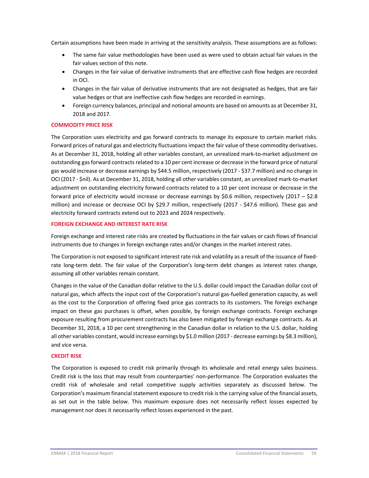Certain assumptions have been made in arriving at the sensitivity analysis. These assumptions are as follows:

- The same fair value methodologies have been used as were used to obtain actual fair values in the fair values section of this note.
- Changes in the fair value of derivative instruments that are effective cash flow hedges are recorded in OCI.
- Changes in the fair value of derivative instruments that are not designated as hedges, that are fair value hedges or that are ineffective cash flow hedges are recorded in earnings.
- Foreign currency balances, principal and notional amounts are based on amounts as at December 31, 2018 and 2017.

## **COMMODITY PRICE RISK**

The Corporation uses electricity and gas forward contracts to manage its exposure to certain market risks. Forward prices of natural gas and electricity fluctuationsimpact the fair value of these commodity derivatives. As at December 31, 2018, holding all other variables constant, an unrealized mark‐to‐market adjustment on outstanding gasforward contracts related to a 10 per cent increase or decrease in the forward price of natural gas would increase or decrease earnings by \$44.5 million, respectively (2017 ‐ \$37.7 million) and no change in OCI (2017 ‐ \$nil). As at December 31, 2018, holding all other variables constant, an unrealized mark‐to‐market adjustment on outstanding electricity forward contracts related to a 10 per cent increase or decrease in the forward price of electricity would increase or decrease earnings by \$0.6 million, respectively (2017 – \$2.8 million) and increase or decrease OCI by \$29.7 million, respectively (2017 ‐ \$47.6 million). These gas and electricity forward contracts extend out to 2023 and 2024 respectively.

## **FOREIGN EXCHANGE AND INTEREST RATE RISK**

Foreign exchange and interest rate risks are created by fluctuations in the fair values or cash flows of financial instruments due to changes in foreign exchange rates and/or changes in the market interest rates.

The Corporation is not exposed to significant interest rate risk and volatility as a result of the issuance of fixed‐ rate long-term debt. The fair value of the Corporation's long-term debt changes as interest rates change, assuming all other variables remain constant.

Changes in the value of the Canadian dollar relative to the U.S. dollar could impact the Canadian dollar cost of natural gas, which affects the input cost of the Corporation's natural gas-fuelled generation capacity, as well as the cost to the Corporation of offering fixed price gas contracts to its customers. The foreign exchange impact on these gas purchases is offset, when possible, by foreign exchange contracts. Foreign exchange exposure resulting from procurement contracts has also been mitigated by foreign exchange contracts. As at December 31, 2018, a 10 per cent strengthening in the Canadian dollar in relation to the U.S. dollar, holding all other variables constant, would increase earnings by \$1.0 million (2017 ‐ decrease earnings by \$8.3 million), and vice versa.

#### **CREDIT RISK**

The Corporation is exposed to credit risk primarily through its wholesale and retail energy sales business. Credit risk is the loss that may result from counterparties' non‐performance. The Corporation evaluates the credit risk of wholesale and retail competitive supply activities separately as discussed below. The Corporation's maximum financial statement exposure to credit risk is the carrying value of the financial assets, as set out in the table below. This maximum exposure does not necessarily reflect losses expected by management nor does it necessarily reflect losses experienced in the past.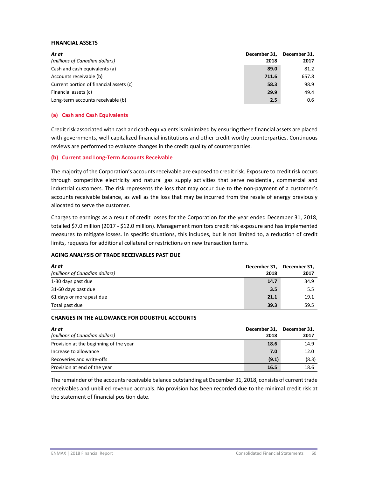## **FINANCIAL ASSETS**

| As at<br>(millions of Canadian dollars) | December 31,<br>2018 | December 31.<br>2017 |
|-----------------------------------------|----------------------|----------------------|
| Cash and cash equivalents (a)           | 89.0                 | 81.2                 |
| Accounts receivable (b)                 | 711.6                | 657.8                |
| Current portion of financial assets (c) | 58.3                 | 98.9                 |
| Financial assets (c)                    | 29.9                 | 49.4                 |
| Long-term accounts receivable (b)       | 2.5                  | 0.6                  |

## **(a) Cash and Cash Equivalents**

Credit risk associated with cash and cash equivalentsis minimized by ensuring these financial assets are placed with governments, well-capitalized financial institutions and other credit-worthy counterparties. Continuous reviews are performed to evaluate changes in the credit quality of counterparties.

## **(b) Current and Long‐Term Accounts Receivable**

The majority of the Corporation's accounts receivable are exposed to credit risk. Exposure to credit risk occurs through competitive electricity and natural gas supply activities that serve residential, commercial and industrial customers. The risk represents the loss that may occur due to the non‐payment of a customer's accounts receivable balance, as well as the loss that may be incurred from the resale of energy previously allocated to serve the customer.

Charges to earnings as a result of credit losses for the Corporation for the year ended December 31, 2018, totalled \$7.0 million (2017 ‐ \$12.0 million). Management monitors credit risk exposure and has implemented measures to mitigate losses. In specific situations, this includes, but is not limited to, a reduction of credit limits, requests for additional collateral or restrictions on new transaction terms.

#### **AGING ANALYSIS OF TRADE RECEIVABLES PAST DUE**

| As at                          | December 31, | December 31, |  |
|--------------------------------|--------------|--------------|--|
| (millions of Canadian dollars) | 2018         | 2017         |  |
| 1-30 days past due             | 14.7         | 34.9         |  |
| 31-60 days past due            | 3.5          | 5.5          |  |
| 61 days or more past due       | 21.1         | 19.1         |  |
| Total past due                 | 39.3         | 59.5         |  |

#### **CHANGES IN THE ALLOWANCE FOR DOUBTFUL ACCOUNTS**

| As at                                  | December 31, | December 31, |
|----------------------------------------|--------------|--------------|
| (millions of Canadian dollars)         | 2018         | 2017         |
| Provision at the beginning of the year | 18.6         | 14.9         |
| Increase to allowance                  | 7.0          | 12.0         |
| Recoveries and write-offs              | (9.1)        | (8.3)        |
| Provision at end of the year           | 16.5         | 18.6         |

The remainder of the accounts receivable balance outstanding at December 31, 2018, consists of current trade receivables and unbilled revenue accruals. No provision has been recorded due to the minimal credit risk at the statement of financial position date.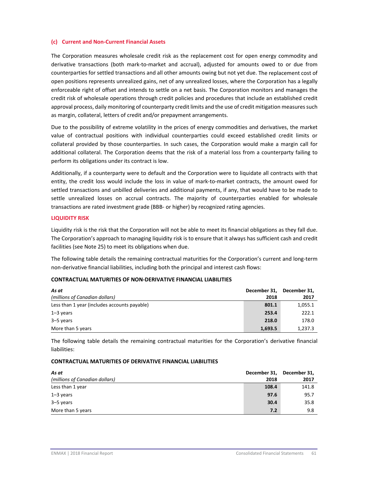## **(c) Current and Non‐Current Financial Assets**

The Corporation measures wholesale credit risk as the replacement cost for open energy commodity and derivative transactions (both mark‐to‐market and accrual), adjusted for amounts owed to or due from counterparties for settled transactions and all other amounts owing but not yet due. The replacement cost of open positions represents unrealized gains, net of any unrealized losses, where the Corporation has a legally enforceable right of offset and intends to settle on a net basis. The Corporation monitors and manages the credit risk of wholesale operations through credit policies and procedures that include an established credit approval process, daily monitoring of counterparty credit limits and the use of credit mitigation measures such as margin, collateral, letters of credit and/or prepayment arrangements.

Due to the possibility of extreme volatility in the prices of energy commodities and derivatives, the market value of contractual positions with individual counterparties could exceed established credit limits or collateral provided by those counterparties. In such cases, the Corporation would make a margin call for additional collateral. The Corporation deems that the risk of a material loss from a counterparty failing to perform its obligations under its contract is low.

Additionally, if a counterparty were to default and the Corporation were to liquidate all contracts with that entity, the credit loss would include the loss in value of mark-to-market contracts, the amount owed for settled transactions and unbilled deliveries and additional payments, if any, that would have to be made to settle unrealized losses on accrual contracts. The majority of counterparties enabled for wholesale transactions are rated investment grade (BBB‐ or higher) by recognized rating agencies.

#### **LIQUIDITY RISK**

Liquidity risk is the risk that the Corporation will not be able to meet its financial obligations as they fall due. The Corporation's approach to managing liquidity risk is to ensure that it always has sufficient cash and credit facilities (see Note 25) to meet its obligations when due.

The following table details the remaining contractual maturities for the Corporation's current and long‐term non‐derivative financial liabilities, including both the principal and interest cash flows:

## **CONTRACTUAL MATURITIES OF NON‐DERIVATIVE FINANCIAL LIABILITIES**

| As at                                        | December 31, | December 31, |
|----------------------------------------------|--------------|--------------|
| (millions of Canadian dollars)               | 2018         | 2017         |
| Less than 1 year (includes accounts payable) | 801.1        | 1,055.1      |
| $1 - 3$ years                                | 253.4        | 222.1        |
| 3-5 years                                    | 218.0        | 178.0        |
| More than 5 years                            | 1,693.5      | 1,237.3      |

The following table details the remaining contractual maturities for the Corporation's derivative financial liabilities:

#### **CONTRACTUAL MATURITIES OF DERIVATIVE FINANCIAL LIABILITIES**

| As at                          | December 31, | December 31, |
|--------------------------------|--------------|--------------|
| (millions of Canadian dollars) | 2018         | 2017         |
| Less than 1 year               | 108.4        | 141.8        |
| $1 - 3$ years                  | 97.6         | 95.7         |
| 3–5 years                      | 30.4         | 35.8         |
| More than 5 years              | 7.2          | 9.8          |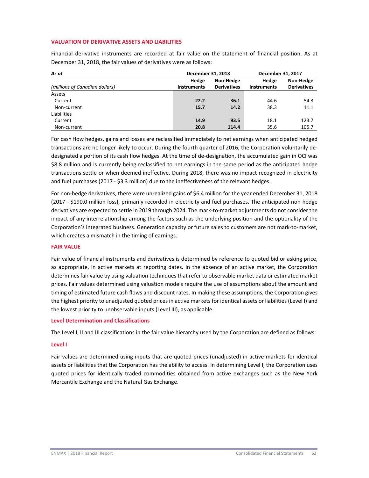## **VALUATION OF DERIVATIVE ASSETS AND LIABILITIES**

Financial derivative instruments are recorded at fair value on the statement of financial position. As at December 31, 2018, the fair values of derivatives were as follows:

| As at                          | December 31, 2018  |                    | December 31, 2017  |                    |  |
|--------------------------------|--------------------|--------------------|--------------------|--------------------|--|
|                                | Hedge              | Non-Hedge          | Hedge              | Non-Hedge          |  |
| (millions of Canadian dollars) | <b>Instruments</b> | <b>Derivatives</b> | <b>Instruments</b> | <b>Derivatives</b> |  |
| Assets                         |                    |                    |                    |                    |  |
| Current                        | 22.2               | 36.1               | 44.6               | 54.3               |  |
| Non-current                    | 15.7               | 14.2               | 38.3               | 11.1               |  |
| Liabilities                    |                    |                    |                    |                    |  |
| Current                        | 14.9               | 93.5               | 18.1               | 123.7              |  |
| Non-current                    | 20.8               | 114.4              | 35.6               | 105.7              |  |

For cash flow hedges, gains and losses are reclassified immediately to net earnings when anticipated hedged transactions are no longer likely to occur. During the fourth quarter of 2016, the Corporation voluntarily de‐ designated a portion of its cash flow hedges. At the time of de‐designation, the accumulated gain in OCI was \$8.8 million and is currently being reclassified to net earnings in the same period as the anticipated hedge transactions settle or when deemed ineffective. During 2018, there was no impact recognized in electricity and fuel purchases (2017 - \$3.3 million) due to the ineffectiveness of the relevant hedges.

For non‐hedge derivatives, there were unrealized gains of \$6.4 million for the year ended December 31, 2018 (2017 ‐ \$190.0 million loss), primarily recorded in electricity and fuel purchases. The anticipated non‐hedge derivatives are expected to settle in 2019 through 2024. The mark-to-market adjustments do not consider the impact of any interrelationship among the factors such as the underlying position and the optionality of the Corporation's integrated business. Generation capacity or future sales to customers are not mark‐to‐market, which creates a mismatch in the timing of earnings.

#### **FAIR VALUE**

Fair value of financial instruments and derivatives is determined by reference to quoted bid or asking price, as appropriate, in active markets at reporting dates. In the absence of an active market, the Corporation determines fair value by using valuation techniques that refer to observable market data or estimated market prices. Fair values determined using valuation models require the use of assumptions about the amount and timing of estimated future cash flows and discount rates. In making these assumptions, the Corporation gives the highest priority to unadjusted quoted prices in active markets for identical assets or liabilities (Level I) and the lowest priority to unobservable inputs (Level III), as applicable.

#### **Level Determination and Classifications**

The Level I, II and III classifications in the fair value hierarchy used by the Corporation are defined as follows:

#### **Level I**

Fair values are determined using inputs that are quoted prices (unadjusted) in active markets for identical assets or liabilities that the Corporation has the ability to access. In determining Level I, the Corporation uses quoted prices for identically traded commodities obtained from active exchanges such as the New York Mercantile Exchange and the Natural Gas Exchange.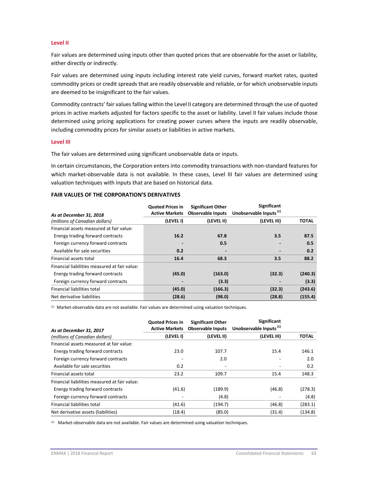#### **Level II**

Fair values are determined using inputs other than quoted prices that are observable for the asset or liability, either directly or indirectly.

Fair values are determined using inputs including interest rate yield curves, forward market rates, quoted commodity prices or credit spreads that are readily observable and reliable, or for which unobservable inputs are deemed to be insignificant to the fair values.

Commodity contracts' fair valuesfalling within the Level II category are determined through the use of quoted prices in active markets adjusted for factors specific to the asset or liability. Level II fair values include those determined using pricing applications for creating power curves where the inputs are readily observable, including commodity prices for similar assets or liabilities in active markets.

#### **Level III**

The fair values are determined using significant unobservable data or inputs.

In certain circumstances, the Corporation enters into commodity transactions with non‐standard features for which market-observable data is not available. In these cases, Level III fair values are determined using valuation techniques with inputs that are based on historical data.

#### **FAIR VALUES OF THE CORPORATION'S DERIVATIVES**

| As at December 31, 2018                       | <b>Quoted Prices in</b><br><b>Active Markets</b> | <b>Significant Other</b><br><b>Observable Inputs</b> | Significant<br>Unobservable Inputs <sup>(1)</sup> |              |
|-----------------------------------------------|--------------------------------------------------|------------------------------------------------------|---------------------------------------------------|--------------|
| (millions of Canadian dollars)                | (LEVEL I)                                        | (LEVEL II)                                           | (LEVEL III)                                       | <b>TOTAL</b> |
| Financial assets measured at fair value:      |                                                  |                                                      |                                                   |              |
| Energy trading forward contracts              | 16.2                                             | 67.8                                                 | 3.5                                               | 87.5         |
| Foreign currency forward contracts            |                                                  | 0.5                                                  |                                                   | 0.5          |
| Available for sale securities                 | 0.2                                              |                                                      |                                                   | 0.2          |
| Financial assets total                        | 16.4                                             | 68.3                                                 | 3.5                                               | 88.2         |
| Financial liabilities measured at fair value: |                                                  |                                                      |                                                   |              |
| Energy trading forward contracts              | (45.0)                                           | (163.0)                                              | (32.3)                                            | (240.3)      |
| Foreign currency forward contracts            |                                                  | (3.3)                                                |                                                   | (3.3)        |
| Financial liabilities total                   | (45.0)                                           | (166.3)                                              | (32.3)                                            | (243.6)      |
| Net derivative liabilities                    | (28.6)                                           | (98.0)                                               | (28.8)                                            | (155.4)      |

(1) Market-observable data are not available. Fair values are determined using valuation techniques.

| As at December 31, 2017                       | <b>Quoted Prices in</b><br><b>Active Markets</b> | <b>Significant Other</b><br><b>Observable Inputs</b> | <b>Significant</b><br>Unobservable Inputs <sup>(1)</sup> |              |
|-----------------------------------------------|--------------------------------------------------|------------------------------------------------------|----------------------------------------------------------|--------------|
| (millions of Canadian dollars)                | (LEVEL I)                                        | (LEVEL II)                                           | (LEVEL III)                                              | <b>TOTAL</b> |
| Financial assets measured at fair value:      |                                                  |                                                      |                                                          |              |
| Energy trading forward contracts              | 23.0                                             | 107.7                                                | 15.4                                                     | 146.1        |
| Foreign currency forward contracts            |                                                  | 2.0                                                  |                                                          | 2.0          |
| Available for sale securities                 | 0.2                                              |                                                      |                                                          | 0.2          |
| Financial assets total                        | 23.2                                             | 109.7                                                | 15.4                                                     | 148.3        |
| Financial liabilities measured at fair value: |                                                  |                                                      |                                                          |              |
| Energy trading forward contracts              | (41.6)                                           | (189.9)                                              | (46.8)                                                   | (278.3)      |
| Foreign currency forward contracts            |                                                  | (4.8)                                                |                                                          | (4.8)        |
| <b>Financial liabilities total</b>            | (41.6)                                           | (194.7)                                              | (46.8)                                                   | (283.1)      |
| Net derivative assets (liabilities)           | (18.4)                                           | (85.0)                                               | (31.4)                                                   | (134.8)      |

(1) Market‐observable data are not available. Fair values are determined using valuation techniques.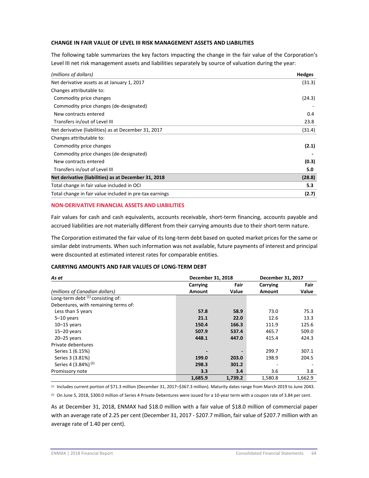## **CHANGE IN FAIR VALUE OF LEVEL III RISK MANAGEMENT ASSETS AND LIABILITIES**

The following table summarizes the key factors impacting the change in the fair value of the Corporation's Level III net risk management assets and liabilities separately by source of valuation during the year:

| (millions of dollars)                                   | <b>Hedges</b> |
|---------------------------------------------------------|---------------|
| Net derivative assets as at January 1, 2017             | (31.3)        |
| Changes attributable to:                                |               |
| Commodity price changes                                 | (24.3)        |
| Commodity price changes (de-designated)                 |               |
| New contracts entered                                   | 0.4           |
| Transfers in/out of Level III                           | 23.8          |
| Net derivative (liabilities) as at December 31, 2017    | (31.4)        |
| Changes attributable to:                                |               |
| Commodity price changes                                 | (2.1)         |
| Commodity price changes (de-designated)                 |               |
| New contracts entered                                   | (0.3)         |
| Transfers in/out of Level III                           | 5.0           |
| Net derivative (liabilities) as at December 31, 2018    | (28.8)        |
| Total change in fair value included in OCI              | 5.3           |
| Total change in fair value included in pre-tax earnings | (2.7)         |

## **NON‐DERIVATIVE FINANCIAL ASSETS AND LIABILITIES**

Fair values for cash and cash equivalents, accounts receivable, short-term financing, accounts payable and accrued liabilities are not materially different from their carrying amounts due to their short-term nature.

The Corporation estimated the fair value of its long-term debt based on quoted market prices for the same or similar debt instruments. When such information was not available, future payments of interest and principal were discounted at estimated interest rates for comparable entities.

#### **CARRYING AMOUNTS AND FAIR VALUES OF LONG‐TERM DEBT**

| As at                                | December 31, 2018 |         | December 31, 2017 |         |  |
|--------------------------------------|-------------------|---------|-------------------|---------|--|
|                                      | Carrying          | Fair    | Carrying          | Fair    |  |
| (millions of Canadian dollars)       | Amount            | Value   | Amount            | Value   |  |
| Long-term debt $(1)$ consisting of:  |                   |         |                   |         |  |
| Debentures, with remaining terms of: |                   |         |                   |         |  |
| Less than 5 years                    | 57.8              | 58.9    | 73.0              | 75.3    |  |
| $5-10$ years                         | 21.1              | 22.0    | 12.6              | 13.3    |  |
| $10 - 15$ years                      | 150.4             | 166.3   | 111.9             | 125.6   |  |
| $15-20$ years                        | 507.9             | 537.4   | 465.7             | 509.0   |  |
| $20 - 25$ years                      | 448.1             | 447.0   | 415.4             | 424.3   |  |
| Private debentures                   |                   |         |                   |         |  |
| Series 1 (6.15%)                     |                   |         | 299.7             | 307.1   |  |
| Series 3 (3.81%)                     | 199.0             | 203.0   | 198.9             | 204.5   |  |
| Series 4 (3.84%) <sup>(2)</sup>      | 298.3             | 301.2   |                   |         |  |
| Promissory note                      | 3.3               | 3.4     | 3.6               | 3.8     |  |
|                                      | 1,685.9           | 1,739.2 | 1,580.8           | 1.662.9 |  |

(1) Includes current portion of \$71.3 million (December 31, 2017–\$367.3 million). Maturity dates range from March 2019 to June 2043.

(2) On June 5, 2018, \$300.0 million of Series 4 Private Debentures were issued for a 10-year term with a coupon rate of 3.84 per cent.

As at December 31, 2018, ENMAX had \$18.0 million with a fair value of \$18.0 million of commercial paper with an average rate of 2.25 per cent (December 31, 2017 - \$207.7 million, fair value of \$207.7 million with an average rate of 1.40 per cent).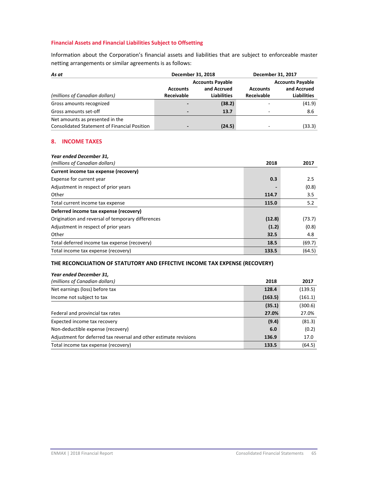## **Financial Assets and Financial Liabilities Subject to Offsetting**

Information about the Corporation's financial assets and liabilities that are subject to enforceable master netting arrangements or similar agreements is as follows:

| As at                                                                                  | December 31, 2018                                                                                    |        | December 31, 2017                                                                                    |        |
|----------------------------------------------------------------------------------------|------------------------------------------------------------------------------------------------------|--------|------------------------------------------------------------------------------------------------------|--------|
| (millions of Canadian dollars)                                                         | <b>Accounts Payable</b><br>and Accrued<br><b>Accounts</b><br><b>Receivable</b><br><b>Liabilities</b> |        | <b>Accounts Payable</b><br>and Accrued<br><b>Accounts</b><br><b>Liabilities</b><br><b>Receivable</b> |        |
| Gross amounts recognized                                                               | $\overline{\phantom{a}}$                                                                             | (38.2) |                                                                                                      | (41.9) |
| Gross amounts set-off                                                                  | $\overline{\phantom{0}}$                                                                             | 13.7   |                                                                                                      | 8.6    |
| Net amounts as presented in the<br><b>Consolidated Statement of Financial Position</b> | $\overline{\phantom{0}}$                                                                             | (24.5) |                                                                                                      | (33.3) |

#### **8. INCOME TAXES**

| Year ended December 31,                           |        |        |
|---------------------------------------------------|--------|--------|
| (millions of Canadian dollars)                    | 2018   | 2017   |
| Current income tax expense (recovery)             |        |        |
| Expense for current year                          | 0.3    | 2.5    |
| Adjustment in respect of prior years              |        | (0.8)  |
| Other                                             | 114.7  | 3.5    |
| Total current income tax expense                  | 115.0  | 5.2    |
| Deferred income tax expense (recovery)            |        |        |
| Origination and reversal of temporary differences | (12.8) | (73.7) |
| Adjustment in respect of prior years              | (1.2)  | (0.8)  |
| Other                                             | 32.5   | 4.8    |
| Total deferred income tax expense (recovery)      | 18.5   | (69.7) |
| Total income tax expense (recovery)               | 133.5  | (64.5) |

## **THE RECONCILIATION OF STATUTORY AND EFFECTIVE INCOME TAX EXPENSE (RECOVERY)**

| Year ended December 31,                                           |         |         |
|-------------------------------------------------------------------|---------|---------|
| (millions of Canadian dollars)                                    | 2018    | 2017    |
| Net earnings (loss) before tax                                    | 128.4   | (139.5) |
| Income not subject to tax                                         | (163.5) | (161.1) |
|                                                                   | (35.1)  | (300.6) |
| Federal and provincial tax rates                                  | 27.0%   | 27.0%   |
| Expected income tax recovery                                      | (9.4)   | (81.3)  |
| Non-deductible expense (recovery)                                 | 6.0     | (0.2)   |
| Adjustment for deferred tax reversal and other estimate revisions | 136.9   | 17.0    |
| Total income tax expense (recovery)                               | 133.5   | (64.5)  |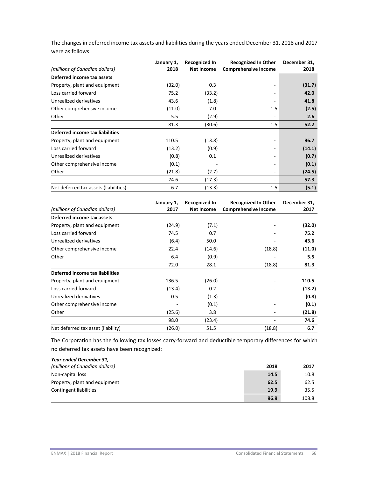| The changes in deferred income tax assets and liabilities during the years ended December 31, 2018 and 2017 |  |
|-------------------------------------------------------------------------------------------------------------|--|
| were as follows:                                                                                            |  |

|                                       | January 1, | <b>Recognized In</b> | <b>Recognized In Other</b>  | December 31, |
|---------------------------------------|------------|----------------------|-----------------------------|--------------|
| (millions of Canadian dollars)        | 2018       | <b>Net Income</b>    | <b>Comprehensive Income</b> | 2018         |
| Deferred income tax assets            |            |                      |                             |              |
| Property, plant and equipment         | (32.0)     | 0.3                  |                             | (31.7)       |
| Loss carried forward                  | 75.2       | (33.2)               |                             | 42.0         |
| Unrealized derivatives                | 43.6       | (1.8)                |                             | 41.8         |
| Other comprehensive income            | (11.0)     | 7.0                  | 1.5                         | (2.5)        |
| Other                                 | 5.5        | (2.9)                | $\overline{\phantom{a}}$    | 2.6          |
|                                       | 81.3       | (30.6)               | 1.5                         | 52.2         |
| Deferred income tax liabilities       |            |                      |                             |              |
| Property, plant and equipment         | 110.5      | (13.8)               |                             | 96.7         |
| Loss carried forward                  | (13.2)     | (0.9)                |                             | (14.1)       |
| Unrealized derivatives                | (0.8)      | 0.1                  |                             | (0.7)        |
| Other comprehensive income            | (0.1)      |                      |                             | (0.1)        |
| Other                                 | (21.8)     | (2.7)                |                             | (24.5)       |
|                                       | 74.6       | (17.3)               |                             | 57.3         |
| Net deferred tax assets (liabilities) | 6.7        | (13.3)               | 1.5                         | (5.1)        |

| (millions of Canadian dollars)     | January 1,<br>2017 | <b>Recognized In</b><br><b>Net Income</b> | <b>Recognized In Other</b><br><b>Comprehensive Income</b> | December 31,<br>2017 |
|------------------------------------|--------------------|-------------------------------------------|-----------------------------------------------------------|----------------------|
| Deferred income tax assets         |                    |                                           |                                                           |                      |
| Property, plant and equipment      | (24.9)             | (7.1)                                     |                                                           | (32.0)               |
| Loss carried forward               | 74.5               | 0.7                                       |                                                           | 75.2                 |
| Unrealized derivatives             | (6.4)              | 50.0                                      |                                                           | 43.6                 |
| Other comprehensive income         | 22.4               | (14.6)                                    | (18.8)                                                    | (11.0)               |
| Other                              | 6.4                | (0.9)                                     |                                                           | 5.5                  |
|                                    | 72.0               | 28.1                                      | (18.8)                                                    | 81.3                 |
| Deferred income tax liabilities    |                    |                                           |                                                           |                      |
| Property, plant and equipment      | 136.5              | (26.0)                                    |                                                           | 110.5                |
| Loss carried forward               | (13.4)             | 0.2                                       |                                                           | (13.2)               |
| Unrealized derivatives             | 0.5                | (1.3)                                     |                                                           | (0.8)                |
| Other comprehensive income         |                    | (0.1)                                     |                                                           | (0.1)                |
| Other                              | (25.6)             | 3.8                                       |                                                           | (21.8)               |
|                                    | 98.0               | (23.4)                                    |                                                           | 74.6                 |
| Net deferred tax asset (liability) | (26.0)             | 51.5                                      | (18.8)                                                    | 6.7                  |

The Corporation has the following tax losses carry-forward and deductible temporary differences for which no deferred tax assets have been recognized:

| Year ended December 31,        |      |       |
|--------------------------------|------|-------|
| (millions of Canadian dollars) | 2018 | 2017  |
| Non-capital loss               | 14.5 | 10.8  |
| Property, plant and equipment  | 62.5 | 62.5  |
| <b>Contingent liabilities</b>  | 19.9 | 35.5  |
|                                | 96.9 | 108.8 |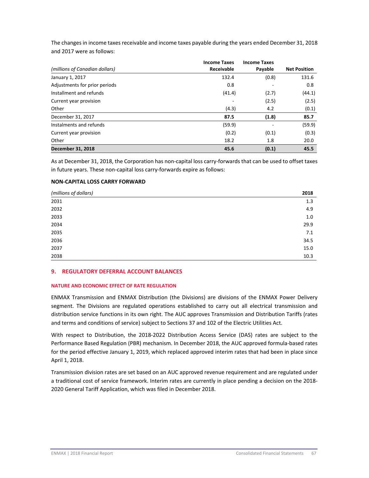The changes in income taxes receivable and income taxes payable during the years ended December 31, 2018 and 2017 were as follows:

|                                | <b>Income Taxes</b> | <b>Income Taxes</b>      |                     |
|--------------------------------|---------------------|--------------------------|---------------------|
| (millions of Canadian dollars) | <b>Receivable</b>   | Payable                  | <b>Net Position</b> |
| January 1, 2017                | 132.4               | (0.8)                    | 131.6               |
| Adjustments for prior periods  | 0.8                 | -                        | 0.8                 |
| Installment and refunds        | (41.4)              | (2.7)                    | (44.1)              |
| Current year provision         |                     | (2.5)                    | (2.5)               |
| Other                          | (4.3)               | 4.2                      | (0.1)               |
| December 31, 2017              | 87.5                | (1.8)                    | 85.7                |
| Instalments and refunds        | (59.9)              | $\overline{\phantom{a}}$ | (59.9)              |
| Current year provision         | (0.2)               | (0.1)                    | (0.3)               |
| Other                          | 18.2                | 1.8                      | 20.0                |
| <b>December 31, 2018</b>       | 45.6                | (0.1)                    | 45.5                |

As at December 31, 2018, the Corporation has non‐capital loss carry‐forwards that can be used to offset taxes in future years. These non‐capital loss carry‐forwards expire as follows:

## **NON‐CAPITAL LOSS CARRY FORWARD**

| (millions of dollars) | 2018 |
|-----------------------|------|
| 2031                  | 1.3  |
| 2032                  | 4.9  |
| 2033                  | 1.0  |
| 2034                  | 29.9 |
| 2035                  | 7.1  |
| 2036                  | 34.5 |
| 2037                  | 15.0 |
| 2038                  | 10.3 |

#### **9. REGULATORY DEFERRAL ACCOUNT BALANCES**

## **NATURE AND ECONOMIC EFFECT OF RATE REGULATION**

ENMAX Transmission and ENMAX Distribution (the Divisions) are divisions of the ENMAX Power Delivery segment. The Divisions are regulated operations established to carry out all electrical transmission and distribution service functions in its own right. The AUC approves Transmission and Distribution Tariffs (rates and terms and conditions of service) subject to Sections 37 and 102 of the Electric Utilities Act.

With respect to Distribution, the 2018‐2022 Distribution Access Service (DAS) rates are subject to the Performance Based Regulation (PBR) mechanism. In December 2018, the AUC approved formula‐based rates for the period effective January 1, 2019, which replaced approved interim rates that had been in place since April 1, 2018.

Transmission division rates are set based on an AUC approved revenue requirement and are regulated under a traditional cost of service framework. Interim rates are currently in place pending a decision on the 2018‐ 2020 General Tariff Application, which was filed in December 2018.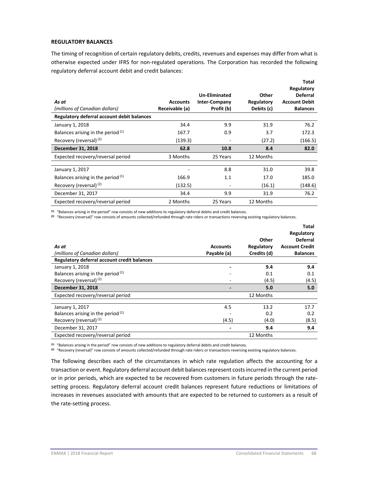## **REGULATORY BALANCES**

The timing of recognition of certain regulatory debits, credits, revenues and expenses may differ from what is otherwise expected under IFRS for non‐regulated operations. The Corporation has recorded the following regulatory deferral account debit and credit balances:

| As at<br>(millions of Canadian dollars)    | <b>Accounts</b><br>Receivable (a) | Un-Eliminated<br><b>Inter-Company</b><br>Profit (b) | Other<br>Regulatory<br>Debits (c) | Total<br>Regulatory<br><b>Deferral</b><br><b>Account Debit</b><br><b>Balances</b> |
|--------------------------------------------|-----------------------------------|-----------------------------------------------------|-----------------------------------|-----------------------------------------------------------------------------------|
| Regulatory deferral account debit balances |                                   |                                                     |                                   |                                                                                   |
| January 1, 2018                            | 34.4                              | 9.9                                                 | 31.9                              | 76.2                                                                              |
| Balances arising in the period (1)         | 167.7                             | 0.9                                                 | 3.7                               | 172.3                                                                             |
| Recovery (reversal) <sup>(2)</sup>         | (139.3)                           |                                                     | (27.2)                            | (166.5)                                                                           |
| December 31, 2018                          | 62.8                              | 10.8                                                | 8.4                               | 82.0                                                                              |
| Expected recovery/reversal period          | 3 Months                          | 25 Years                                            | 12 Months                         |                                                                                   |
|                                            |                                   |                                                     |                                   |                                                                                   |
| January 1, 2017                            |                                   | 8.8                                                 | 31.0                              | 39.8                                                                              |
| Balances arising in the period (1)         | 166.9                             | 1.1                                                 | 17.0                              | 185.0                                                                             |
| Recovery (reversal) <sup>(2)</sup>         | (132.5)                           | ۰                                                   | (16.1)                            | (148.6)                                                                           |
| December 31, 2017                          | 34.4                              | 9.9                                                 | 31.9                              | 76.2                                                                              |
| Expected recovery/reversal period          | 2 Months                          | 25 Years                                            | 12 Months                         |                                                                                   |

**(1)** "Balances arising in the period" row consists of new additions to regulatory deferral debits and credit balances.

**(2)**  "Recovery (reversal)" row consists of amounts collected/refunded through rate riders or transactions reversing existing regulatory balances.

|                                             |                 |             | ι νιαι<br>Regulatory  |
|---------------------------------------------|-----------------|-------------|-----------------------|
|                                             |                 | Other       | <b>Deferral</b>       |
| As at                                       | <b>Accounts</b> | Regulatory  | <b>Account Credit</b> |
| (millions of Canadian dollars)              | Payable (a)     | Credits (d) | <b>Balances</b>       |
| Regulatory deferral account credit balances |                 |             |                       |
| January 1, 2018                             |                 | 9.4         | 9.4                   |
| Balances arising in the period (1)          |                 | 0.1         | 0.1                   |
| Recovery (reversal) <sup>(2)</sup>          |                 | (4.5)       | (4.5)                 |
| December 31, 2018                           |                 | 5.0         | 5.0                   |
| Expected recovery/reversal period           |                 | 12 Months   |                       |
| January 1, 2017                             | 4.5             | 13.2        | 17.7                  |
| Balances arising in the period $(1)$        |                 | 0.2         | 0.2                   |
| Recovery (reversal) <sup>(2)</sup>          | (4.5)           | (4.0)       | (8.5)                 |
| December 31, 2017                           |                 | 9.4         | 9.4                   |
| Expected recovery/reversal period           |                 | 12 Months   |                       |

**(1)** "Balances arising in the period" row consists of new additions to regulatory deferral debits and credit balances.

<sup>(2)</sup> "Recovery (reversal)" row consists of amounts collected/refunded through rate riders or transactions reversing existing regulatory balances.

The following describes each of the circumstances in which rate regulation affects the accounting for a transaction or event. Regulatory deferral account debit balancesrepresent costsincurred in the current period or in prior periods, which are expected to be recovered from customers in future periods through the rate‐ setting process. Regulatory deferral account credit balances represent future reductions or limitations of increases in revenues associated with amounts that are expected to be returned to customers as a result of the rate‐setting process.

**Total**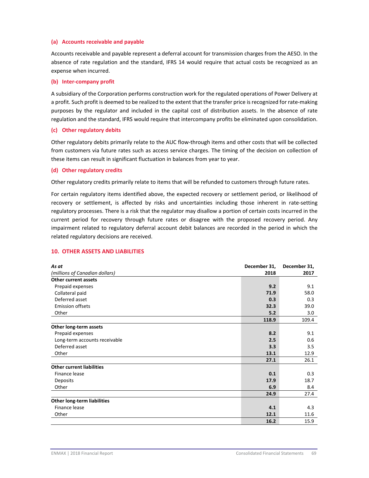## **(a) Accounts receivable and payable**

Accounts receivable and payable represent a deferral account for transmission charges from the AESO. In the absence of rate regulation and the standard, IFRS 14 would require that actual costs be recognized as an expense when incurred.

## **(b) Inter‐company profit**

A subsidiary of the Corporation performs construction work for the regulated operations of Power Delivery at a profit. Such profit is deemed to be realized to the extent that the transfer price is recognized for rate-making purposes by the regulator and included in the capital cost of distribution assets. In the absence of rate regulation and the standard, IFRS would require that intercompany profits be eliminated upon consolidation.

#### **(c) Other regulatory debits**

Other regulatory debits primarily relate to the AUC flow‐through items and other costs that will be collected from customers via future rates such as access service charges. The timing of the decision on collection of these items can result in significant fluctuation in balances from year to year.

#### **(d) Other regulatory credits**

Other regulatory credits primarily relate to items that will be refunded to customers through future rates.

For certain regulatory items identified above, the expected recovery or settlement period, or likelihood of recovery or settlement, is affected by risks and uncertainties including those inherent in rate-setting regulatory processes. There is a risk that the regulator may disallow a portion of certain costs incurred in the current period for recovery through future rates or disagree with the proposed recovery period. Any impairment related to regulatory deferral account debit balances are recorded in the period in which the related regulatory decisions are received.

#### **10. OTHER ASSETS AND LIABILITIES**

| As at                              | December 31, | December 31, |
|------------------------------------|--------------|--------------|
| (millions of Canadian dollars)     | 2018         | 2017         |
| Other current assets               |              |              |
| Prepaid expenses                   | 9.2          | 9.1          |
| Collateral paid                    | 71.9         | 58.0         |
| Deferred asset                     | 0.3          | 0.3          |
| <b>Emission offsets</b>            | 32.3         | 39.0         |
| Other                              | 5.2          | 3.0          |
|                                    | 118.9        | 109.4        |
| Other long-term assets             |              |              |
| Prepaid expenses                   | 8.2          | 9.1          |
| Long-term accounts receivable      | 2.5          | 0.6          |
| Deferred asset                     | 3.3          | 3.5          |
| Other                              | 13.1         | 12.9         |
|                                    | 27.1         | 26.1         |
| <b>Other current liabilities</b>   |              |              |
| Finance lease                      | 0.1          | 0.3          |
| <b>Deposits</b>                    | 17.9         | 18.7         |
| Other                              | 6.9          | 8.4          |
|                                    | 24.9         | 27.4         |
| <b>Other long-term liabilities</b> |              |              |
| Finance lease                      | 4.1          | 4.3          |
| Other                              | 12.1         | 11.6         |
|                                    | 16.2         | 15.9         |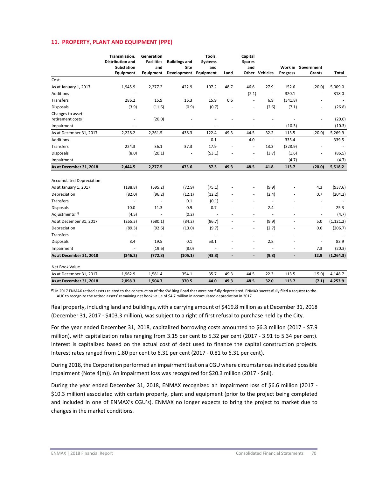## **11. PROPERTY, PLANT AND EQUIPMENT (PPE)**

|                                      | Transmission,<br><b>Distribution and</b> | Generation<br><b>Facilities</b> | <b>Buildings and</b>       | Tools,<br><b>Systems</b> |                          | Capital<br><b>Spares</b> |                |                 |                              |                          |
|--------------------------------------|------------------------------------------|---------------------------------|----------------------------|--------------------------|--------------------------|--------------------------|----------------|-----------------|------------------------------|--------------------------|
|                                      | <b>Substation</b><br>Equipment           | and<br><b>Equipment</b>         | <b>Site</b><br>Development | and<br>Equipment         | Land                     | and                      | Other Vehicles | <b>Progress</b> | Work in Government<br>Grants | Total                    |
| Cost                                 |                                          |                                 |                            |                          |                          |                          |                |                 |                              |                          |
| As at January 1, 2017                | 1,945.9                                  | 2,277.2                         | 422.9                      | 107.2                    | 48.7                     | 46.6                     | 27.9           | 152.6           | (20.0)                       | 5,009.0                  |
| Additions                            |                                          |                                 |                            | $\sim$                   |                          | (2.1)                    |                | 320.1           | ÷,                           | 318.0                    |
| Transfers                            | 286.2                                    | 15.9                            | 16.3                       | 15.9                     | 0.6                      | $\sim$                   | 6.9            | (341.8)         | ٠                            |                          |
| <b>Disposals</b>                     | (3.9)                                    | (11.6)                          | (0.9)                      | (0.7)                    | $\overline{\phantom{a}}$ |                          | (2.6)          | (7.1)           | ٠                            | (26.8)                   |
| Changes to asset<br>retirement costs | $\overline{a}$                           | (20.0)                          |                            |                          |                          |                          |                |                 | ä,                           | (20.0)                   |
| Impairment                           |                                          |                                 |                            |                          |                          |                          |                | (10.3)          | $\overline{a}$               | (10.3)                   |
| As at December 31, 2017              | 2,228.2                                  | 2,261.5                         | 438.3                      | 122.4                    | 49.3                     | 44.5                     | 32.2           | 113.5           | (20.0)                       | 5,269.9                  |
| Additions                            | Î,                                       | ä,                              | ä,                         | 0.1                      | ä,                       | 4.0                      | ä,             | 335.4           | ÷,                           | 339.5                    |
| Transfers                            | 224.3                                    | 36.1                            | 37.3                       | 17.9                     |                          | ÷,                       | 13.3           | (328.9)         |                              |                          |
| <b>Disposals</b>                     | (8.0)                                    | (20.1)                          |                            | (53.1)                   |                          | ٠                        | (3.7)          | (1.6)           | ٠                            | (86.5)                   |
| Impairment                           | $\bar{a}$                                | $\overline{\phantom{a}}$        | $\overline{a}$             | $\overline{\phantom{a}}$ |                          | $\overline{\phantom{a}}$ | $\blacksquare$ | (4.7)           | $\overline{\phantom{a}}$     | (4.7)                    |
| As at December 31, 2018              | 2,444.5                                  | 2,277.5                         | 475.6                      | 87.3                     | 49.3                     | 48.5                     | 41.8           | 113.7           | (20.0)                       | 5,518.2                  |
|                                      |                                          |                                 |                            |                          |                          |                          |                |                 |                              |                          |
| <b>Accumulated Depreciation</b>      |                                          |                                 |                            |                          |                          |                          |                |                 |                              |                          |
| As at January 1, 2017                | (188.8)                                  | (595.2)                         | (72.9)                     | (75.1)                   |                          |                          | (9.9)          |                 | 4.3                          | (937.6)                  |
| Depreciation                         | (82.0)                                   | (96.2)                          | (12.1)                     | (12.2)                   |                          | $\sim$                   | (2.4)          |                 | 0.7                          | (204.2)                  |
| Transfers                            | ÷,                                       | $\sim$                          | 0.1                        | (0.1)                    |                          | $\sim$                   | ÷,             |                 | $\overline{\phantom{a}}$     | $\overline{\phantom{a}}$ |
| <b>Disposals</b>                     | 10.0                                     | 11.3                            | 0.9                        | 0.7                      |                          |                          | 2.4            |                 | ÷,                           | 25.3                     |
| Adjustments <sup>(1)</sup>           | (4.5)                                    | $\overline{\phantom{a}}$        | (0.2)                      | ÷,                       |                          | $\overline{a}$           | ÷,             |                 | $\overline{\phantom{a}}$     | (4.7)                    |
| As at December 31, 2017              | (265.3)                                  | (680.1)                         | (84.2)                     | (86.7)                   | $\overline{\phantom{a}}$ | $\overline{\phantom{a}}$ | (9.9)          | ÷,              | 5.0                          | (1, 121.2)               |
| Depreciation                         | (89.3)                                   | (92.6)                          | (13.0)                     | (9.7)                    | ÷.                       | ä,                       | (2.7)          | $\sim$          | 0.6                          | (206.7)                  |
| Transfers                            | ÷.                                       |                                 | ä,                         | $\overline{\phantom{a}}$ |                          | ٠                        | ä,             |                 | $\overline{\phantom{a}}$     |                          |
| <b>Disposals</b>                     | 8.4                                      | 19.5                            | 0.1                        | 53.1                     |                          |                          | 2.8            |                 | ÷,                           | 83.9                     |
| Impairment                           |                                          | (19.6)                          | (8.0)                      |                          |                          | $\overline{a}$           |                |                 | 7.3                          | (20.3)                   |
| As at December 31, 2018              | (346.2)                                  | (772.8)                         | (105.1)                    | (43.3)                   | $\overline{\phantom{m}}$ | $\overline{\phantom{a}}$ | (9.8)          |                 | 12.9                         | (1, 264.3)               |
| Net Book Value                       |                                          |                                 |                            |                          |                          |                          |                |                 |                              |                          |
| As at December 31, 2017              | 1,962.9                                  | 1,581.4                         | 354.1                      | 35.7                     | 49.3                     | 44.5                     | 22.3           | 113.5           | (15.0)                       | 4,148.7                  |
| As at December 31, 2018              | 2,098.3                                  | 1,504.7                         | 370.5                      | 44.0                     | 49.3                     | 48.5                     | 32.0           | 113.7           | (7.1)                        | 4,253.9                  |

**(1)** In 2017 ENMAX retired assets related to the construction of the SW Ring Road that were not fully depreciated. ENMAX successfully filed a request to the AUC to recognize the retired assets' remaining net book value of \$4.7 million in accumulated depreciation in 2017.

Real property, including land and buildings, with a carrying amount of \$419.8 million as at December 31, 2018 (December 31, 2017 ‐ \$403.3 million), was subject to a right of first refusal to purchase held by the City.

For the year ended December 31, 2018, capitalized borrowing costs amounted to \$6.3 million (2017 ‐ \$7.9 million), with capitalization rates ranging from 3.15 per cent to 5.32 per cent (2017 ‐ 3.91 to 5.34 per cent). Interest is capitalized based on the actual cost of debt used to finance the capital construction projects. Interest rates ranged from 1.80 per cent to 6.31 per cent (2017 ‐ 0.81 to 6.31 per cent).

During 2018, the Corporation performed an impairment test on a CGU where circumstancesindicated possible impairment (Note 4(m)). An impairment loss was recognized for \$20.3 million (2017 ‐ \$nil).

During the year ended December 31, 2018, ENMAX recognized an impairment loss of \$6.6 million (2017 -\$10.3 million) associated with certain property, plant and equipment (prior to the project being completed and included in one of ENMAX's CGU's). ENMAX no longer expects to bring the project to market due to changes in the market conditions.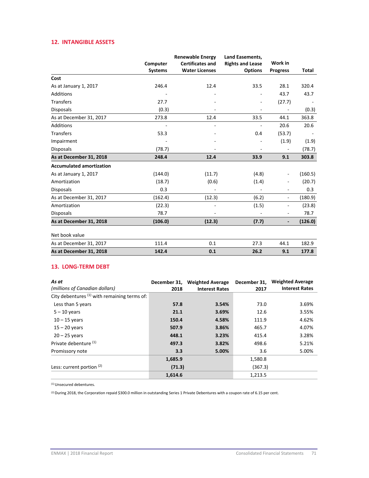## **12. INTANGIBLE ASSETS**

|                                 |                | <b>Renewable Energy</b> | <b>Land Easements,</b>  |                          |         |
|---------------------------------|----------------|-------------------------|-------------------------|--------------------------|---------|
|                                 | Computer       | <b>Certificates and</b> | <b>Rights and Lease</b> | Work in                  |         |
|                                 | <b>Systems</b> | <b>Water Licenses</b>   | <b>Options</b>          | <b>Progress</b>          | Total   |
| Cost                            |                |                         |                         |                          |         |
| As at January 1, 2017           | 246.4          | 12.4                    | 33.5                    | 28.1                     | 320.4   |
| Additions                       |                |                         |                         | 43.7                     | 43.7    |
| <b>Transfers</b>                | 27.7           |                         |                         | (27.7)                   |         |
| <b>Disposals</b>                | (0.3)          |                         |                         | $\overline{\phantom{a}}$ | (0.3)   |
| As at December 31, 2017         | 273.8          | 12.4                    | 33.5                    | 44.1                     | 363.8   |
| <b>Additions</b>                |                |                         |                         | 20.6                     | 20.6    |
| <b>Transfers</b>                | 53.3           |                         | 0.4                     | (53.7)                   |         |
| Impairment                      |                |                         |                         | (1.9)                    | (1.9)   |
| <b>Disposals</b>                | (78.7)         |                         | ٠                       | $\overline{\phantom{a}}$ | (78.7)  |
| As at December 31, 2018         | 248.4          | 12.4                    | 33.9                    | 9.1                      | 303.8   |
| <b>Accumulated amortization</b> |                |                         |                         |                          |         |
| As at January 1, 2017           | (144.0)        | (11.7)                  | (4.8)                   | $\overline{\phantom{a}}$ | (160.5) |
| Amortization                    | (18.7)         | (0.6)                   | (1.4)                   |                          | (20.7)  |
| <b>Disposals</b>                | 0.3            |                         |                         | ۰                        | 0.3     |
| As at December 31, 2017         | (162.4)        | (12.3)                  | (6.2)                   | $\overline{\phantom{a}}$ | (180.9) |
| Amortization                    | (22.3)         |                         | (1.5)                   | $\overline{\phantom{a}}$ | (23.8)  |
| <b>Disposals</b>                | 78.7           |                         |                         | $\overline{\phantom{a}}$ | 78.7    |
| As at December 31, 2018         | (106.0)        | (12.3)                  | (7.7)                   | $\overline{\phantom{a}}$ | (126.0) |
| Net book value                  |                |                         |                         |                          |         |
| As at December 31, 2017         | 111.4          | 0.1                     | 27.3                    | 44.1                     | 182.9   |
| As at December 31, 2018         | 142.4          | 0.1                     | 26.2                    | 9.1                      | 177.8   |

## **13. LONG‐TERM DEBT**

| As at                                          | December 31, | <b>Weighted Average</b> | December 31, | <b>Weighted Average</b> |
|------------------------------------------------|--------------|-------------------------|--------------|-------------------------|
| (millions of Canadian dollars)                 | 2018         | <b>Interest Rates</b>   | 2017         | <b>Interest Rates</b>   |
| City debentures $(1)$ with remaining terms of: |              |                         |              |                         |
| Less than 5 years                              | 57.8         | 3.54%                   | 73.0         | 3.69%                   |
| $5 - 10$ years                                 | 21.1         | 3.69%                   | 12.6         | 3.55%                   |
| $10 - 15$ years                                | 150.4        | 4.58%                   | 111.9        | 4.62%                   |
| $15 - 20$ years                                | 507.9        | 3.86%                   | 465.7        | 4.07%                   |
| $20 - 25$ years                                | 448.1        | 3.23%                   | 415.4        | 3.28%                   |
| Private debenture (1)                          | 497.3        | 3.82%                   | 498.6        | 5.21%                   |
| Promissory note                                | 3.3          | 5.00%                   | 3.6          | 5.00%                   |
|                                                | 1,685.9      |                         | 1,580.8      |                         |
| Less: current portion (2)                      | (71.3)       |                         | (367.3)      |                         |
|                                                | 1,614.6      |                         | 1.213.5      |                         |

(1) Unsecured debentures.

(2) During 2018, the Corporation repaid \$300.0 million in outstanding Series 1 Private Debentures with a coupon rate of 6.15 per cent.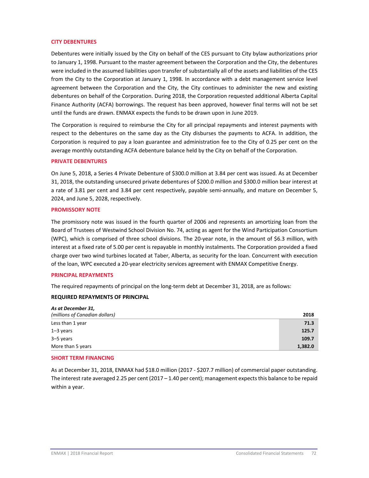#### **CITY DEBENTURES**

Debentures were initially issued by the City on behalf of the CES pursuant to City bylaw authorizations prior to January 1, 1998. Pursuant to the master agreement between the Corporation and the City, the debentures were included in the assumed liabilities upon transfer of substantially all of the assets and liabilities of the CES from the City to the Corporation at January 1, 1998. In accordance with a debt management service level agreement between the Corporation and the City, the City continues to administer the new and existing debentures on behalf of the Corporation. During 2018, the Corporation requested additional Alberta Capital Finance Authority (ACFA) borrowings. The request has been approved, however final terms will not be set until the funds are drawn. ENMAX expects the funds to be drawn upon in June 2019.

The Corporation is required to reimburse the City for all principal repayments and interest payments with respect to the debentures on the same day as the City disburses the payments to ACFA. In addition, the Corporation is required to pay a loan guarantee and administration fee to the City of 0.25 per cent on the average monthly outstanding ACFA debenture balance held by the City on behalf of the Corporation.

#### **PRIVATE DEBENTURES**

On June 5, 2018, a Series 4 Private Debenture of \$300.0 million at 3.84 per cent was issued. As at December 31, 2018, the outstanding unsecured private debentures of \$200.0 million and \$300.0 million bear interest at a rate of 3.81 per cent and 3.84 per cent respectively, payable semi‐annually, and mature on December 5, 2024, and June 5, 2028, respectively.

#### **PROMISSORY NOTE**

The promissory note was issued in the fourth quarter of 2006 and represents an amortizing loan from the Board of Trustees of Westwind School Division No. 74, acting as agent for the Wind Participation Consortium (WPC), which is comprised of three school divisions. The 20‐year note, in the amount of \$6.3 million, with interest at a fixed rate of 5.00 per cent is repayable in monthly instalments. The Corporation provided a fixed charge over two wind turbines located at Taber, Alberta, as security for the loan. Concurrent with execution of the loan, WPC executed a 20‐year electricity services agreement with ENMAX Competitive Energy.

#### **PRINCIPAL REPAYMENTS**

The required repayments of principal on the long-term debt at December 31, 2018, are as follows:

#### **REQUIRED REPAYMENTS OF PRINCIPAL**

| As at December 31,             |         |
|--------------------------------|---------|
| (millions of Canadian dollars) | 2018    |
| Less than 1 year               | 71.3    |
| $1 - 3$ years                  | 125.7   |
| 3–5 years                      | 109.7   |
| More than 5 years              | 1,382.0 |

#### **SHORT TERM FINANCING**

As at December 31, 2018, ENMAX had \$18.0 million (2017 - \$207.7 million) of commercial paper outstanding. The interest rate averaged 2.25 per cent (2017 – 1.40 per cent); management expects this balance to be repaid within a year.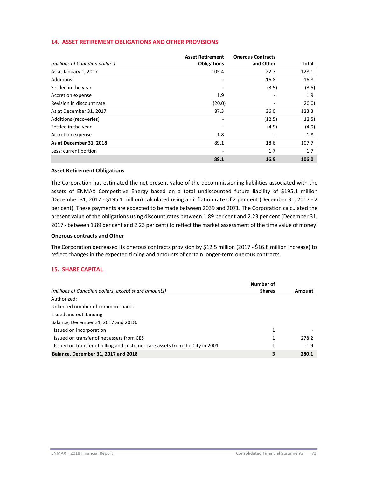### **14. ASSET RETIREMENT OBLIGATIONS AND OTHER PROVISIONS**

|                                | <b>Asset Retirement</b>  | <b>Onerous Contracts</b> |        |
|--------------------------------|--------------------------|--------------------------|--------|
| (millions of Canadian dollars) | <b>Obligations</b>       | and Other                | Total  |
| As at January 1, 2017          | 105.4                    | 22.7                     | 128.1  |
| Additions                      | $\overline{\phantom{a}}$ | 16.8                     | 16.8   |
| Settled in the year            |                          | (3.5)                    | (3.5)  |
| Accretion expense              | 1.9                      |                          | 1.9    |
| Revision in discount rate      | (20.0)                   |                          | (20.0) |
| As at December 31, 2017        | 87.3                     | 36.0                     | 123.3  |
| Additions (recoveries)         | -                        | (12.5)                   | (12.5) |
| Settled in the year            | -                        | (4.9)                    | (4.9)  |
| Accretion expense              | 1.8                      |                          | 1.8    |
| As at December 31, 2018        | 89.1                     | 18.6                     | 107.7  |
| Less: current portion          |                          | 1.7                      | 1.7    |
|                                | 89.1                     | 16.9                     | 106.0  |

#### **Asset Retirement Obligations**

The Corporation has estimated the net present value of the decommissioning liabilities associated with the assets of ENMAX Competitive Energy based on a total undiscounted future liability of \$195.1 million (December 31, 2017 ‐ \$195.1 million) calculated using an inflation rate of 2 per cent (December 31, 2017 ‐ 2 per cent). These payments are expected to be made between 2039 and 2071. The Corporation calculated the present value of the obligations using discount rates between 1.89 per cent and 2.23 per cent (December 31, 2017 ‐ between 1.89 per cent and 2.23 per cent) to reflect the market assessment of the time value of money.

#### **Onerous contracts and Other**

The Corporation decreased its onerous contracts provision by \$12.5 million (2017 ‐ \$16.8 million increase) to reflect changes in the expected timing and amounts of certain longer-term onerous contracts.

### **15. SHARE CAPITAL**

|                                                                              | Number of     |        |
|------------------------------------------------------------------------------|---------------|--------|
| (millions of Canadian dollars, except share amounts)                         | <b>Shares</b> | Amount |
| Authorized:                                                                  |               |        |
| Unlimited number of common shares                                            |               |        |
| Issued and outstanding:                                                      |               |        |
| Balance, December 31, 2017 and 2018:                                         |               |        |
| Issued on incorporation                                                      | 1             |        |
| Issued on transfer of net assets from CES                                    | 1             | 278.2  |
| Issued on transfer of billing and customer care assets from the City in 2001 | 1             | 1.9    |
| Balance, December 31, 2017 and 2018                                          | 3             | 280.1  |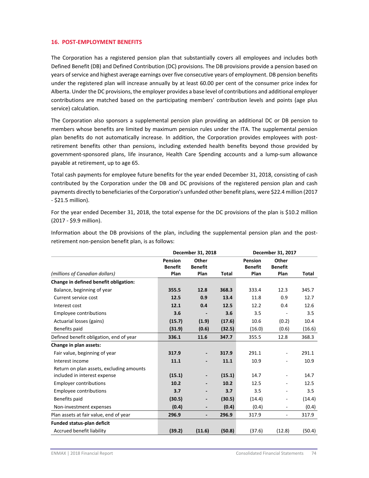#### **16. POST‐EMPLOYMENT BENEFITS**

The Corporation has a registered pension plan that substantially covers all employees and includes both Defined Benefit (DB) and Defined Contribution (DC) provisions. The DB provisions provide a pension based on years of service and highest average earnings over five consecutive years of employment. DB pension benefits under the registered plan will increase annually by at least 60.00 per cent of the consumer price index for Alberta. Under the DC provisions, the employer provides a base level of contributions and additional employer contributions are matched based on the participating members' contribution levels and points (age plus service) calculation.

The Corporation also sponsors a supplemental pension plan providing an additional DC or DB pension to members whose benefits are limited by maximum pension rules under the ITA. The supplemental pension plan benefits do not automatically increase. In addition, the Corporation provides employees with postretirement benefits other than pensions, including extended health benefits beyond those provided by government‐sponsored plans, life insurance, Health Care Spending accounts and a lump‐sum allowance payable at retirement, up to age 65.

Total cash payments for employee future benefits for the year ended December 31, 2018, consisting of cash contributed by the Corporation under the DB and DC provisions of the registered pension plan and cash payments directly to beneficiaries of the Corporation's unfunded other benefit plans, were \$22.4 million (2017 ‐ \$21.5 million).

For the year ended December 31, 2018, the total expense for the DC provisions of the plan is \$10.2 million (2017 ‐ \$9.9 million).

Information about the DB provisions of the plan, including the supplemental pension plan and the postretirement non‐pension benefit plan, is as follows:

|                                          | December 31, 2018                 |                                 |              |                                   | December 31, 2017               |        |
|------------------------------------------|-----------------------------------|---------------------------------|--------------|-----------------------------------|---------------------------------|--------|
| (millions of Canadian dollars)           | Pension<br><b>Benefit</b><br>Plan | Other<br><b>Benefit</b><br>Plan | <b>Total</b> | Pension<br><b>Benefit</b><br>Plan | Other<br><b>Benefit</b><br>Plan | Total  |
| Change in defined benefit obligation:    |                                   |                                 |              |                                   |                                 |        |
| Balance, beginning of year               | 355.5                             | 12.8                            | 368.3        | 333.4                             | 12.3                            | 345.7  |
| Current service cost                     | 12.5                              | 0.9                             | 13.4         | 11.8                              | 0.9                             | 12.7   |
| Interest cost                            | 12.1                              | 0.4                             | 12.5         | 12.2                              | 0.4                             | 12.6   |
| Employee contributions                   | 3.6                               |                                 | 3.6          | 3.5                               |                                 | 3.5    |
| Actuarial losses (gains)                 | (15.7)                            | (1.9)                           | (17.6)       | 10.6                              | (0.2)                           | 10.4   |
| Benefits paid                            | (31.9)                            | (0.6)                           | (32.5)       | (16.0)                            | (0.6)                           | (16.6) |
| Defined benefit obligation, end of year  | 336.1                             | 11.6                            | 347.7        | 355.5                             | 12.8                            | 368.3  |
| Change in plan assets:                   |                                   |                                 |              |                                   |                                 |        |
| Fair value, beginning of year            | 317.9                             | -                               | 317.9        | 291.1                             | -                               | 291.1  |
| Interest income                          | 11.1                              | -                               | 11.1         | 10.9                              |                                 | 10.9   |
| Return on plan assets, excluding amounts |                                   |                                 |              |                                   |                                 |        |
| included in interest expense             | (15.1)                            | $\overline{\phantom{0}}$        | (15.1)       | 14.7                              |                                 | 14.7   |
| <b>Employer contributions</b>            | 10.2                              | $\overline{\phantom{0}}$        | 10.2         | 12.5                              | -                               | 12.5   |
| <b>Employee contributions</b>            | 3.7                               | $\overline{\phantom{0}}$        | 3.7          | 3.5                               | $\overline{\phantom{0}}$        | 3.5    |
| Benefits paid                            | (30.5)                            | $\overline{\phantom{0}}$        | (30.5)       | (14.4)                            | $\overline{\phantom{0}}$        | (14.4) |
| Non-investment expenses                  | (0.4)                             | $\overline{\phantom{0}}$        | (0.4)        | (0.4)                             | $\overline{\phantom{0}}$        | (0.4)  |
| Plan assets at fair value, end of year   | 296.9                             | $\overline{\phantom{0}}$        | 296.9        | 317.9                             | $\overline{\phantom{a}}$        | 317.9  |
| <b>Funded status-plan deficit</b>        |                                   |                                 |              |                                   |                                 |        |
| Accrued benefit liability                | (39.2)                            | (11.6)                          | (50.8)       | (37.6)                            | (12.8)                          | (50.4) |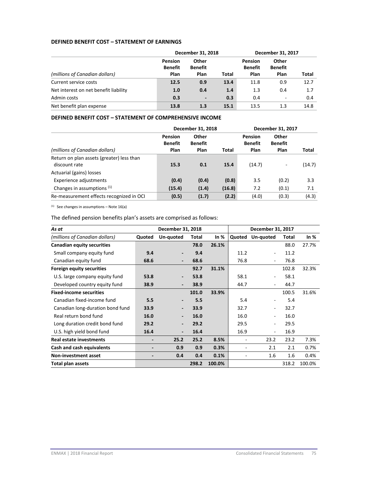### **DEFINED BENEFIT COST – STATEMENT OF EARNINGS**

|                                       | December 31, 2018                 |                                 |              | December 31, 2017                 |                                 |       |
|---------------------------------------|-----------------------------------|---------------------------------|--------------|-----------------------------------|---------------------------------|-------|
| (millions of Canadian dollars)        | Pension<br><b>Benefit</b><br>Plan | Other<br><b>Benefit</b><br>Plan | <b>Total</b> | <b>Pension</b><br>Benefit<br>Plan | Other<br><b>Benefit</b><br>Plan | Total |
| Current service costs                 | 12.5                              | 0.9                             | 13.4         | 11.8                              | 0.9                             | 12.7  |
| Net interest on net benefit liability | 1.0                               | 0.4                             | 1.4          | 1.3                               | 0.4                             | 1.7   |
| Admin costs                           | 0.3                               | $\overline{\phantom{a}}$        | 0.3          | 0.4                               | -                               | 0.4   |
| Net benefit plan expense              | 13.8                              | 1.3                             | 15.1         | 13.5                              | 1.3                             | 14.8  |

### **DEFINED BENEFIT COST – STATEMENT OF COMPREHENSIVE INCOME**

|                                                                                        | December 31, 2018                 |                                 |        | December 31, 2017          |                                        |        |
|----------------------------------------------------------------------------------------|-----------------------------------|---------------------------------|--------|----------------------------|----------------------------------------|--------|
| (millions of Canadian dollars)                                                         | Pension<br><b>Benefit</b><br>Plan | Other<br><b>Benefit</b><br>Plan | Total  | Pension<br>Benefit<br>Plan | <b>Other</b><br><b>Benefit</b><br>Plan | Total  |
| Return on plan assets (greater) less than<br>discount rate<br>Actuarial (gains) losses | 15.3                              | 0.1                             | 15.4   | (14.7)                     | -                                      | (14.7) |
| Experience adjustments                                                                 | (0.4)                             | (0.4)                           | (0.8)  | 3.5                        | (0.2)                                  | 3.3    |
| Changes in assumptions (1)                                                             | (15.4)                            | (1.4)                           | (16.8) | 7.2                        | (0.1)                                  | 7.1    |
| Re-measurement effects recognized in OCI                                               | (0.5)                             | (1.7)                           | (2.2)  | (4.0)                      | (0.3)                                  | (4.3)  |

 $(1)$  See changes in assumptions – Note 16(a)

The defined pension benefits plan's assets are comprised as follows:

| As at                             |        | December 31, 2018        |       |        | December 31, 2017 |                          |       |        |
|-----------------------------------|--------|--------------------------|-------|--------|-------------------|--------------------------|-------|--------|
| (millions of Canadian dollars)    | Quoted | Un-quoted                | Total | In %   |                   | Quoted Un-quoted         | Total | In $%$ |
| <b>Canadian equity securities</b> |        |                          | 78.0  | 26.1%  |                   |                          | 88.0  | 27.7%  |
| Small company equity fund         | 9.4    |                          | 9.4   |        | 11.2              | -                        | 11.2  |        |
| Canadian equity fund              | 68.6   | $\overline{\phantom{a}}$ | 68.6  |        | 76.8              | Ξ.                       | 76.8  |        |
| <b>Foreign equity securities</b>  |        |                          | 92.7  | 31.1%  |                   |                          | 102.8 | 32.3%  |
| U.S. large company equity fund    | 53.8   | $\overline{\phantom{a}}$ | 53.8  |        | 58.1              | $\overline{\phantom{0}}$ | 58.1  |        |
| Developed country equity fund     | 38.9   | $\overline{\phantom{a}}$ | 38.9  |        | 44.7              | -                        | 44.7  |        |
| <b>Fixed-income securities</b>    |        |                          | 101.0 | 33.9%  |                   |                          | 100.5 | 31.6%  |
| Canadian fixed-income fund        | 5.5    |                          | 5.5   |        | 5.4               | -                        | 5.4   |        |
| Canadian long-duration bond fund  | 33.9   |                          | 33.9  |        | 32.7              | -                        | 32.7  |        |
| Real return bond fund             | 16.0   | $\overline{\phantom{a}}$ | 16.0  |        | 16.0              | -                        | 16.0  |        |
| Long duration credit bond fund    | 29.2   | $\overline{\phantom{a}}$ | 29.2  |        | 29.5              | -                        | 29.5  |        |
| U.S. high yield bond fund         | 16.4   | $\overline{\phantom{a}}$ | 16.4  |        | 16.9              | $\overline{\phantom{0}}$ | 16.9  |        |
| <b>Real estate investments</b>    |        | 25.2                     | 25.2  | 8.5%   | -                 | 23.2                     | 23.2  | 7.3%   |
| Cash and cash equivalents         | -      | 0.9                      | 0.9   | 0.3%   | ۰                 | 2.1                      | 2.1   | 0.7%   |
| Non-investment asset              | -      | 0.4                      | 0.4   | 0.1%   |                   | 1.6                      | 1.6   | 0.4%   |
| <b>Total plan assets</b>          |        |                          | 298.2 | 100.0% |                   |                          | 318.2 | 100.0% |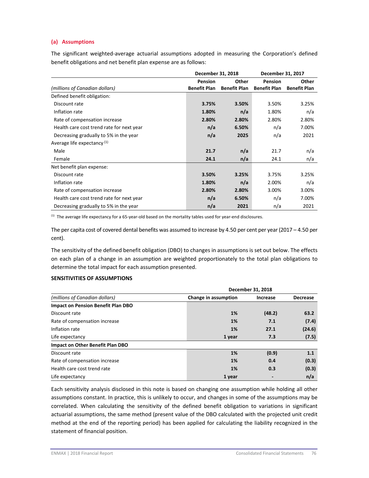### **(a) Assumptions**

The significant weighted-average actuarial assumptions adopted in measuring the Corporation's defined benefit obligations and net benefit plan expense are as follows:

|                                           | December 31, 2018   |                     | December 31, 2017   |                     |
|-------------------------------------------|---------------------|---------------------|---------------------|---------------------|
|                                           | Pension             | Other               | Pension             | Other               |
| (millions of Canadian dollars)            | <b>Benefit Plan</b> | <b>Benefit Plan</b> | <b>Benefit Plan</b> | <b>Benefit Plan</b> |
| Defined benefit obligation:               |                     |                     |                     |                     |
| Discount rate                             | 3.75%               | 3.50%               | 3.50%               | 3.25%               |
| Inflation rate                            | 1.80%               | n/a                 | 1.80%               | n/a                 |
| Rate of compensation increase             | 2.80%               | 2.80%               | 2.80%               | 2.80%               |
| Health care cost trend rate for next year | n/a                 | 6.50%               | n/a                 | 7.00%               |
| Decreasing gradually to 5% in the year    | n/a                 | 2025                | n/a                 | 2021                |
| Average life expectancy <sup>(1)</sup>    |                     |                     |                     |                     |
| Male                                      | 21.7                | n/a                 | 21.7                | n/a                 |
| Female                                    | 24.1                | n/a                 | 24.1                | n/a                 |
| Net benefit plan expense:                 |                     |                     |                     |                     |
| Discount rate                             | 3.50%               | 3.25%               | 3.75%               | 3.25%               |
| Inflation rate                            | 1.80%               | n/a                 | 2.00%               | n/a                 |
| Rate of compensation increase             | 2.80%               | 2.80%               | 3.00%               | 3.00%               |
| Health care cost trend rate for next year | n/a                 | 6.50%               | n/a                 | 7.00%               |
| Decreasing gradually to 5% in the year    | n/a                 | 2021                | n/a                 | 2021                |

<sup>(1)</sup> The average life expectancy for a 65-year-old based on the mortality tables used for year-end disclosures.

The per capita cost of covered dental benefits was assumed to increase by 4.50 per cent per year (2017 – 4.50 per cent).

The sensitivity of the defined benefit obligation (DBO) to changes in assumptions is set out below. The effects on each plan of a change in an assumption are weighted proportionately to the total plan obligations to determine the total impact for each assumption presented.

## **SENSITIVITIES OF ASSUMPTIONS**

|                                           |                      | December 31, 2018 |                 |  |  |  |  |
|-------------------------------------------|----------------------|-------------------|-----------------|--|--|--|--|
| (millions of Canadian dollars)            | Change in assumption | <b>Increase</b>   | <b>Decrease</b> |  |  |  |  |
| <b>Impact on Pension Benefit Plan DBO</b> |                      |                   |                 |  |  |  |  |
| Discount rate                             | 1%                   | (48.2)            | 63.2            |  |  |  |  |
| Rate of compensation increase             | 1%                   | 7.1               | (7.4)           |  |  |  |  |
| Inflation rate                            | 1%                   | 27.1              | (24.6)          |  |  |  |  |
| Life expectancy                           | 1 year               | 7.3               | (7.5)           |  |  |  |  |
| Impact on Other Benefit Plan DBO          |                      |                   |                 |  |  |  |  |
| Discount rate                             | 1%                   | (0.9)             | 1.1             |  |  |  |  |
| Rate of compensation increase             | 1%                   | 0.4               | (0.3)           |  |  |  |  |
| Health care cost trend rate               | 1%                   | 0.3               | (0.3)           |  |  |  |  |
| Life expectancy                           | 1 year               |                   | n/a             |  |  |  |  |

Each sensitivity analysis disclosed in this note is based on changing one assumption while holding all other assumptions constant. In practice, this is unlikely to occur, and changes in some of the assumptions may be correlated. When calculating the sensitivity of the defined benefit obligation to variations in significant actuarial assumptions, the same method (present value of the DBO calculated with the projected unit credit method at the end of the reporting period) has been applied for calculating the liability recognized in the statement of financial position.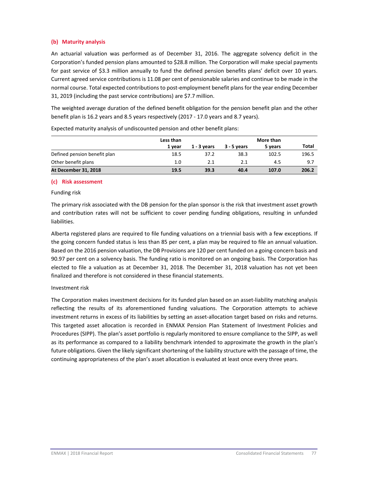# **(b) Maturity analysis**

An actuarial valuation was performed as of December 31, 2016. The aggregate solvency deficit in the Corporation's funded pension plans amounted to \$28.8 million. The Corporation will make special payments for past service of \$3.3 million annually to fund the defined pension benefits plans' deficit over 10 years. Current agreed service contributions is 11.08 per cent of pensionable salaries and continue to be made in the normal course. Total expected contributions to post-employment benefit plans for the year ending December 31, 2019 (including the past service contributions) are \$7.7 million.

The weighted average duration of the defined benefit obligation for the pension benefit plan and the other benefit plan is 16.2 years and 8.5 years respectively (2017 ‐ 17.0 years and 8.7 years).

|                              | Less than |             |               | More than |       |
|------------------------------|-----------|-------------|---------------|-----------|-------|
|                              | 1 vear    | 1 - 3 vears | $3 - 5$ vears | 5 years   | Total |
| Defined pension benefit plan | 18.5      | 37.2        | 38.3          | 102.5     | 196.5 |
| Other benefit plans          | 1.0       | 2.1         | 2.1           | 4.5       | 9.7   |
| <b>At December 31, 2018</b>  | 19.5      | 39.3        | 40.4          | 107.0     | 206.2 |

Expected maturity analysis of undiscounted pension and other benefit plans:

#### **(c) Risk assessment**

Funding risk

The primary risk associated with the DB pension for the plan sponsor is the risk that investment asset growth and contribution rates will not be sufficient to cover pending funding obligations, resulting in unfunded liabilities.

Alberta registered plans are required to file funding valuations on a triennial basis with a few exceptions. If the going concern funded status is less than 85 per cent, a plan may be required to file an annual valuation. Based on the 2016 pension valuation, the DB Provisions are 120 per cent funded on a going‐concern basis and 90.97 per cent on a solvency basis. The funding ratio is monitored on an ongoing basis. The Corporation has elected to file a valuation as at December 31, 2018. The December 31, 2018 valuation has not yet been finalized and therefore is not considered in these financial statements.

#### Investment risk

The Corporation makes investment decisions for its funded plan based on an asset-liability matching analysis reflecting the results of its aforementioned funding valuations. The Corporation attempts to achieve investment returns in excess of its liabilities by setting an asset-allocation target based on risks and returns. This targeted asset allocation is recorded in ENMAX Pension Plan Statement of Investment Policies and Procedures (SIPP). The plan's asset portfolio is regularly monitored to ensure compliance to the SIPP, as well as its performance as compared to a liability benchmark intended to approximate the growth in the plan's future obligations. Given the likely significant shortening of the liability structure with the passage of time, the continuing appropriateness of the plan's asset allocation is evaluated at least once every three years.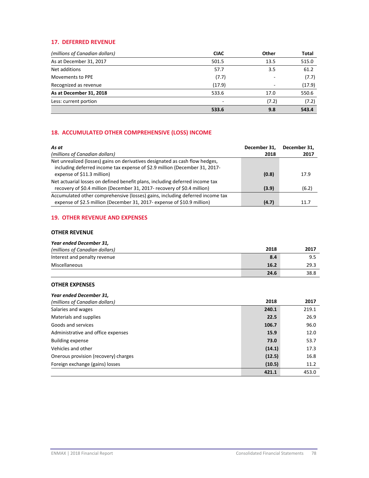## **17. DEFERRED REVENUE**

| (millions of Canadian dollars) | <b>CIAC</b> | <b>Other</b> | Total  |
|--------------------------------|-------------|--------------|--------|
| As at December 31, 2017        | 501.5       | 13.5         | 515.0  |
| Net additions                  | 57.7        | 3.5          | 61.2   |
| Movements to PPE               | (7.7)       |              | (7.7)  |
| Recognized as revenue          | (17.9)      |              | (17.9) |
| As at December 31, 2018        | 533.6       | 17.0         | 550.6  |
| Less: current portion          |             | (7.2)        | (7.2)  |
|                                | 533.6       | 9.8          | 543.4  |

# **18. ACCUMULATED OTHER COMPREHENSIVE (LOSS) INCOME**

| As at                                                                                                                                                      | December 31, | December 31. |
|------------------------------------------------------------------------------------------------------------------------------------------------------------|--------------|--------------|
| (millions of Canadian dollars)                                                                                                                             | 2018         | 2017         |
| Net unrealized (losses) gains on derivatives designated as cash flow hedges,<br>including deferred income tax expense of \$2.9 million (December 31, 2017- |              |              |
| expense of \$11.3 million)                                                                                                                                 | (0.8)        | 17.9         |
| Net actuarial losses on defined benefit plans, including deferred income tax                                                                               |              |              |
| recovery of \$0.4 million (December 31, 2017- recovery of \$0.4 million)                                                                                   | (3.9)        | (6.2)        |
| Accumulated other comprehensive (losses) gains, including deferred income tax                                                                              |              |              |
| expense of \$2.5 million (December 31, 2017- expense of \$10.9 million)                                                                                    | (4.7)        | 11.7         |

# **19. OTHER REVENUE AND EXPENSES**

### **OTHER REVENUE**

#### *Year ended December 31,*

| (millions of Canadian dollars) | 2018 | 2017 |
|--------------------------------|------|------|
| Interest and penalty revenue   | 8.4  | 9.5  |
| Miscellaneous                  | 16.2 | 29.3 |
|                                | 24.6 | 38.8 |

### **OTHER EXPENSES**

| Year ended December 31,              |        |       |
|--------------------------------------|--------|-------|
| (millions of Canadian dollars)       | 2018   | 2017  |
| Salaries and wages                   | 240.1  | 219.1 |
| Materials and supplies               | 22.5   | 26.9  |
| Goods and services                   | 106.7  | 96.0  |
| Administrative and office expenses   | 15.9   | 12.0  |
| <b>Building expense</b>              | 73.0   | 53.7  |
| Vehicles and other                   | (14.1) | 17.3  |
| Onerous provision (recovery) charges | (12.5) | 16.8  |
| Foreign exchange (gains) losses      | (10.5) | 11.2  |
|                                      | 421.1  | 453.0 |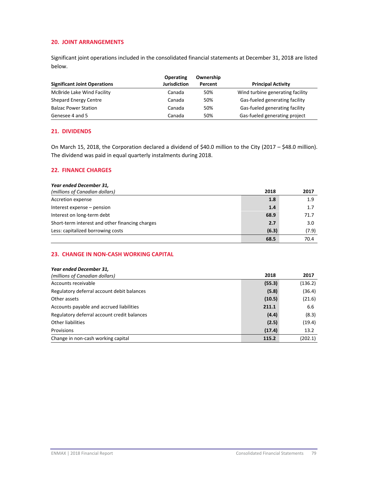### **20. JOINT ARRANGEMENTS**

Significant joint operations included in the consolidated financial statements at December 31, 2018 are listed below.

| <b>Significant Joint Operations</b> | <b>Operating</b><br><b>Jurisdiction</b> | Ownership<br>Percent | <b>Principal Activity</b>        |
|-------------------------------------|-----------------------------------------|----------------------|----------------------------------|
| McBride Lake Wind Facility          | Canada                                  | 50%                  | Wind turbine generating facility |
| <b>Shepard Energy Centre</b>        | Canada                                  | 50%                  | Gas-fueled generating facility   |
| <b>Balzac Power Station</b>         | Canada                                  | 50%                  | Gas-fueled generating facility   |
| Genesee 4 and 5                     | Canada                                  | 50%                  | Gas-fueled generating project    |

# **21. DIVIDENDS**

On March 15, 2018, the Corporation declared a dividend of \$40.0 million to the City (2017 – \$48.0 million). The dividend was paid in equal quarterly instalments during 2018.

### **22. FINANCE CHARGES**

#### *Year ended December 31,*

| (millions of Canadian dollars)                  | 2018  | 2017  |
|-------------------------------------------------|-------|-------|
| Accretion expense                               | 1.8   | 1.9   |
| Interest expense – pension                      | 1.4   | 1.7   |
| Interest on long-term debt                      | 68.9  | 71.7  |
| Short-term interest and other financing charges | 2.7   | 3.0   |
| Less: capitalized borrowing costs               | (6.3) | (7.9) |
|                                                 | 68.5  | 70.4  |

# **23. CHANGE IN NON‐CASH WORKING CAPITAL**

| Year ended December 31,                     |        |         |
|---------------------------------------------|--------|---------|
| (millions of Canadian dollars)              | 2018   | 2017    |
| Accounts receivable                         | (55.3) | (136.2) |
| Regulatory deferral account debit balances  | (5.8)  | (36.4)  |
| Other assets                                | (10.5) | (21.6)  |
| Accounts payable and accrued liabilities    | 211.1  | 6.6     |
| Regulatory deferral account credit balances | (4.4)  | (8.3)   |
| Other liabilities                           | (2.5)  | (19.4)  |
| Provisions                                  | (17.4) | 13.2    |
| Change in non-cash working capital          | 115.2  | (202.1) |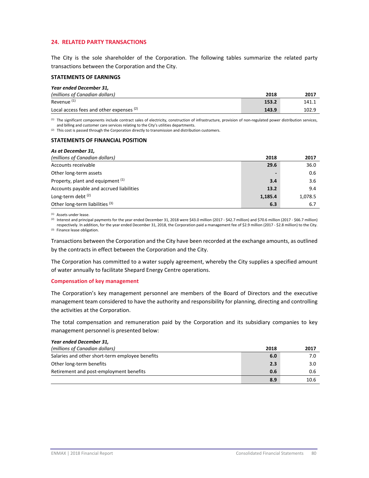### **24. RELATED PARTY TRANSACTIONS**

The City is the sole shareholder of the Corporation. The following tables summarize the related party transactions between the Corporation and the City.

#### **STATEMENTS OF EARNINGS**

| Year ended December 31,                  |       |       |
|------------------------------------------|-------|-------|
| (millions of Canadian dollars)           | 2018  | 2017  |
| Revenue <sup>(1)</sup>                   | 153.2 | 141.1 |
| Local access fees and other expenses (2) | 143.9 | 102.9 |

(1) The significant components include contract sales of electricity, construction of infrastructure, provision of non-regulated power distribution services, and billing and customer care services relating to the City's utilities departments.

(2) This cost is passed through the Corporation directly to transmission and distribution customers.

#### **STATEMENTS OF FINANCIAL POSITION**

| As at December 31,                       |                          |         |
|------------------------------------------|--------------------------|---------|
| (millions of Canadian dollars)           | 2018                     | 2017    |
| Accounts receivable                      | 29.6                     | 36.0    |
| Other long-term assets                   | $\overline{\phantom{a}}$ | 0.6     |
| Property, plant and equipment (1)        | 3.4                      | 3.6     |
| Accounts payable and accrued liabilities | 13.2                     | 9.4     |
| Long-term debt $(2)$                     | 1,185.4                  | 1,078.5 |
| Other long-term liabilities (3)          | 6.3                      | 6.7     |

(1) Assets under lease.

(2) Interest and principal payments for the year ended December 31, 2018 were \$43.0 million (2017 - \$42.7 million) and \$70.6 million (2017 - \$66.7 million) respectively. In addition, for the year ended December 31, 2018, the Corporation paid a management fee of \$2.9 million (2017 ‐ \$2.8 million) to the City.

(3) Finance lease obligation.

Transactions between the Corporation and the City have been recorded at the exchange amounts, as outlined by the contracts in effect between the Corporation and the City.

The Corporation has committed to a water supply agreement, whereby the City supplies a specified amount of water annually to facilitate Shepard Energy Centre operations.

#### **Compensation of key management**

The Corporation's key management personnel are members of the Board of Directors and the executive management team considered to have the authority and responsibility for planning, directing and controlling the activities at the Corporation.

The total compensation and remuneration paid by the Corporation and its subsidiary companies to key management personnel is presented below:

| Year ended December 31,                         |      |      |
|-------------------------------------------------|------|------|
| (millions of Canadian dollars)                  | 2018 | 2017 |
| Salaries and other short-term employee benefits | 6.0  | 7.0  |
| Other long-term benefits                        | 2.3  | 3.0  |
| Retirement and post-employment benefits         | 0.6  | 0.6  |
|                                                 | 8.9  | 10.6 |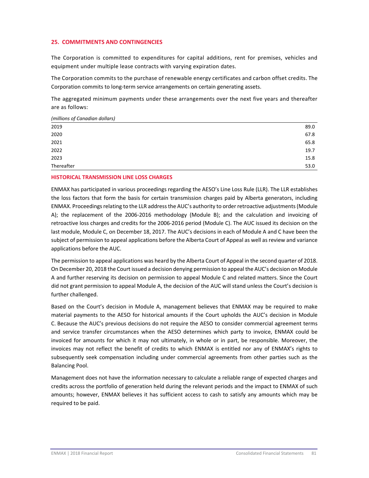### **25. COMMITMENTS AND CONTINGENCIES**

The Corporation is committed to expenditures for capital additions, rent for premises, vehicles and equipment under multiple lease contracts with varying expiration dates.

The Corporation commits to the purchase of renewable energy certificates and carbon offset credits. The Corporation commits to long‐term service arrangements on certain generating assets.

The aggregated minimum payments under these arrangements over the next five years and thereafter are as follows:

| (millions of Canadian dollars) |      |
|--------------------------------|------|
| 2019                           | 89.0 |
| 2020                           | 67.8 |
| 2021                           | 65.8 |
| 2022                           | 19.7 |
| 2023                           | 15.8 |
| Thereafter                     | 53.0 |

#### **HISTORICAL TRANSMISSION LINE LOSS CHARGES**

ENMAX has participated in various proceedings regarding the AESO's Line Loss Rule (LLR). The LLR establishes the loss factors that form the basis for certain transmission charges paid by Alberta generators, including ENMAX. Proceedings relating to the LLR address the AUC's authority to order retroactive adjustments (Module A); the replacement of the 2006‐2016 methodology (Module B); and the calculation and invoicing of retroactive loss charges and credits for the 2006‐2016 period (Module C). The AUC issued its decision on the last module, Module C, on December 18, 2017. The AUC's decisions in each of Module A and C have been the subject of permission to appeal applications before the Alberta Court of Appeal as well as review and variance applications before the AUC.

The permission to appeal applications was heard by the Alberta Court of Appeal in the second quarter of 2018. On December 20, 2018 the Court issued a decision denying permission to appeal the AUC's decision on Module A and further reserving its decision on permission to appeal Module C and related matters. Since the Court did not grant permission to appeal Module A, the decision of the AUC will stand unless the Court's decision is further challenged.

Based on the Court's decision in Module A, management believes that ENMAX may be required to make material payments to the AESO for historical amounts if the Court upholds the AUC's decision in Module C. Because the AUC's previous decisions do not require the AESO to consider commercial agreement terms and service transfer circumstances when the AESO determines which party to invoice, ENMAX could be invoiced for amounts for which it may not ultimately, in whole or in part, be responsible. Moreover, the invoices may not reflect the benefit of credits to which ENMAX is entitled nor any of ENMAX's rights to subsequently seek compensation including under commercial agreements from other parties such as the Balancing Pool.

Management does not have the information necessary to calculate a reliable range of expected charges and credits across the portfolio of generation held during the relevant periods and the impact to ENMAX of such amounts; however, ENMAX believes it has sufficient access to cash to satisfy any amounts which may be required to be paid.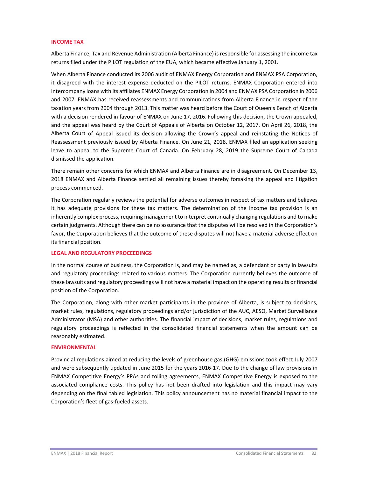#### **INCOME TAX**

Alberta Finance, Tax and Revenue Administration (Alberta Finance) isresponsible for assessing the income tax returns filed under the PILOT regulation of the EUA, which became effective January 1, 2001.

When Alberta Finance conducted its 2006 audit of ENMAX Energy Corporation and ENMAX PSA Corporation, it disagreed with the interest expense deducted on the PILOT returns. ENMAX Corporation entered into intercompany loans with its affiliates ENMAX Energy Corporation in 2004 and ENMAX PSA Corporation in 2006 and 2007. ENMAX has received reassessments and communications from Alberta Finance in respect of the taxation years from 2004 through 2013. This matter was heard before the Court of Queen's Bench of Alberta with a decision rendered in favour of ENMAX on June 17, 2016. Following this decision, the Crown appealed, and the appeal was heard by the Court of Appeals of Alberta on October 12, 2017. On April 26, 2018, the Alberta Court of Appeal issued its decision allowing the Crown's appeal and reinstating the Notices of Reassessment previously issued by Alberta Finance. On June 21, 2018, ENMAX filed an application seeking leave to appeal to the Supreme Court of Canada. On February 28, 2019 the Supreme Court of Canada dismissed the application.

There remain other concerns for which ENMAX and Alberta Finance are in disagreement. On December 13, 2018 ENMAX and Alberta Finance settled all remaining issues thereby forsaking the appeal and litigation process commenced.

The Corporation regularly reviews the potential for adverse outcomes in respect of tax matters and believes it has adequate provisions for these tax matters. The determination of the income tax provision is an inherently complex process, requiring management to interpret continually changing regulations and to make certain judgments. Although there can be no assurance that the disputes will be resolved in the Corporation's favor, the Corporation believes that the outcome of these disputes will not have a material adverse effect on its financial position.

#### **LEGAL AND REGULATORY PROCEEDINGS**

In the normal course of business, the Corporation is, and may be named as, a defendant or party in lawsuits and regulatory proceedings related to various matters. The Corporation currently believes the outcome of these lawsuits and regulatory proceedings will not have a material impact on the operating results or financial position of the Corporation.

The Corporation, along with other market participants in the province of Alberta, is subject to decisions, market rules, regulations, regulatory proceedings and/or jurisdiction of the AUC, AESO, Market Surveillance Administrator (MSA) and other authorities. The financial impact of decisions, market rules, regulations and regulatory proceedings is reflected in the consolidated financial statements when the amount can be reasonably estimated.

#### **ENVIRONMENTAL**

Provincial regulations aimed at reducing the levels of greenhouse gas (GHG) emissions took effect July 2007 and were subsequently updated in June 2015 for the years 2016‐17. Due to the change of law provisions in ENMAX Competitive Energy's PPAs and tolling agreements, ENMAX Competitive Energy is exposed to the associated compliance costs. This policy has not been drafted into legislation and this impact may vary depending on the final tabled legislation. This policy announcement has no material financial impact to the Corporation's fleet of gas‐fueled assets.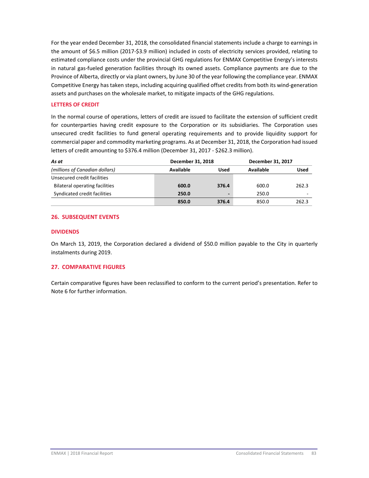For the year ended December 31, 2018, the consolidated financial statements include a charge to earnings in the amount of \$6.5 million (2017‐\$3.9 million) included in costs of electricity services provided, relating to estimated compliance costs under the provincial GHG regulations for ENMAX Competitive Energy's interests in natural gas‐fueled generation facilities through its owned assets. Compliance payments are due to the Province of Alberta, directly or via plant owners, by June 30 of the year following the compliance year. ENMAX Competitive Energy has taken steps, including acquiring qualified offset credits from both its wind‐generation assets and purchases on the wholesale market, to mitigate impacts of the GHG regulations.

### **LETTERS OF CREDIT**

In the normal course of operations, letters of credit are issued to facilitate the extension of sufficient credit for counterparties having credit exposure to the Corporation or its subsidiaries. The Corporation uses unsecured credit facilities to fund general operating requirements and to provide liquidity support for commercial paper and commodity marketing programs. As at December 31, 2018, the Corporation had issued letters of credit amounting to \$376.4 million (December 31, 2017 - \$262.3 million).

| As at                          | December 31, 2018 |       | December 31, 2017 |                          |
|--------------------------------|-------------------|-------|-------------------|--------------------------|
| (millions of Canadian dollars) | Available         | Used  | Available         | Used                     |
| Unsecured credit facilities    |                   |       |                   |                          |
| Bilateral operating facilities | 600.0             | 376.4 | 600.0             | 262.3                    |
| Syndicated credit facilities   | 250.0             |       | 250.0             | $\overline{\phantom{a}}$ |
|                                | 850.0             | 376.4 | 850.0             | 262.3                    |

# **26. SUBSEQUENT EVENTS**

#### **DIVIDENDS**

On March 13, 2019, the Corporation declared a dividend of \$50.0 million payable to the City in quarterly instalments during 2019.

# **27. COMPARATIVE FIGURES**

Certain comparative figures have been reclassified to conform to the current period's presentation. Refer to Note 6 for further information.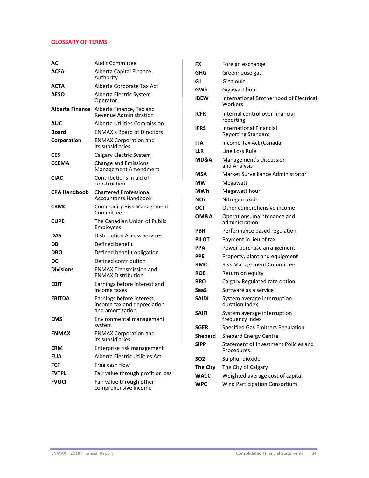# **GLOSSARY OF TERMS**

| AС                  | Audit Committee                                                              |
|---------------------|------------------------------------------------------------------------------|
| ACFA                | Alberta Capital Finance<br>Authority                                         |
| АСТА                | Alberta Corporate Tax Act                                                    |
| <b>AESO</b>         | Alberta Electric System<br>Operator                                          |
| Alberta Finance     | Alberta Finance, Tax and<br><b>Revenue Administration</b>                    |
| AUC                 | Alberta Utilities Commission                                                 |
| Board               | <b>ENMAX's Board of Directors</b>                                            |
| Corporation         | <b>ENMAX Corporation and</b><br>its subsidiaries                             |
| CES                 | Calgary Electric System                                                      |
| <b>CCEMA</b>        | Change and Emissions<br><b>Management Amendment</b>                          |
| <b>CIAC</b>         | Contributions in aid of<br>construction                                      |
| <b>CPA Handbook</b> | <b>Chartered Professional</b><br><b>Accountants Handbook</b>                 |
| <b>CRMC</b>         | <b>Commodity Risk Management</b><br>Committee                                |
| <b>CUPE</b>         | The Canadian Union of Public<br>Employees                                    |
| DAS                 | Distribution Access Services                                                 |
| DB                  | Defined benefit                                                              |
| DBO                 | Defined benefit obligation                                                   |
| DC                  | Defined contribution                                                         |
| <b>Divisions</b>    | <b>ENMAX Transmission and</b><br><b>ENMAX Distribution</b>                   |
| EBIT                | Earnings before interest and<br>income taxes                                 |
| <b>EBITDA</b>       | Earnings before interest,<br>income tax and depreciation<br>and amortization |
| <b>EMS</b>          | Environmental management<br>system                                           |
| <b>ENMAX</b>        | <b>ENMAX Corporation and</b><br>its subsidiaries                             |
| <b>ERM</b>          | Enterprise risk management                                                   |
| EUA                 | Alberta Electric Utilities Act                                               |
| FCF                 | Free cash flow                                                               |
| <b>FVTPL</b>        | Fair value through profit or loss                                            |
| <b>FVOCI</b>        | Fair value through other<br>comprehensive income                             |

| FX              | Foreign exchange                                          |
|-----------------|-----------------------------------------------------------|
| GHG             | Greenhouse gas                                            |
| GJ              | Gigajoule                                                 |
| GWh             | Gigawatt hour                                             |
| IBEW            | <b>International Brotherhood of Electrical</b><br>Workers |
| ICFR            | Internal control over financial<br>reporting              |
| IFRS            | International Financial<br><b>Reporting Standard</b>      |
| ITA             | Income Tax Act (Canada)                                   |
| LLR             | Line Loss Rule                                            |
| MD&A            | Management's Discussion<br>and Analysis                   |
| MSA             | Market Surveillance Administrator                         |
| <b>MW</b>       | Megawatt                                                  |
| MWh             | Megawatt hour                                             |
| NOx             | Nitrogen oxide                                            |
| OCI             | Other comprehensive income                                |
| <b>OM&amp;A</b> | Operations, maintenance and<br>administration             |
| <b>PBR</b>      | Performance based regulation                              |
| PILOT           | Payment in lieu of tax                                    |
| PPA             | Power purchase arrangement                                |
| <b>PPE</b>      | Property, plant and equipment                             |
| <b>RMC</b>      | <b>Risk Management Committee</b>                          |
| <b>ROE</b>      | Return on equity                                          |
| RRO             | Calgary Regulated rate option                             |
| SaaS            | Software as a service                                     |
| <b>SAIDI</b>    | System average interruption<br>duration index             |
| <b>SAIFI</b>    | System average interruption<br>frequency index            |
| <b>SGER</b>     | <b>Specified Gas Emitters Regulation</b>                  |
| Shepard         | <b>Shepard Energy Centre</b>                              |
| <b>SIPP</b>     | Statement of Investment Policies and<br>Procedures        |
| SO <sub>2</sub> | Sulphur dioxide                                           |
| <b>The City</b> | The City of Calgary                                       |
| <b>WACC</b>     | Weighted average cost of capital                          |
| <b>WPC</b>      | Wind Participation Consortium                             |
|                 |                                                           |